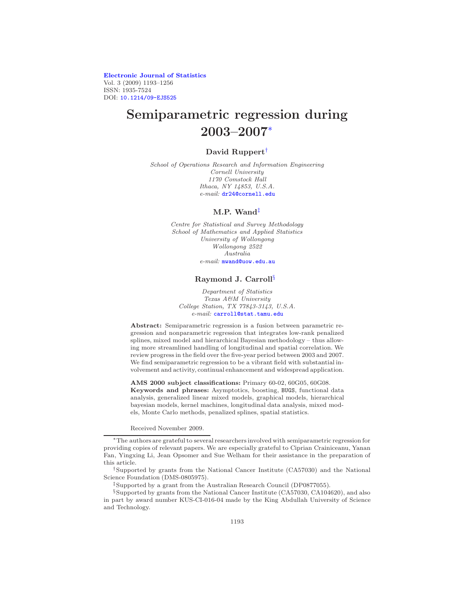[Electronic Journal of Statistics](http://www.i-journals.org/ejs) Vol. 3 (2009) 1193–1256 ISSN: 1935-7524 DOI: [10.1214/09-EJS525](http://dx.doi.org/10.1214/09-EJS525)

# Semiparametric regression during 2003–2007[∗](#page-0-0)

# David Ruppert[†](#page-0-1)

School of Operations Research and Information Engineering Cornell University 1170 Comstock Hall Ithaca, NY 14853, U.S.A. e-mail: [dr24@cornell.edu](mailto:dr24@cornell.edu)

#### M.P. Wand[‡](#page-0-2)

Centre for Statistical and Survey Methodology School of Mathematics and Applied Statistics University of Wollongong Wollongong 2522 Australia

e-mail: [mwand@uow.edu.au](mailto:mwand@uow.edu.au)

#### Raymond J. Carroll[§](#page-0-3)

Department of Statistics Texas A&M University College Station, TX 77843-3143, U.S.A. e-mail: [carroll@stat.tamu.edu](mailto:carroll@stat.tamu.edu)

Abstract: Semiparametric regression is a fusion between parametric regression and nonparametric regression that integrates low-rank penalized splines, mixed model and hierarchical Bayesian methodology – thus allowing more streamlined handling of longitudinal and spatial correlation. We review progress in the field over the five-year period between 2003 and 2007. We find semiparametric regression to be a vibrant field with substantial involvement and activity, continual enhancement and widespread application.

AMS 2000 subject classifications: Primary 60-02, 60G05, 60G08. Keywords and phrases: Asymptotics, boosting, BUGS, functional data analysis, generalized linear mixed models, graphical models, hierarchical bayesian models, kernel machines, longitudinal data analysis, mixed models, Monte Carlo methods, penalized splines, spatial statistics.

Received November 2009.

<span id="page-0-1"></span>†Supported by grants from the National Cancer Institute (CA57030) and the National Science Foundation (DMS-0805975).

‡Supported by a grant from the Australian Research Council (DP0877055).

<span id="page-0-3"></span><span id="page-0-2"></span>§Supported by grants from the National Cancer Institute (CA57030, CA104620), and also in part by award number KUS-CI-016-04 made by the King Abdullah University of Science and Technology.

<span id="page-0-0"></span><sup>∗</sup>The authors are grateful to several researchers involved with semiparametric regression for providing copies of relevant papers. We are especially grateful to Ciprian Crainiceanu, Yanan Fan, Yingxing Li, Jean Opsomer and Sue Welham for their assistance in the preparation of this article.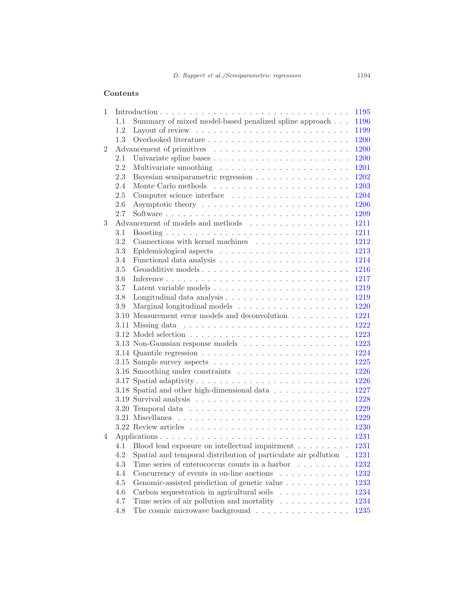# Contents

|                |         |                                                                                      | 1195 |
|----------------|---------|--------------------------------------------------------------------------------------|------|
|                | $1.1 -$ | Summary of mixed model-based penalized spline approach                               | 1196 |
|                | 1.2     | Layout of review $\dots \dots \dots \dots \dots \dots \dots \dots \dots \dots \dots$ | 1199 |
|                | 1.3     |                                                                                      | 1200 |
| $\overline{2}$ |         |                                                                                      | 1200 |
|                | 2.1     |                                                                                      | 1200 |
|                | 2.2     |                                                                                      | 1201 |
|                | 2.3     | Bayesian semiparametric regression                                                   | 1202 |
|                | 2.4     |                                                                                      | 1203 |
|                | 2.5     |                                                                                      | 1204 |
|                | 2.6     |                                                                                      | 1206 |
|                | 2.7     |                                                                                      | 1209 |
| 3              |         | Advancement of models and methods $\dots \dots \dots \dots \dots \dots$              | 1211 |
|                | 3.1     |                                                                                      | 1211 |
|                | 3.2     | Connections with kernel machines $\ldots \ldots \ldots \ldots \ldots$                | 1212 |
|                | 3.3     |                                                                                      | 1213 |
|                | 3.4     |                                                                                      | 1214 |
|                | $3.5\,$ |                                                                                      | 1216 |
|                | 3.6     |                                                                                      | 1217 |
|                | 3.7     |                                                                                      | 1219 |
|                | 3.8     | Longitudinal data analysis $\dots \dots \dots \dots \dots \dots \dots \dots$         | 1219 |
|                | 3.9     |                                                                                      | 1220 |
|                |         | 3.10 Measurement error models and deconvolution $\ldots \ldots \ldots$               | 1221 |
|                |         | 3.11 Missing data $\ldots \ldots \ldots \ldots \ldots \ldots \ldots \ldots \ldots$   | 1222 |
|                |         |                                                                                      | 1223 |
|                |         |                                                                                      | 1223 |
|                |         |                                                                                      | 1224 |
|                |         |                                                                                      | 1225 |
|                |         |                                                                                      | 1226 |
|                |         | 3.17 Spatial adaptivity                                                              | 1226 |
|                |         | 3.18 Spatial and other high-dimensional data                                         | 1227 |
|                |         |                                                                                      | 1228 |
|                |         | 3.20 Temporal data $\ldots \ldots \ldots \ldots \ldots \ldots \ldots \ldots \ldots$  | 1229 |
|                |         |                                                                                      | 1229 |
|                |         | 3.22 Review articles $\ldots \ldots \ldots \ldots \ldots \ldots \ldots \ldots$       | 1230 |
| 4              |         | Applications                                                                         | 1231 |
|                |         | 4.1 Blood lead exposure on intellectual impairment                                   | 1231 |
|                |         | 4.2 Spatial and temporal distribution of particulate air pollution . 1231            |      |
|                | 4.3     | Time series of enterococcus counts in a harbor $\dots \dots$                         | 1232 |
|                | 4.4     | Concurrency of events in on-line auctions                                            | 1232 |
|                | 4.5     | Genomic-assisted prediction of genetic value                                         | 1233 |
|                | 4.6     | Carbon sequestration in agricultural soils $\ldots \ldots \ldots \ldots$             | 1234 |
|                | 4.7     | Time series of air pollution and mortality $\ldots \ldots \ldots \ldots$             | 1234 |
|                | 4.8     | The cosmic microwave background $\ldots \ldots \ldots \ldots \ldots \ldots$          | 1235 |
|                |         |                                                                                      |      |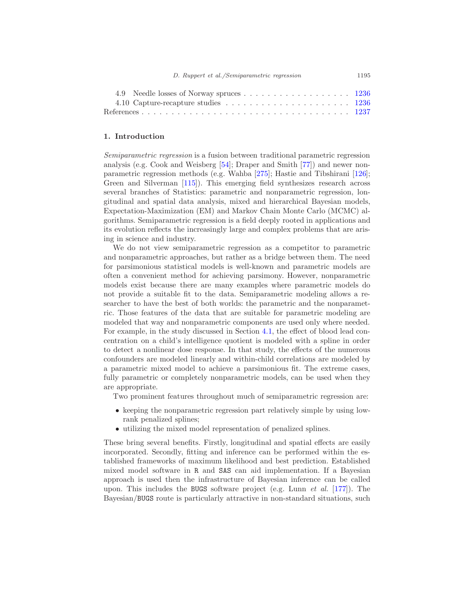| 4.9 Needle losses of Norway spruces 1236                                               |  |
|----------------------------------------------------------------------------------------|--|
| 4.10 Capture-recapture studies $\ldots \ldots \ldots \ldots \ldots \ldots \ldots 1236$ |  |
|                                                                                        |  |

# <span id="page-2-0"></span>1. Introduction

Semiparametric regression is a fusion between traditional parametric regression analysis (e.g. Cook and Weisberg [\[54](#page-47-0)]; Draper and Smith [\[77\]](#page-49-0)) and newer nonparametric regression methods (e.g. Wahba [\[275\]](#page-61-0); Hastie and Tibshirani [\[126\]](#page-52-0); Green and Silverman [\[115\]](#page-51-0)). This emerging field synthesizes research across several branches of Statistics: parametric and nonparametric regression, longitudinal and spatial data analysis, mixed and hierarchical Bayesian models, Expectation-Maximization (EM) and Markov Chain Monte Carlo (MCMC) algorithms. Semiparametric regression is a field deeply rooted in applications and its evolution reflects the increasingly large and complex problems that are arising in science and industry.

We do not view semiparametric regression as a competitor to parametric and nonparametric approaches, but rather as a bridge between them. The need for parsimonious statistical models is well-known and parametric models are often a convenient method for achieving parsimony. However, nonparametric models exist because there are many examples where parametric models do not provide a suitable fit to the data. Semiparametric modeling allows a researcher to have the best of both worlds: the parametric and the nonparametric. Those features of the data that are suitable for parametric modeling are modeled that way and nonparametric components are used only where needed. For example, in the study discussed in Section [4.1,](#page-38-1) the effect of blood lead concentration on a child's intelligence quotient is modeled with a spline in order to detect a nonlinear dose response. In that study, the effects of the numerous confounders are modeled linearly and within-child correlations are modeled by a parametric mixed model to achieve a parsimonious fit. The extreme cases, fully parametric or completely nonparametric models, can be used when they are appropriate.

Two prominent features throughout much of semiparametric regression are:

- keeping the nonparametric regression part relatively simple by using lowrank penalized splines;
- utilizing the mixed model representation of penalized splines.

These bring several benefits. Firstly, longitudinal and spatial effects are easily incorporated. Secondly, fitting and inference can be performed within the established frameworks of maximum likelihood and best prediction. Established mixed model software in R and SAS can aid implementation. If a Bayesian approach is used then the infrastructure of Bayesian inference can be called upon. This includes the BUGS software project (e.g. Lunn *et al.* [\[177\]](#page-55-0)). The Bayesian/BUGS route is particularly attractive in non-standard situations, such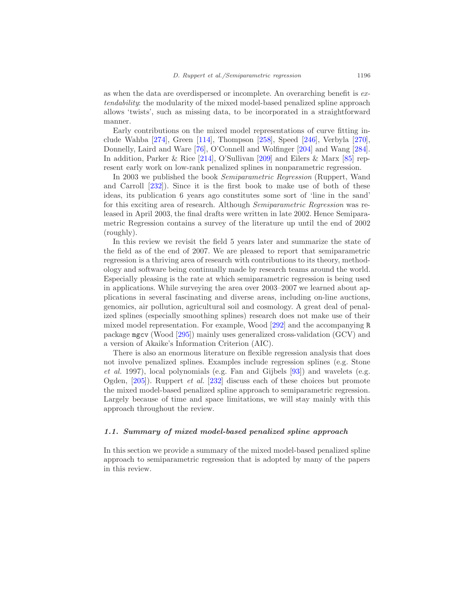as when the data are overdispersed or incomplete. An overarching benefit is extendability: the modularity of the mixed model-based penalized spline approach allows 'twists', such as missing data, to be incorporated in a straightforward manner.

Early contributions on the mixed model representations of curve fitting include Wahba [\[274](#page-61-1)], Green [\[114](#page-51-1)], Thompson [\[258\]](#page-60-0), Speed [\[246\]](#page-59-0), Verbyla [\[270\]](#page-60-1), Donnelly, Laird and Ware [\[76\]](#page-49-1), O'Connell and Wolfinger [\[204\]](#page-57-0) and Wang [\[284\]](#page-61-2). In addition, Parker & Rice [\[214\]](#page-57-1), O'Sullivan [\[209\]](#page-57-2) and Eilers & Marx [\[85\]](#page-49-2) represent early work on low-rank penalized splines in nonparametric regression.

In 2003 we published the book Semiparametric Regression (Ruppert, Wand and Carroll [\[232\]](#page-58-0)). Since it is the first book to make use of both of these ideas, its publication 6 years ago constitutes some sort of 'line in the sand' for this exciting area of research. Although Semiparametric Regression was released in April 2003, the final drafts were written in late 2002. Hence Semiparametric Regression contains a survey of the literature up until the end of 2002 (roughly).

In this review we revisit the field 5 years later and summarize the state of the field as of the end of 2007. We are pleased to report that semiparametric regression is a thriving area of research with contributions to its theory, methodology and software being continually made by research teams around the world. Especially pleasing is the rate at which semiparametric regression is being used in applications. While surveying the area over 2003–2007 we learned about applications in several fascinating and diverse areas, including on-line auctions, genomics, air pollution, agricultural soil and cosmology. A great deal of penalized splines (especially smoothing splines) research does not make use of their mixed model representation. For example, Wood [\[292\]](#page-62-0) and the accompanying R package mgcv (Wood [\[295\]](#page-62-1)) mainly uses generalized cross-validation (GCV) and a version of Akaike's Information Criterion (AIC).

There is also an enormous literature on flexible regression analysis that does not involve penalized splines. Examples include regression splines (e.g. Stone et al. 1997), local polynomials (e.g. Fan and Gijbels [\[93\]](#page-50-0)) and wavelets (e.g. Ogden, [\[205\]](#page-57-3)). Ruppert et al. [\[232\]](#page-58-0) discuss each of these choices but promote the mixed model-based penalized spline approach to semiparametric regression. Largely because of time and space limitations, we will stay mainly with this approach throughout the review.

#### <span id="page-3-0"></span>1.1. Summary of mixed model-based penalized spline approach

In this section we provide a summary of the mixed model-based penalized spline approach to semiparametric regression that is adopted by many of the papers in this review.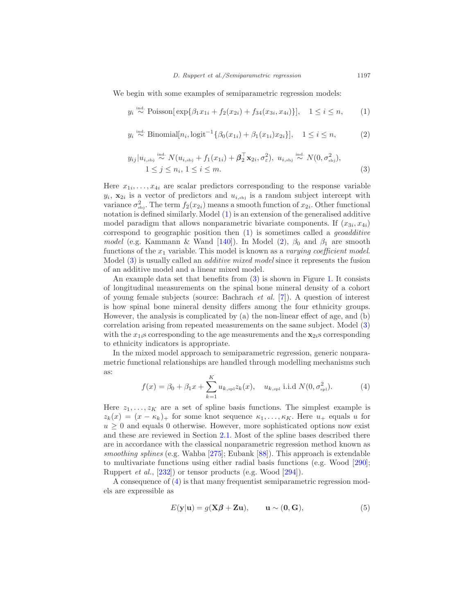<span id="page-4-0"></span>We begin with some examples of semiparametric regression models:

$$
y_i \stackrel{\text{ind.}}{\sim} \text{Poisson}[\exp\{\beta_1 x_{1i} + f_2(x_{2i}) + f_{34}(x_{3i}, x_{4i})\}], \quad 1 \le i \le n,
$$
 (1)

$$
y_i \stackrel{\text{ind.}}{\sim} \text{Binomial}[n_i, \text{logit}^{-1}\{\beta_0(x_{1i}) + \beta_1(x_{1i})x_{2i}\}], \quad 1 \le i \le n,
$$
 (2)

$$
y_{ij}|u_{i,\text{sbj}} \stackrel{\text{ind.}}{\sim} N(u_{i,\text{sbj}} + f_1(x_{1i}) + \boldsymbol{\beta}_2^{\top} \mathbf{x}_{2i}, \sigma_{\varepsilon}^2), u_{i,\text{sbj}} \stackrel{\text{ind.}}{\sim} N(0, \sigma_{\text{sbj}}^2),
$$
  

$$
1 \leq j \leq n_i, 1 \leq i \leq m.
$$
 (3)

Here  $x_{1i}, \ldots, x_{4i}$  are scalar predictors corresponding to the response variable  $y_i$ ,  $\mathbf{x}_{2i}$  is a vector of predictors and  $u_{i, s_{ij}}$  is a random subject intercept with variance  $\sigma_{\text{sbj}}^2$ . The term  $f_2(x_{2i})$  means a smooth function of  $x_{2i}$ . Other functional notation is defined similarly. Model [\(1\)](#page-4-0) is an extension of the generalised additive model paradigm that allows nonparametric bivariate components. If  $(x_{3i}, x_{4i})$ correspond to geographic position then  $(1)$  is sometimes called a *geoadditive* model (e.g. Kammann & Wand [\[140\]](#page-52-1)). In Model [\(2\)](#page-4-0),  $\beta_0$  and  $\beta_1$  are smooth functions of the  $x_1$  variable. This model is known as a varying coefficient model. Model [\(3\)](#page-4-0) is usually called an additive mixed model since it represents the fusion of an additive model and a linear mixed model.

An example data set that benefits from [\(3\)](#page-4-0) is shown in Figure [1.](#page-5-0) It consists of longitudinal measurements on the spinal bone mineral density of a cohort of young female subjects (source: Bachrach et al. [\[7](#page-44-1)]). A question of interest is how spinal bone mineral density differs among the four ethnicity groups. However, the analysis is complicated by (a) the non-linear effect of age, and (b) correlation arising from repeated measurements on the same subject. Model [\(3\)](#page-4-0) with the  $x_{1i}$ s corresponding to the age measurements and the  $x_{2i}$ s corresponding to ethnicity indicators is appropriate.

<span id="page-4-1"></span>In the mixed model approach to semiparametric regression, generic nonparametric functional relationships are handled through modelling mechanisms such as:

$$
f(x) = \beta_0 + \beta_1 x + \sum_{k=1}^{K} u_{k, \text{spl}} z_k(x), \quad u_{k, \text{spl}} \text{ i.i.d } N(0, \sigma_{\text{spl}}^2). \tag{4}
$$

Here  $z_1, \ldots, z_K$  are a set of spline basis functions. The simplest example is  $z_k(x) = (x - \kappa_k)_+$  for some knot sequence  $\kappa_1, \ldots, \kappa_K$ . Here  $u_+$  equals u for  $u \geq 0$  and equals 0 otherwise. However, more sophisticated options now exist and these are reviewed in Section [2.1.](#page-7-2) Most of the spline bases described there are in accordance with the classical nonparametric regression method known as smoothing splines (e.g. Wahba [\[275\]](#page-61-0); Eubank [\[88\]](#page-49-3)). This approach is extendable to multivariate functions using either radial basis functions (e.g. Wood [\[290\]](#page-61-3); Ruppert et al., [\[232\]](#page-58-0)) or tensor products (e.g. Wood [\[294\]](#page-62-2)).

<span id="page-4-2"></span>A consequence of [\(4\)](#page-4-1) is that many frequentist semiparametric regression models are expressible as

$$
E(\mathbf{y}|\mathbf{u}) = g(\mathbf{X}\boldsymbol{\beta} + \mathbf{Z}\mathbf{u}), \qquad \mathbf{u} \sim (\mathbf{0}, \mathbf{G}), \tag{5}
$$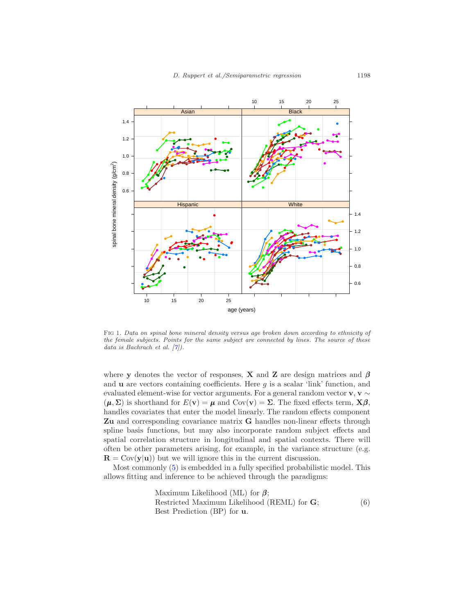

<span id="page-5-0"></span>Fig 1. Data on spinal bone mineral density versus age broken down according to ethnicity of the female subjects. Points for the same subject are connected by lines. The source of these data is Bachrach et al.  $[7]$ .

where y denotes the vector of responses, X and Z are design matrices and  $\beta$ and  $\bf{u}$  are vectors containing coefficients. Here  $g$  is a scalar 'link' function, and evaluated element-wise for vector arguments. For a general random vector  $\mathbf{v}, \mathbf{v} \sim$  $(\mu, \Sigma)$  is shorthand for  $E(\mathbf{v}) = \mu$  and  $Cov(\mathbf{v}) = \Sigma$ . The fixed effects term,  $\mathbf{X}\boldsymbol{\beta}$ , handles covariates that enter the model linearly. The random effects component Zu and corresponding covariance matrix G handles non-linear effects through spline basis functions, but may also incorporate random subject effects and spatial correlation structure in longitudinal and spatial contexts. There will often be other parameters arising, for example, in the variance structure (e.g.  $\mathbf{R} = \text{Cov}(\mathbf{v}|\mathbf{u})$  but we will ignore this in the current discussion.

Most commonly [\(5\)](#page-4-2) is embedded in a fully specified probabilistic model. This allows fitting and inference to be achieved through the paradigms:

> <span id="page-5-1"></span>Maximum Likelihood (ML) for  $\beta$ ; Restricted Maximum Likelihood (REML) for G; Best Prediction (BP) for u. (6)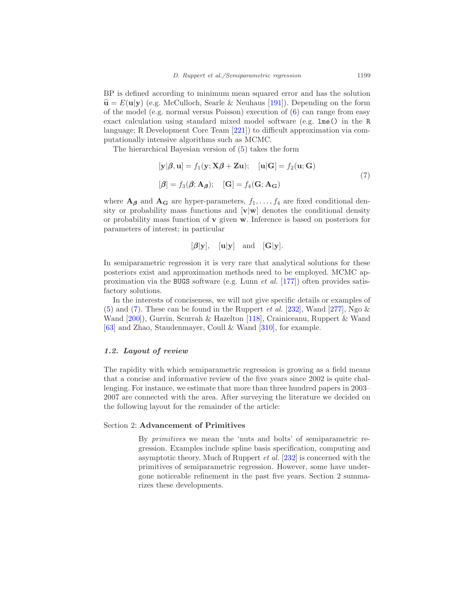BP is defined according to minimum mean squared error and has the solution  $\hat{\mathbf{u}} = E(\mathbf{u}|\mathbf{y})$  (e.g. McCulloch, Searle & Neuhaus [\[191\]](#page-56-0)). Depending on the form of the model (e.g. normal versus Poisson) execution of [\(6\)](#page-5-1) can range from easy exact calculation using standard mixed model software (e.g. lme() in the R language; R Development Core Team [\[221\]](#page-58-1)) to difficult approximation via computationally intensive algorithms such as MCMC.

The hierarchical Bayesian version of [\(5\)](#page-4-2) takes the form

<span id="page-6-1"></span>
$$
[\mathbf{y}|\boldsymbol{\beta}, \mathbf{u}] = f_1(\mathbf{y}; \mathbf{X}\boldsymbol{\beta} + \mathbf{Z}\mathbf{u}); \quad [\mathbf{u}|\mathbf{G}] = f_2(\mathbf{u}; \mathbf{G})
$$
  

$$
[\boldsymbol{\beta}] = f_3(\boldsymbol{\beta}; \mathbf{A}_{\boldsymbol{\beta}}); \quad [\mathbf{G}] = f_4(\mathbf{G}; \mathbf{A}_{\mathbf{G}})
$$
(7)

where  $A_{\beta}$  and  $A_{\beta}$  are hyper-parameters,  $f_1, \ldots, f_4$  are fixed conditional density or probability mass functions and  $[\mathbf{v}|\mathbf{w}]$  denotes the conditional density or probability mass function of v given w. Inference is based on posteriors for parameters of interest; in particular

$$
[\beta|\mathbf{y}], \quad [\mathbf{u}|\mathbf{y}] \quad \text{and} \quad [\mathbf{G}|\mathbf{y}].
$$

In semiparametric regression it is very rare that analytical solutions for these posteriors exist and approximation methods need to be employed. MCMC approximation via the BUGS software (e.g. Lunn et al. [\[177\]](#page-55-0)) often provides satisfactory solutions.

In the interests of conciseness, we will not give specific details or examples of [\(5\)](#page-4-2) and [\(7\)](#page-6-1). These can be found in the Ruppert *et al.* [\[232\]](#page-58-0), Wand [\[277\]](#page-61-4), Ngo  $\&$ Wand [\[200](#page-56-1)]), Gurrin, Scurrah & Hazelton [\[118\]](#page-51-2), Crainiceanu, Ruppert & Wand [\[63\]](#page-48-0) and Zhao, Staudenmayer, Coull & Wand [\[310\]](#page-63-0), for example.

#### <span id="page-6-0"></span>1.2. Layout of review

The rapidity with which semiparametric regression is growing as a field means that a concise and informative review of the five years since 2002 is quite challenging. For instance, we estimate that more than three hundred papers in 2003– 2007 are connected with the area. After surveying the literature we decided on the following layout for the remainder of the article:

#### Section 2: Advancement of Primitives

By primitives we mean the 'nuts and bolts' of semiparametric regression. Examples include spline basis specification, computing and asymptotic theory. Much of Ruppert et al. [\[232\]](#page-58-0) is concerned with the primitives of semiparametric regression. However, some have undergone noticeable refinement in the past five years. Section 2 summarizes these developments.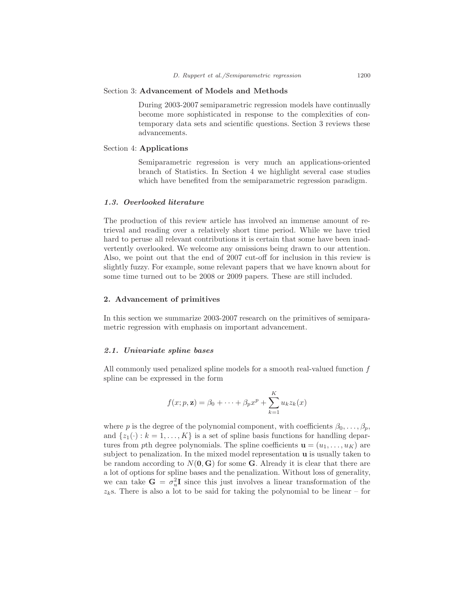#### Section 3: Advancement of Models and Methods

During 2003-2007 semiparametric regression models have continually become more sophisticated in response to the complexities of contemporary data sets and scientific questions. Section 3 reviews these advancements.

## Section 4: Applications

Semiparametric regression is very much an applications-oriented branch of Statistics. In Section 4 we highlight several case studies which have benefited from the semiparametric regression paradigm.

#### <span id="page-7-0"></span>1.3. Overlooked literature

The production of this review article has involved an immense amount of retrieval and reading over a relatively short time period. While we have tried hard to peruse all relevant contributions it is certain that some have been inadvertently overlooked. We welcome any omissions being drawn to our attention. Also, we point out that the end of 2007 cut-off for inclusion in this review is slightly fuzzy. For example, some relevant papers that we have known about for some time turned out to be 2008 or 2009 papers. These are still included.

#### <span id="page-7-1"></span>2. Advancement of primitives

In this section we summarize 2003-2007 research on the primitives of semiparametric regression with emphasis on important advancement.

#### <span id="page-7-2"></span>2.1. Univariate spline bases

All commonly used penalized spline models for a smooth real-valued function f spline can be expressed in the form

$$
f(x; p, \mathbf{z}) = \beta_0 + \dots + \beta_p x^p + \sum_{k=1}^K u_k z_k(x)
$$

where p is the degree of the polynomial component, with coefficients  $\beta_0, \ldots, \beta_p$ , and  $\{z_1(\cdot): k = 1, \ldots, K\}$  is a set of spline basis functions for handling departures from pth degree polynomials. The spline coefficients  $\mathbf{u} = (u_1, \ldots, u_K)$  are subject to penalization. In the mixed model representation u is usually taken to be random according to  $N(\mathbf{0}, \mathbf{G})$  for some **G**. Already it is clear that there are a lot of options for spline bases and the penalization. Without loss of generality, we can take  $G = \sigma_u^2 I$  since this just involves a linear transformation of the  $z<sub>k</sub>$ s. There is also a lot to be said for taking the polynomial to be linear – for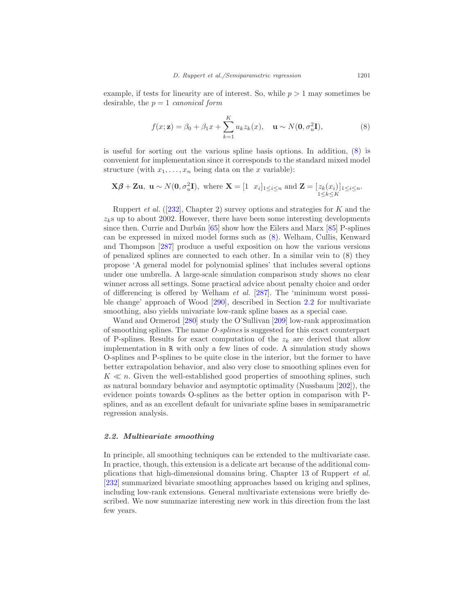example, if tests for linearity are of interest. So, while  $p > 1$  may sometimes be desirable, the  $p = 1$  canonical form

<span id="page-8-1"></span>
$$
f(x; \mathbf{z}) = \beta_0 + \beta_1 x + \sum_{k=1}^{K} u_k z_k(x), \quad \mathbf{u} \sim N(\mathbf{0}, \sigma_u^2 \mathbf{I}),
$$
 (8)

is useful for sorting out the various spline basis options. In addition, [\(8\)](#page-8-1) is convenient for implementation since it corresponds to the standard mixed model structure (with  $x_1, \ldots, x_n$  being data on the x variable):

$$
\mathbf{X}\boldsymbol{\beta} + \mathbf{Z}\mathbf{u}, \ \mathbf{u} \sim N(\mathbf{0}, \sigma_u^2 \mathbf{I}), \text{ where } \mathbf{X} = \begin{bmatrix} 1 & x_i \end{bmatrix} \begin{bmatrix} 1 \leq i \leq n \end{bmatrix} \text{ and } \mathbf{Z} = \begin{bmatrix} z_k(x_i) \end{bmatrix} \begin{bmatrix} 1 \leq i \leq n \end{bmatrix}.
$$

Ruppert *et al.* ([\[232](#page-58-0)], Chapter 2) survey options and strategies for K and the  $z<sub>k</sub>$ s up to about 2002. However, there have been some interesting developments since then. Currie and Durbán  $[65]$  show how the Eilers and Marx  $[85]$  P-splines can be expressed in mixed model forms such as [\(8\)](#page-8-1). Welham, Cullis, Kenward and Thompson [\[287\]](#page-61-5) produce a useful exposition on how the various versions of penalized splines are connected to each other. In a similar vein to [\(8\)](#page-8-1) they propose 'A general model for polynomial splines' that includes several options under one umbrella. A large-scale simulation comparison study shows no clear winner across all settings. Some practical advice about penalty choice and order of differencing is offered by Welham *et al.* [\[287\]](#page-61-5). The 'minimum worst possible change' approach of Wood [\[290\]](#page-61-3), described in Section [2.2](#page-8-0) for multivariate smoothing, also yields univariate low-rank spline bases as a special case.

Wand and Ormerod [\[280\]](#page-61-6) study the O'Sullivan [\[209](#page-57-2)] low-rank approximation of smoothing splines. The name O-splines is suggested for this exact counterpart of P-splines. Results for exact computation of the  $z_k$  are derived that allow implementation in R with only a few lines of code. A simulation study shows O-splines and P-splines to be quite close in the interior, but the former to have better extrapolation behavior, and also very close to smoothing splines even for  $K \ll n$ . Given the well-established good properties of smoothing splines, such as natural boundary behavior and asymptotic optimality (Nussbaum [\[202\]](#page-56-2)), the evidence points towards O-splines as the better option in comparison with Psplines, and as an excellent default for univariate spline bases in semiparametric regression analysis.

#### <span id="page-8-0"></span>2.2. Multivariate smoothing

In principle, all smoothing techniques can be extended to the multivariate case. In practice, though, this extension is a delicate art because of the additional complications that high-dimensional domains bring. Chapter 13 of Ruppert et al. [\[232\]](#page-58-0) summarized bivariate smoothing approaches based on kriging and splines, including low-rank extensions. General multivariate extensions were briefly described. We now summarize interesting new work in this direction from the last few years.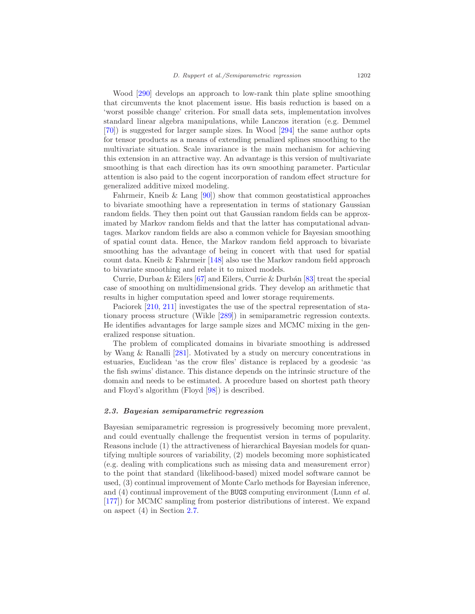Wood [\[290](#page-61-3)] develops an approach to low-rank thin plate spline smoothing that circumvents the knot placement issue. His basis reduction is based on a 'worst possible change' criterion. For small data sets, implementation involves standard linear algebra manipulations, while Lanczos iteration (e.g. Demmel [\[70\]](#page-48-2)) is suggested for larger sample sizes. In Wood [\[294](#page-62-2)] the same author opts for tensor products as a means of extending penalized splines smoothing to the multivariate situation. Scale invariance is the main mechanism for achieving this extension in an attractive way. An advantage is this version of multivariate smoothing is that each direction has its own smoothing parameter. Particular attention is also paid to the cogent incorporation of random effect structure for generalized additive mixed modeling.

Fahrmeir, Kneib & Lang [\[90](#page-49-4)]) show that common geostatistical approaches to bivariate smoothing have a representation in terms of stationary Gaussian random fields. They then point out that Gaussian random fields can be approximated by Markov random fields and that the latter has computational advantages. Markov random fields are also a common vehicle for Bayesian smoothing of spatial count data. Hence, the Markov random field approach to bivariate smoothing has the advantage of being in concert with that used for spatial count data. Kneib & Fahrmeir [\[148\]](#page-53-0) also use the Markov random field approach to bivariate smoothing and relate it to mixed models.

Currie, Durban & Eilers [\[67\]](#page-48-3) and Eilers, Currie & Durbán [\[83](#page-49-5)] treat the special case of smoothing on multidimensional grids. They develop an arithmetic that results in higher computation speed and lower storage requirements.

Paciorek [\[210](#page-57-4), [211](#page-57-5)] investigates the use of the spectral representation of stationary process structure (Wikle [\[289\]](#page-61-7)) in semiparametric regression contexts. He identifies advantages for large sample sizes and MCMC mixing in the generalized response situation.

The problem of complicated domains in bivariate smoothing is addressed by Wang & Ranalli [\[281\]](#page-61-8). Motivated by a study on mercury concentrations in estuaries, Euclidean 'as the crow files' distance is replaced by a geodesic 'as the fish swims' distance. This distance depends on the intrinsic structure of the domain and needs to be estimated. A procedure based on shortest path theory and Floyd's algorithm (Floyd [\[98\]](#page-50-1)) is described.

#### <span id="page-9-0"></span>2.3. Bayesian semiparametric regression

Bayesian semiparametric regression is progressively becoming more prevalent, and could eventually challenge the frequentist version in terms of popularity. Reasons include (1) the attractiveness of hierarchical Bayesian models for quantifying multiple sources of variability, (2) models becoming more sophisticated (e.g. dealing with complications such as missing data and measurement error) to the point that standard (likelihood-based) mixed model software cannot be used, (3) continual improvement of Monte Carlo methods for Bayesian inference, and  $(4)$  continual improvement of the BUGS computing environment (Lunn *et al.*) [\[177\]](#page-55-0)) for MCMC sampling from posterior distributions of interest. We expand on aspect (4) in Section [2.7.](#page-16-0)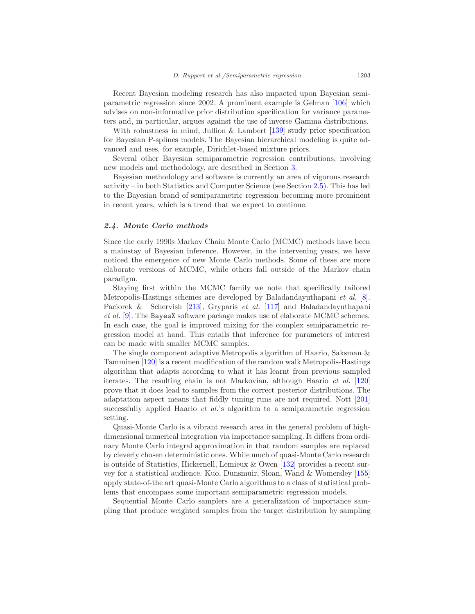Recent Bayesian modeling research has also impacted upon Bayesian semiparametric regression since 2002. A prominent example is Gelman [\[106\]](#page-50-2) which advises on non-informative prior distribution specification for variance parameters and, in particular, argues against the use of inverse Gamma distributions.

With robustness in mind, Jullion & Lambert [\[139](#page-52-2)] study prior specification for Bayesian P-splines models. The Bayesian hierarchical modeling is quite advanced and uses, for example, Dirichlet-based mixture priors.

Several other Bayesian semiparametric regression contributions, involving new models and methodology, are described in Section [3.](#page-18-0)

Bayesian methodology and software is currently an area of vigorous research activity – in both Statistics and Computer Science (see Section [2.5\)](#page-11-0). This has led to the Bayesian brand of semiparametric regression becoming more prominent in recent years, which is a trend that we expect to continue.

#### <span id="page-10-0"></span>2.4. Monte Carlo methods

Since the early 1990s Markov Chain Monte Carlo (MCMC) methods have been a mainstay of Bayesian inference. However, in the intervening years, we have noticed the emergence of new Monte Carlo methods. Some of these are more elaborate versions of MCMC, while others fall outside of the Markov chain paradigm.

Staying first within the MCMC family we note that specifically tailored Metropolis-Hastings schemes are developed by Baladandayuthapani et al. [\[8\]](#page-44-2). Paciorek & Schervish [\[213\]](#page-57-6), Gryparis et al. [\[117\]](#page-51-3) and Baladandayuthapani et al. [\[9](#page-44-3)]. The BayesX software package makes use of elaborate MCMC schemes. In each case, the goal is improved mixing for the complex semiparametric regression model at hand. This entails that inference for parameters of interest can be made with smaller MCMC samples.

The single component adaptive Metropolis algorithm of Haario, Saksman & Tamminen [\[120\]](#page-51-4) is a recent modification of the random walk Metropolis-Hastings algorithm that adapts according to what it has learnt from previous sampled iterates. The resulting chain is not Markovian, although Haario et al. [\[120\]](#page-51-4) prove that it does lead to samples from the correct posterior distributions. The adaptation aspect means that fiddly tuning runs are not required. Nott [\[201\]](#page-56-3) successfully applied Haario *et al.*'s algorithm to a semiparametric regression setting.

Quasi-Monte Carlo is a vibrant research area in the general problem of highdimensional numerical integration via importance sampling. It differs from ordinary Monte Carlo integral approximation in that random samples are replaced by cleverly chosen deterministic ones. While much of quasi-Monte Carlo research is outside of Statistics, Hickernell, Lemieux & Owen [\[132\]](#page-52-3) provides a recent survey for a statistical audience. Kuo, Dunsmuir, Sloan, Wand & Womersley [\[155\]](#page-53-1) apply state-of-the art quasi-Monte Carlo algorithms to a class of statistical problems that encompass some important semiparametric regression models.

Sequential Monte Carlo samplers are a generalization of importance sampling that produce weighted samples from the target distribution by sampling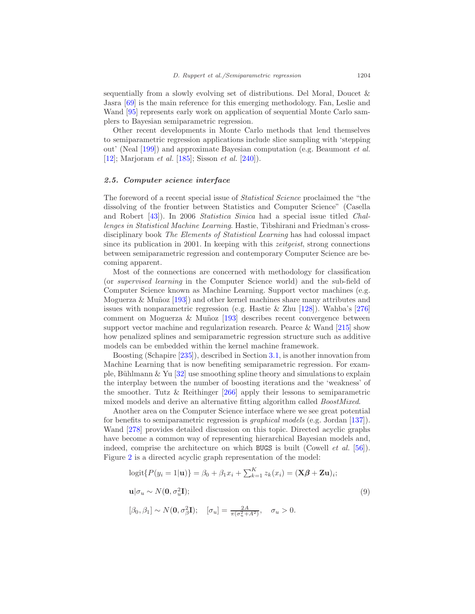sequentially from a slowly evolving set of distributions. Del Moral, Doucet & Jasra [\[69\]](#page-48-4) is the main reference for this emerging methodology. Fan, Leslie and Wand [\[95](#page-50-3)] represents early work on application of sequential Monte Carlo samplers to Bayesian semiparametric regression.

Other recent developments in Monte Carlo methods that lend themselves to semiparametric regression applications include slice sampling with 'stepping out' (Neal [\[199\]](#page-56-4)) and approximate Bayesian computation (e.g. Beaumont et al. [\[12\]](#page-45-0); Marjoram *et al.* [\[185](#page-55-1)]; Sisson *et al.* [\[240](#page-59-1)]).

# <span id="page-11-0"></span>2.5. Computer science interface

The foreword of a recent special issue of *Statistical Science* proclaimed the "the dissolving of the frontier between Statistics and Computer Science" (Casella and Robert [\[43\]](#page-47-1)). In 2006 Statistica Sinica had a special issue titled Challenges in Statistical Machine Learning. Hastie, Tibshirani and Friedman's crossdisciplinary book The Elements of Statistical Learning has had colossal impact since its publication in 2001. In keeping with this *zeitgeist*, strong connections between semiparametric regression and contemporary Computer Science are becoming apparent.

Most of the connections are concerned with methodology for classification (or supervised learning in the Computer Science world) and the sub-field of Computer Science known as Machine Learning. Support vector machines (e.g. Moguerza  $\&$  Muñoz [\[193\]](#page-56-5)) and other kernel machines share many attributes and issues with nonparametric regression (e.g. Hastie  $&$  Zhu [\[128\]](#page-52-4)). Wahba's [\[276\]](#page-61-9) comment on Moguerza  $\&$  Muñoz [\[193](#page-56-5)] describes recent convergence between support vector machine and regularization research. Pearce & Wand [\[215\]](#page-57-7) show how penalized splines and semiparametric regression structure such as additive models can be embedded within the kernel machine framework.

Boosting (Schapire [\[235\]](#page-58-2)), described in Section [3.1,](#page-18-1) is another innovation from Machine Learning that is now benefiting semiparametric regression. For example, Bühlmann  $\&$  Yu [\[32\]](#page-46-0) use smoothing spline theory and simulations to explain the interplay between the number of boosting iterations and the 'weakness' of the smoother. Tutz & Reithinger [\[266\]](#page-60-2) apply their lessons to semiparametric mixed models and derive an alternative fitting algorithm called BoostMixed.

Another area on the Computer Science interface where we see great potential for benefits to semiparametric regression is graphical models (e.g. Jordan [\[137](#page-52-5)]). Wand [\[278\]](#page-61-10) provides detailed discussion on this topic. Directed acyclic graphs have become a common way of representing hierarchical Bayesian models and, indeed, comprise the architecture on which BUGS is built (Cowell et al. [\[56](#page-47-2)]). Figure [2](#page-12-0) is a directed acyclic graph representation of the model:

<span id="page-11-1"></span>
$$
logit\{P(y_i = 1|\mathbf{u})\} = \beta_0 + \beta_1 x_i + \sum_{k=1}^{K} z_k(x_i) = (\mathbf{X}\boldsymbol{\beta} + \mathbf{Z}\mathbf{u})_i;
$$
  

$$
\mathbf{u}|\sigma_u \sim N(\mathbf{0}, \sigma_u^2 \mathbf{I});
$$
  

$$
[\beta_0, \beta_1] \sim N(\mathbf{0}, \sigma_\beta^2 \mathbf{I}); \quad [\sigma_u] = \frac{2A}{\pi(\sigma_u^2 + A^2)}, \quad \sigma_u > 0.
$$
 (9)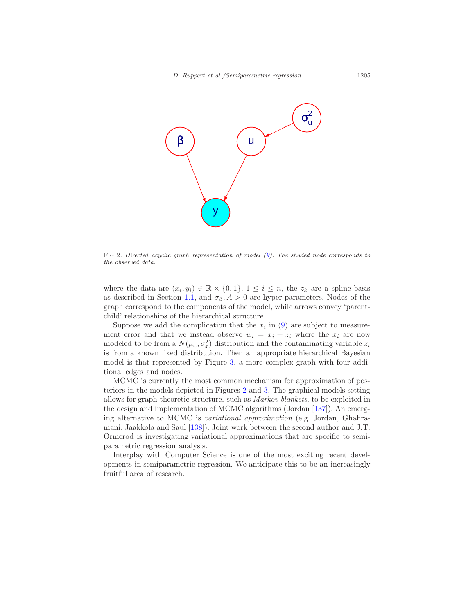

<span id="page-12-0"></span>Fig 2. Directed acyclic graph representation of model [\(9\)](#page-11-1). The shaded node corresponds to the observed data.

where the data are  $(x_i, y_i) \in \mathbb{R} \times \{0, 1\}, 1 \leq i \leq n$ , the  $z_k$  are a spline basis as described in Section [1.1,](#page-3-0) and  $\sigma_{\beta}$ ,  $A > 0$  are hyper-parameters. Nodes of the graph correspond to the components of the model, while arrows convey 'parentchild' relationships of the hierarchical structure.

Suppose we add the complication that the  $x_i$  in [\(9\)](#page-11-1) are subject to measurement error and that we instead observe  $w_i = x_i + z_i$  where the  $x_i$  are now modeled to be from a  $N(\mu_x, \sigma_x^2)$  distribution and the contaminating variable  $z_i$ is from a known fixed distribution. Then an appropriate hierarchical Bayesian model is that represented by Figure [3,](#page-13-1) a more complex graph with four additional edges and nodes.

MCMC is currently the most common mechanism for approximation of posteriors in the models depicted in Figures [2](#page-12-0) and [3.](#page-13-1) The graphical models setting allows for graph-theoretic structure, such as Markov blankets, to be exploited in the design and implementation of MCMC algorithms (Jordan [\[137](#page-52-5)]). An emerging alternative to MCMC is variational approximation (e.g. Jordan, Ghahramani, Jaakkola and Saul [\[138\]](#page-52-6)). Joint work between the second author and J.T. Ormerod is investigating variational approximations that are specific to semiparametric regression analysis.

Interplay with Computer Science is one of the most exciting recent developments in semiparametric regression. We anticipate this to be an increasingly fruitful area of research.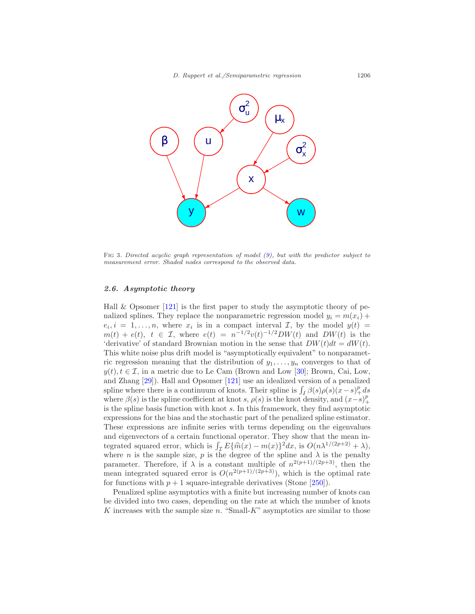

<span id="page-13-1"></span>FIG 3. Directed acyclic graph representation of model [\(9\)](#page-11-1), but with the predictor subject to measurement error. Shaded nodes correspond to the observed data.

#### <span id="page-13-0"></span>2.6. Asymptotic theory

Hall  $&$  Opsomer [\[121\]](#page-51-5) is the first paper to study the asymptotic theory of penalized splines. They replace the nonparametric regression model  $y_i = m(x_i) +$  $e_i, i = 1, \ldots, n$ , where  $x_i$  is in a compact interval  $\mathcal{I}$ , by the model  $y(t) =$  $m(t) + e(t)$ ,  $t \in \mathcal{I}$ , where  $e(t) = n^{-1/2}v(t)^{-1/2}DW(t)$  and  $DW(t)$  is the 'derivative' of standard Brownian motion in the sense that  $DW(t)dt = dW(t)$ . This white noise plus drift model is "asymptotically equivalent" to nonparametric regression meaning that the distribution of  $y_1, \ldots, y_n$  converges to that of  $y(t)$ ,  $t \in \mathcal{I}$ , in a metric due to Le Cam (Brown and Low [\[30](#page-46-1)]; Brown, Cai, Low, and Zhang [\[29\]](#page-46-2)). Hall and Opsomer [\[121\]](#page-51-5) use an idealized version of a penalized spline where there is a continuum of knots. Their spline is  $\int_I \beta(s)\rho(s)(x-s)_+^p ds$ where  $\beta(s)$  is the spline coefficient at knot s,  $\rho(s)$  is the knot density, and  $(x-s)_+^p$ is the spline basis function with knot s. In this framework, they find asymptotic expressions for the bias and the stochastic part of the penalized spline estimator. These expressions are infinite series with terms depending on the eigenvalues and eigenvectors of a certain functional operator. They show that the mean integrated squared error, which is  $\int_{\mathcal{I}} E{\{\hat{m}(x) - m(x)\}}^2 dx$ , is  $O(n\lambda^{1/(2p+2)} + \lambda)$ , where *n* is the sample size, *p* is the degree of the spline and  $\lambda$  is the penalty parameter. Therefore, if  $\lambda$  is a constant multiple of  $n^{2(p+1)/(2p+3)}$ , then the mean integrated squared error is  $O(n^{2(p+1)/(2p+3)})$ , which is the optimal rate for functions with  $p + 1$  square-integrable derivatives (Stone [\[250\]](#page-59-2)).

Penalized spline asymptotics with a finite but increasing number of knots can be divided into two cases, depending on the rate at which the number of knots K increases with the sample size  $n$ . "Small-K" asymptotics are similar to those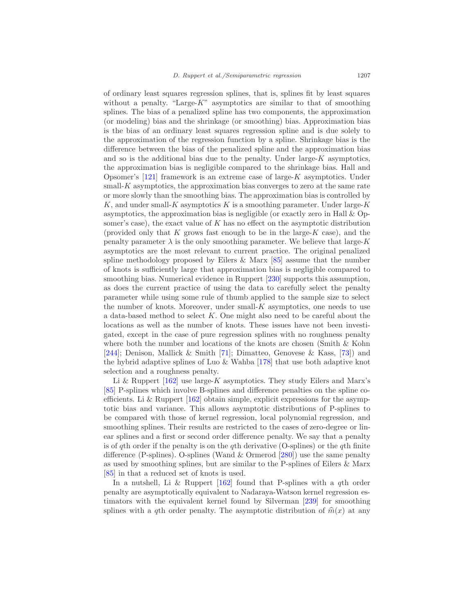of ordinary least squares regression splines, that is, splines fit by least squares without a penalty. "Large- $K$ " asymptotics are similar to that of smoothing splines. The bias of a penalized spline has two components, the approximation (or modeling) bias and the shrinkage (or smoothing) bias. Approximation bias is the bias of an ordinary least squares regression spline and is due solely to the approximation of the regression function by a spline. Shrinkage bias is the difference between the bias of the penalized spline and the approximation bias and so is the additional bias due to the penalty. Under large- $K$  asymptotics, the approximation bias is negligible compared to the shrinkage bias. Hall and Opsomer's  $[121]$  framework is an extreme case of large-K asymptotics. Under  $small-K$  asymptotics, the approximation bias converges to zero at the same rate or more slowly than the smoothing bias. The approximation bias is controlled by K, and under small-K asymptotics K is a smoothing parameter. Under large-K asymptotics, the approximation bias is negligible (or exactly zero in Hall & Opsomer's case), the exact value of  $K$  has no effect on the asymptotic distribution (provided only that K grows fast enough to be in the large- $K$  case), and the penalty parameter  $\lambda$  is the only smoothing parameter. We believe that large- $K$ asymptotics are the most relevant to current practice. The original penalized spline methodology proposed by Eilers  $\&$  Marx [\[85\]](#page-49-2) assume that the number of knots is sufficiently large that approximation bias is negligible compared to smoothing bias. Numerical evidence in Ruppert [\[230](#page-58-3)] supports this assumption, as does the current practice of using the data to carefully select the penalty parameter while using some rule of thumb applied to the sample size to select the number of knots. Moreover, under small- $K$  asymptotics, one needs to use a data-based method to select K. One might also need to be careful about the locations as well as the number of knots. These issues have not been investigated, except in the case of pure regression splines with no roughness penalty where both the number and locations of the knots are chosen (Smith & Kohn [\[244\]](#page-59-3); Denison, Mallick & Smith [\[71\]](#page-48-5); Dimatteo, Genovese & Kass, [\[73](#page-49-6)]) and the hybrid adaptive splines of Luo & Wahba [\[178\]](#page-55-2) that use both adaptive knot selection and a roughness penalty.

Li & Ruppert  $[162]$  use large-K asymptotics. They study Eilers and Marx's [\[85\]](#page-49-2) P-splines which involve B-splines and difference penalties on the spline coefficients. Li & Ruppert  $[162]$  obtain simple, explicit expressions for the asymptotic bias and variance. This allows asymptotic distributions of P-splines to be compared with those of kernel regression, local polynomial regression, and smoothing splines. Their results are restricted to the cases of zero-degree or linear splines and a first or second order difference penalty. We say that a penalty is of qth order if the penalty is on the qth derivative (O-splines) or the qth finite difference (P-splines). O-splines (Wand  $\&$  Ormerod [\[280\]](#page-61-6)) use the same penalty as used by smoothing splines, but are similar to the P-splines of Eilers & Marx [\[85\]](#page-49-2) in that a reduced set of knots is used.

In a nutshell, Li & Ruppert  $[162]$  found that P-splines with a qth order penalty are asymptotically equivalent to Nadaraya-Watson kernel regression estimators with the equivalent kernel found by Silverman [\[239](#page-59-4)] for smoothing splines with a qth order penalty. The asymptotic distribution of  $\hat{m}(x)$  at any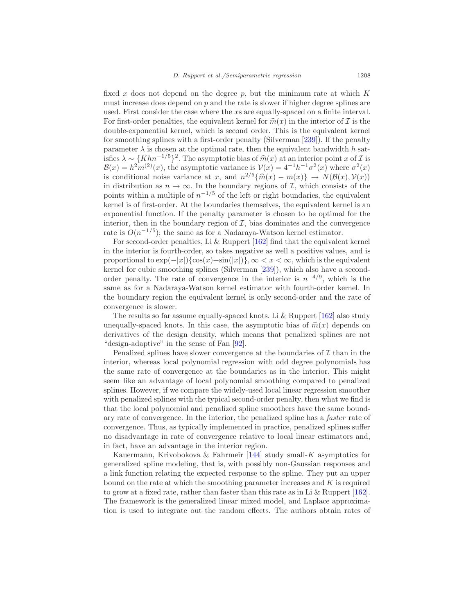fixed x does not depend on the degree  $p$ , but the minimum rate at which  $K$ must increase does depend on  $p$  and the rate is slower if higher degree splines are used. First consider the case where the xs are equally-spaced on a finite interval. For first-order penalties, the equivalent kernel for  $\widehat{m}(x)$  in the interior of I is the double-exponential kernel, which is second order. This is the equivalent kernel for smoothing splines with a first-order penalty (Silverman [\[239\]](#page-59-4)). If the penalty parameter  $\lambda$  is chosen at the optimal rate, then the equivalent bandwidth h satisfies  $\lambda \sim \{Khn^{-1/5}\}^2$ . The asymptotic bias of  $\widehat{m}(x)$  at an interior point x of  $\mathcal{I}$  is  $\mathcal{B}(x) = h^2 m^{(2)}(x)$ , the asymptotic variance is  $\mathcal{V}(x) = 4^{-1}h^{-1}\sigma^2(x)$  where  $\sigma^2(x)$ is conditional noise variance at x, and  $n^{2/5} {\hat m}(x) - m(x) \rightarrow N(\mathcal{B}(x), \mathcal{V}(x))$ in distribution as  $n \to \infty$ . In the boundary regions of *I*, which consists of the points within a multiple of  $n^{-1/5}$  of the left or right boundaries, the equivalent kernel is of first-order. At the boundaries themselves, the equivalent kernel is an exponential function. If the penalty parameter is chosen to be optimal for the interior, then in the boundary region of  $\mathcal{I}$ , bias dominates and the convergence rate is  $O(n^{-1/5})$ ; the same as for a Nadaraya-Watson kernel estimator.

For second-order penalties, Li & Ruppert [\[162\]](#page-54-0) find that the equivalent kernel in the interior is fourth-order, so takes negative as well a positive values, and is proportional to  $\exp(-|x|)\{\cos(x)+\sin(|x|)\}\, \infty \leq x \leq \infty$ , which is the equivalent kernel for cubic smoothing splines (Silverman [\[239](#page-59-4)]), which also have a secondorder penalty. The rate of convergence in the interior is  $n^{-4/9}$ , which is the same as for a Nadaraya-Watson kernel estimator with fourth-order kernel. In the boundary region the equivalent kernel is only second-order and the rate of convergence is slower.

The results so far assume equally-spaced knots. Li  $\&$  Ruppert [\[162\]](#page-54-0) also study unequally-spaced knots. In this case, the asymptotic bias of  $\hat{m}(x)$  depends on derivatives of the design density, which means that penalized splines are not "design-adaptive" in the sense of Fan [\[92\]](#page-50-4).

Penalized splines have slower convergence at the boundaries of  $\mathcal I$  than in the interior, whereas local polynomial regression with odd degree polynomials has the same rate of convergence at the boundaries as in the interior. This might seem like an advantage of local polynomial smoothing compared to penalized splines. However, if we compare the widely-used local linear regression smoother with penalized splines with the typical second-order penalty, then what we find is that the local polynomial and penalized spline smoothers have the same boundary rate of convergence. In the interior, the penalized spline has a faster rate of convergence. Thus, as typically implemented in practice, penalized splines suffer no disadvantage in rate of convergence relative to local linear estimators and, in fact, have an advantage in the interior region.

Kauermann, Krivobokova & Fahrmeir  $[144]$  study small-K asymptotics for generalized spline modeling, that is, with possibly non-Gaussian responses and a link function relating the expected response to the spline. They put an upper bound on the rate at which the smoothing parameter increases and K is required to grow at a fixed rate, rather than faster than this rate as in Li  $&$  Ruppert [\[162\]](#page-54-0). The framework is the generalized linear mixed model, and Laplace approximation is used to integrate out the random effects. The authors obtain rates of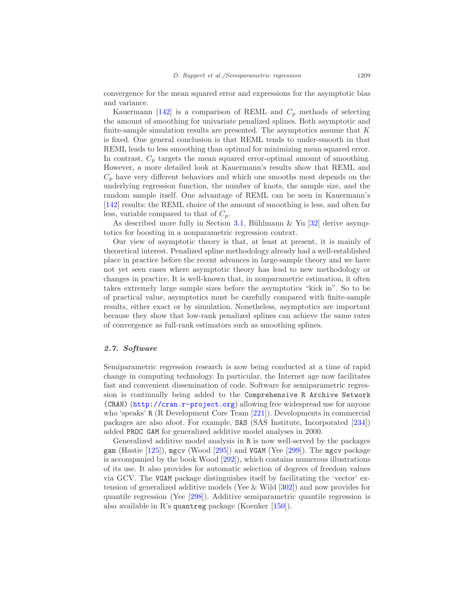convergence for the mean squared error and expressions for the asymptotic bias and variance.

Kauermann [\[142](#page-53-3)] is a comparison of REML and  $C_p$  methods of selecting the amount of smoothing for univariate penalized splines. Both asymptotic and finite-sample simulation results are presented. The asymptotics assume that  $K$ is fixed. One general conclusion is that REML tends to under-smooth in that REML leads to less smoothing than optimal for minimizing mean squared error. In contrast,  $C_p$  targets the mean squared error-optimal amount of smoothing. However, a more detailed look at Kauermann's results show that REML and  $C_p$  have very different behaviors and which one smooths most depends on the underlying regression function, the number of knots, the sample size, and the random sample itself. One advantage of REML can be seen in Kauermann's [\[142\]](#page-53-3) results: the REML choice of the amount of smoothing is less, and often far less, variable compared to that of  $C_p$ .

As described more fully in Section [3.1,](#page-18-1) Bühlmann & Yu  $[32]$  derive asymptotics for boosting in a nonparametric regression context.

Our view of asymptotic theory is that, at least at present, it is mainly of theoretical interest. Penalized spline methodology already had a well-established place in practice before the recent advances in large-sample theory and we have not yet seen cases where asymptotic theory has lead to new methodology or changes in practice. It is well-known that, in nonparametric estimation, it often takes extremely large sample sizes before the asymptotics "kick in". So to be of practical value, asymptotics must be carefully compared with finite-sample results, either exact or by simulation. Nonetheless, asymptotics are important because they show that low-rank penalized splines can achieve the same rates of convergence as full-rank estimators such as smoothing splines.

## <span id="page-16-0"></span>2.7. Software

Semiparametric regression research is now being conducted at a time of rapid change in computing technology. In particular, the Internet age now facilitates fast and convenient dissemination of code. Software for semiparametric regression is continually being added to the Comprehensive R Archive Network (CRAN) (<http://cran.r-project.org>) allowing free widespread use for anyone who 'speaks' R (R Development Core Team [\[221\]](#page-58-1)). Developments in commercial packages are also afoot. For example, SAS (SAS Institute, Incorporated [\[234\]](#page-58-4)) added PROC GAM for generalized additive model analyses in 2000.

Generalized additive model analysis in R is now well-served by the packages gam (Hastie [\[125](#page-52-7)]), mgcv (Wood [\[295\]](#page-62-1)) and VGAM (Yee [\[299\]](#page-62-3)). The mgcv package is accompanied by the book Wood [\[292\]](#page-62-0)), which contains numerous illustrations of its use. It also provides for automatic selection of degrees of freedom values via GCV. The VGAM package distinguishes itself by facilitating the 'vector' extension of generalized additive models (Yee & Wild [\[302](#page-62-4)]) and now provides for quantile regression (Yee [\[298\]](#page-62-5)). Additive semiparametric quantile regression is also available in R's quantreg package (Koenker [\[150](#page-53-4)]).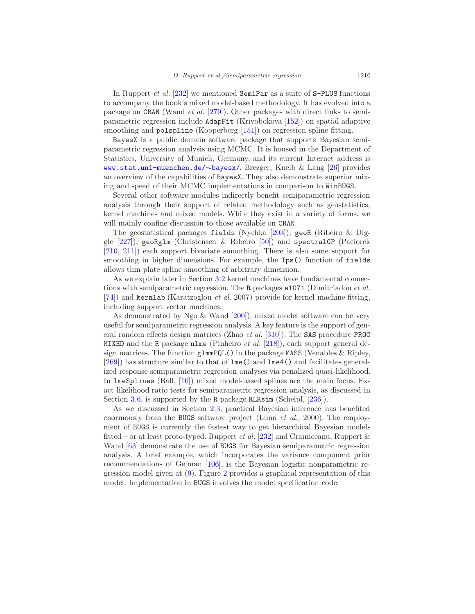In Ruppert *et al.* [\[232](#page-58-0)] we mentioned SemiPar as a suite of S-PLUS functions to accompany the book's mixed model-based methodology. It has evolved into a package on CRAN (Wand et al. [\[279](#page-61-11)]). Other packages with direct links to semiparametric regression include AdapFit (Krivobokova [\[152](#page-53-5)]) on spatial adaptive smoothing and polspline (Kooperberg [\[151\]](#page-53-6)) on regression spline fitting.

BayesX is a public domain software package that supports Bayesian semiparametric regression analysis using MCMC. It is housed in the Department of Statistics, University of Munich, Germany, and its current Internet address is [www.stat.uni-muenchen.de/](http://www.stat.uni-muenchen.de/~bayesx/)∼bayesx/. Brezger, Kneib & Lang [\[26\]](#page-46-3) provides an overview of the capabilities of BayesX. They also demonstrate superior mixing and speed of their MCMC implementations in comparison to WinBUGS.

Several other software modules indirectly benefit semiparametric regression analysis through their support of related methodology such as geostatistics, kernel machines and mixed models. While they exist in a variety of forms, we will mainly confine discussion to those available on **CRAN**.

The geostatistical packages fields (Nychka [\[203](#page-57-8)]), geoR (Ribeiro & Diggle [\[227\]](#page-58-5)), geoRglm (Christensen & Ribeiro [\[50\]](#page-47-3)) and spectralGP (Paciorek [\[210,](#page-57-4) [211\]](#page-57-5)) each support bivariate smoothing. There is also some support for smoothing in higher dimensions. For example, the Tps() function of fields allows thin plate spline smoothing of arbitrary dimension.

As we explain later in Section [3.2](#page-19-0) kernel machines have fundamental connections with semiparametric regression. The R packages e1071 (Dimitriadou et al. [\[74\]](#page-49-7)) and kernlab (Karatzoglou et al. 2007) provide for kernel machine fitting, including support vector machines.

As demonstrated by Ngo & Wand [\[200\]](#page-56-1)), mixed model software can be very useful for semiparametric regression analysis. A key feature is the support of general random effects design matrices (Zhao et al. [\[310\]](#page-63-0)). The SAS procedure PROC MIXED and the R package nlme (Pinheiro *et al.* [\[218\]](#page-57-9)), each support general design matrices. The function glmmPQL() in the package MASS (Venables & Ripley, [\[269\]](#page-60-3)) has structure similar to that of lme() and lme4() and facilitates generalized response semiparametric regression analyses via penalized quasi-likelihood. In lmeSplines (Ball, [\[10](#page-45-1)]) mixed model-based splines are the main focus. Exact likelihood ratio tests for semiparametric regression analysis, as discussed in Section [3.6,](#page-24-0) is supported by the R package RLRsim (Scheipl, [\[236](#page-58-6)]).

As we discussed in Section [2.3,](#page-9-0) practical Bayesian inference has benefited enormously from the BUGS software project (Lunn et al., 2000). The employment of BUGS is currently the fastest way to get hierarchical Bayesian models fitted – or at least proto-typed. Ruppert *et al.* [\[232\]](#page-58-0) and Crainiceanu, Ruppert  $\&$ Wand [\[63](#page-48-0)] demonstrate the use of BUGS for Bayesian semiparametric regression analysis. A brief example, which incorporates the variance component prior recommendations of Gelman [\[106](#page-50-2)], is the Bayesian logistic nonparametric regression model given at [\(9\)](#page-11-1). Figure [2](#page-12-0) provides a graphical representation of this model. Implementation in BUGS involves the model specification code: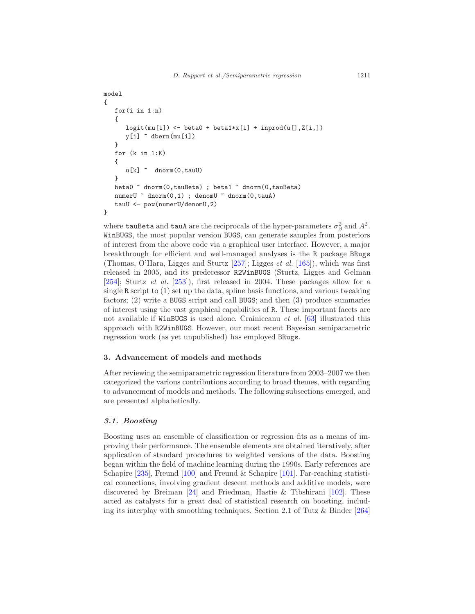```
model
{
   for(i in 1:n)
   {
      logit(mu[i]) \leftarrow beta0 + beta1*x[i] + inprod(u[], Z[i,])y[i] ~ dbern(mu[i])
   }
   for (k in 1:K)
   {
      u[k] ~ dnorm(0,tauU)
   }
   beta0 ~ dnorm(0,tauBeta) ; beta1 ~ dnorm(0,tauBeta)
   numerU ~ dnorm(0,1) ; denomU ~ dnorm(0,tauA)
   tauU <- pow(numerU/denomU,2)
}
```
where  $\tt{tauBeta}$  and  $\tt{tau}$  are the reciprocals of the hyper-parameters  $\sigma_{\beta}^2$  and  $A^2.$ WinBUGS, the most popular version BUGS, can generate samples from posteriors of interest from the above code via a graphical user interface. However, a major breakthrough for efficient and well-managed analyses is the R package BRugs (Thomas, O'Hara, Ligges and Sturtz [\[257\]](#page-60-4); Ligges et al. [\[165\]](#page-54-1)), which was first released in 2005, and its predecessor R2WinBUGS (Sturtz, Ligges and Gelman [\[254\]](#page-59-5); Sturtz et al. [\[253\]](#page-59-6)), first released in 2004. These packages allow for a single R script to (1) set up the data, spline basis functions, and various tweaking factors; (2) write a BUGS script and call BUGS; and then (3) produce summaries of interest using the vast graphical capabilities of R. These important facets are not available if WinBUGS is used alone. Crainiceanu et al. [\[63\]](#page-48-0) illustrated this approach with R2WinBUGS. However, our most recent Bayesian semiparametric regression work (as yet unpublished) has employed BRugs.

#### <span id="page-18-0"></span>3. Advancement of models and methods

After reviewing the semiparametric regression literature from 2003–2007 we then categorized the various contributions according to broad themes, with regarding to advancement of models and methods. The following subsections emerged, and are presented alphabetically.

# <span id="page-18-1"></span>3.1. Boosting

Boosting uses an ensemble of classification or regression fits as a means of improving their performance. The ensemble elements are obtained iteratively, after application of standard procedures to weighted versions of the data. Boosting began within the field of machine learning during the 1990s. Early references are Schapire  $[235]$ , Freund  $[100]$  and Freund & Schapire  $[101]$ . Far-reaching statistical connections, involving gradient descent methods and additive models, were discovered by Breiman [\[24\]](#page-45-2) and Friedman, Hastie & Tibshirani [\[102\]](#page-50-7). These acted as catalysts for a great deal of statistical research on boosting, including its interplay with smoothing techniques. Section 2.1 of Tutz & Binder [\[264\]](#page-60-5)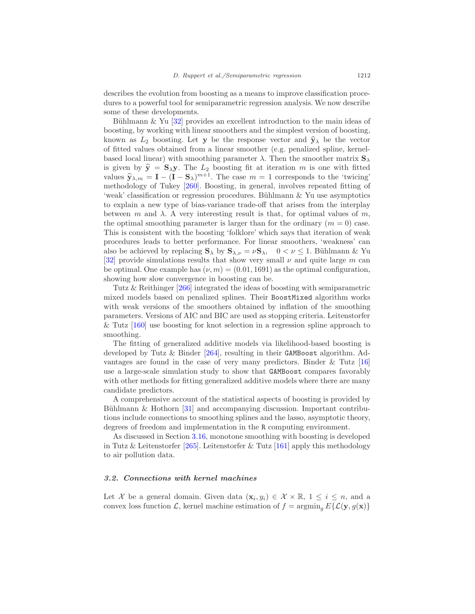describes the evolution from boosting as a means to improve classification procedures to a powerful tool for semiparametric regression analysis. We now describe some of these developments.

Bühlmann  $\&$  Yu [\[32\]](#page-46-0) provides an excellent introduction to the main ideas of boosting, by working with linear smoothers and the simplest version of boosting, known as  $L_2$  boosting. Let y be the response vector and  $\hat{y}_\lambda$  be the vector of fitted values obtained from a linear smoother (e.g. penalized spline, kernelbased local linear) with smoothing parameter  $\lambda$ . Then the smoother matrix  $S_{\lambda}$ is given by  $\hat{\mathbf{y}} = \mathbf{S}_{\lambda} \mathbf{y}$ . The  $L_2$  boosting fit at iteration m is one with fitted values  $\hat{\mathbf{y}}_{\lambda,m} = \mathbf{I} - (\mathbf{I} - \mathbf{S}_{\lambda})^{m+1}$ . The case  $m = 1$  corresponds to the 'twicing' methodology of Tukey [\[260](#page-60-6)]. Boosting, in general, involves repeated fitting of 'weak' classification or regression procedures. Bühlmann & Yu use asymptotics to explain a new type of bias-variance trade-off that arises from the interplay between m and  $\lambda$ . A very interesting result is that, for optimal values of m, the optimal smoothing parameter is larger than for the ordinary  $(m = 0)$  case. This is consistent with the boosting 'folklore' which says that iteration of weak procedures leads to better performance. For linear smoothers, 'weakness' can also be achieved by replacing  $\mathbf{S}_{\lambda}$  by  $\mathbf{S}_{\lambda,\nu} = \nu \mathbf{S}_{\lambda}$ ,  $0 < \nu \leq 1$ . Bühlmann & Yu [\[32\]](#page-46-0) provide simulations results that show very small  $\nu$  and quite large m can be optimal. One example has  $(\nu, m) = (0.01, 1691)$  as the optimal configuration, showing how slow convergence in boosting can be.

Tutz & Reithinger [\[266](#page-60-2)] integrated the ideas of boosting with semiparametric mixed models based on penalized splines. Their BoostMixed algorithm works with weak versions of the smoothers obtained by inflation of the smoothing parameters. Versions of AIC and BIC are used as stopping criteria. Leitenstorfer & Tutz [\[160\]](#page-54-2) use boosting for knot selection in a regression spline approach to smoothing.

The fitting of generalized additive models via likelihood-based boosting is developed by Tutz & Binder [\[264\]](#page-60-5), resulting in their GAMBoost algorithm. Advantages are found in the case of very many predictors. Binder & Tutz [\[16\]](#page-45-3) use a large-scale simulation study to show that GAMBoost compares favorably with other methods for fitting generalized additive models where there are many candidate predictors.

A comprehensive account of the statistical aspects of boosting is provided by Bühlmann & Hothorn  $[31]$  and accompanying discussion. Important contributions include connections to smoothing splines and the lasso, asymptotic theory, degrees of freedom and implementation in the R computing environment.

As discussed in Section [3.16,](#page-33-0) monotone smoothing with boosting is developed in Tutz & Leitenstorfer [\[265\]](#page-60-7). Leitenstorfer & Tutz [\[161\]](#page-54-3) apply this methodology to air pollution data.

#### <span id="page-19-0"></span>3.2. Connections with kernel machines

Let X be a general domain. Given data  $(\mathbf{x}_i, y_i) \in \mathcal{X} \times \mathbb{R}, 1 \leq i \leq n$ , and a convex loss function  $\mathcal{L}$ , kernel machine estimation of  $f = \operatorname{argmin}_q E\{\mathcal{L}(\mathbf{y}, g(\mathbf{x}))\}$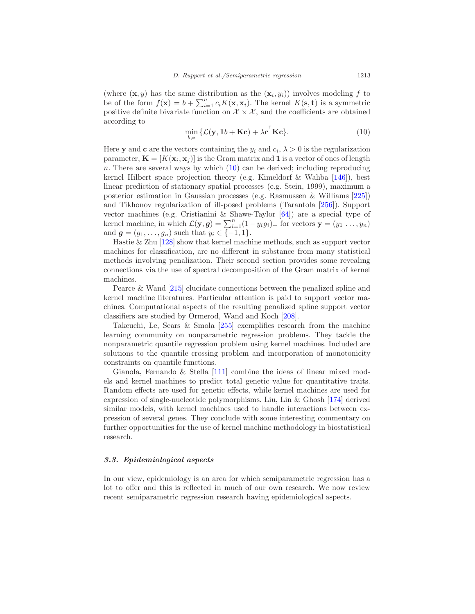<span id="page-20-1"></span>(where  $(\mathbf{x}, y)$  has the same distribution as the  $(\mathbf{x}_i, y_i)$ ) involves modeling f to be of the form  $f(\mathbf{x}) = b + \sum_{i=1}^{n} c_i K(\mathbf{x}, \mathbf{x}_i)$ . The kernel  $K(\mathbf{s}, \mathbf{t})$  is a symmetric positive definite bivariate function on  $\mathcal{X} \times \mathcal{X}$ , and the coefficients are obtained according to

$$
\min_{b,\mathbf{c}} \{ \mathcal{L}(\mathbf{y}, \mathbf{1}b + \mathbf{Kc}) + \lambda \mathbf{c}^{\mathsf{T}} \mathbf{Kc} \}.
$$
 (10)

Here **y** and **c** are the vectors containing the  $y_i$  and  $c_i$ ,  $\lambda > 0$  is the regularization parameter,  $\mathbf{K} = [K(\mathbf{x}_i, \mathbf{x}_j)]$  is the Gram matrix and 1 is a vector of ones of length n. There are several ways by which  $(10)$  can be derived; including reproducing kernel Hilbert space projection theory (e.g. Kimeldorf & Wahba [\[146\]](#page-53-7)), best linear prediction of stationary spatial processes (e.g. Stein, 1999), maximum a posterior estimation in Gaussian processes (e.g. Rasmussen & Williams [\[225\]](#page-58-7)) and Tikhonov regularization of ill-posed problems (Tarantola [\[256\]](#page-59-7)). Support vector machines (e.g. Cristianini & Shawe-Taylor [\[64\]](#page-48-6)) are a special type of kernel machine, in which  $\mathcal{L}(\mathbf{y}, g) = \sum_{i=1}^{n} (1 - y_i g_i)_+$  for vectors  $\mathbf{y} = (y_1 \dots, y_n)$ and  $g = (g_1, ..., g_n)$  such that  $y_i \in \{-1, 1\}$ .

Hastie & Zhu [\[128\]](#page-52-4) show that kernel machine methods, such as support vector machines for classification, are no different in substance from many statistical methods involving penalization. Their second section provides some revealing connections via the use of spectral decomposition of the Gram matrix of kernel machines.

Pearce & Wand [\[215](#page-57-7)] elucidate connections between the penalized spline and kernel machine literatures. Particular attention is paid to support vector machines. Computational aspects of the resulting penalized spline support vector classifiers are studied by Ormerod, Wand and Koch [\[208](#page-57-10)].

Takeuchi, Le, Sears & Smola [\[255\]](#page-59-8) exemplifies research from the machine learning community on nonparametric regression problems. They tackle the nonparametric quantile regression problem using kernel machines. Included are solutions to the quantile crossing problem and incorporation of monotonicity constraints on quantile functions.

Gianola, Fernando & Stella [\[111\]](#page-51-6) combine the ideas of linear mixed models and kernel machines to predict total genetic value for quantitative traits. Random effects are used for genetic effects, while kernel machines are used for expression of single-nucleotide polymorphisms. Liu, Lin & Ghosh [\[174\]](#page-55-3) derived similar models, with kernel machines used to handle interactions between expression of several genes. They conclude with some interesting commentary on further opportunities for the use of kernel machine methodology in biostatistical research.

# <span id="page-20-0"></span>3.3. Epidemiological aspects

In our view, epidemiology is an area for which semiparametric regression has a lot to offer and this is reflected in much of our own research. We now review recent semiparametric regression research having epidemiological aspects.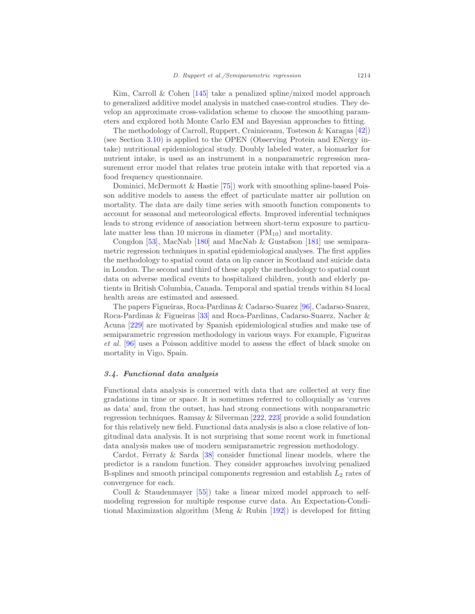Kim, Carroll & Cohen [\[145\]](#page-53-8) take a penalized spline/mixed model approach to generalized additive model analysis in matched case-control studies. They develop an approximate cross-validation scheme to choose the smoothing parameters and explored both Monte Carlo EM and Bayesian approaches to fitting.

The methodology of Carroll, Ruppert, Crainiceanu, Tosteson & Karagas [\[42\]](#page-47-4)) (see Section [3.10\)](#page-28-0) is applied to the OPEN (Observing Protein and ENergy intake) nutritional epidemiological study. Doubly labeled water, a biomarker for nutrient intake, is used as an instrument in a nonparametric regression measurement error model that relates true protein intake with that reported via a food frequency questionnaire.

Dominici, McDermott & Hastie [\[75](#page-49-8)]) work with smoothing spline-based Poisson additive models to assess the effect of particulate matter air pollution on mortality. The data are daily time series with smooth function components to account for seasonal and meteorological effects. Improved inferential techniques leads to strong evidence of association between short-term exposure to particulate matter less than 10 microns in diameter  $(PM_{10})$  and mortality.

Congdon [\[53\]](#page-47-5), MacNab [\[180\]](#page-55-4) and MacNab & Gustafson [\[181\]](#page-55-5) use semiparametric regression techniques in spatial epidemiological analyses. The first applies the methodology to spatial count data on lip cancer in Scotland and suicide data in London. The second and third of these apply the methodology to spatial count data on adverse medical events to hospitalized children, youth and elderly patients in British Columbia, Canada. Temporal and spatial trends within 84 local health areas are estimated and assessed.

The papers Figueiras, Roca-Pardinas & Cadarso-Suarez [\[96\]](#page-50-8), Cadarso-Suarez, Roca-Pardinas & Figueiras [\[33\]](#page-46-5) and Roca-Pardinas, Cadarso-Suarez, Nacher & Acuna [\[229\]](#page-58-8) are motivated by Spanish epidemiological studies and make use of semiparametric regression methodology in various ways. For example, Figueiras et al. [\[96\]](#page-50-8) uses a Poisson additive model to assess the effect of black smoke on mortality in Vigo, Spain.

#### <span id="page-21-0"></span>3.4. Functional data analysis

Functional data analysis is concerned with data that are collected at very fine gradations in time or space. It is sometimes referred to colloquially as 'curves as data' and, from the outset, has had strong connections with nonparametric regression techniques. Ramsay & Silverman [\[222,](#page-58-9) [223\]](#page-58-10) provide a solid foundation for this relatively new field. Functional data analysis is also a close relative of longitudinal data analysis. It is not surprising that some recent work in functional data analysis makes use of modern semiparametric regression methodology.

Cardot, Ferraty & Sarda [\[38\]](#page-46-6) consider functional linear models, where the predictor is a random function. They consider approaches involving penalized B-splines and smooth principal components regression and establish  $L_2$  rates of convergence for each.

Coull & Staudenmayer [\[55\]](#page-47-6)) take a linear mixed model approach to selfmodeling regression for multiple response curve data. An Expectation-Conditional Maximization algorithm (Meng  $\&$  Rubin [\[192](#page-56-6)]) is developed for fitting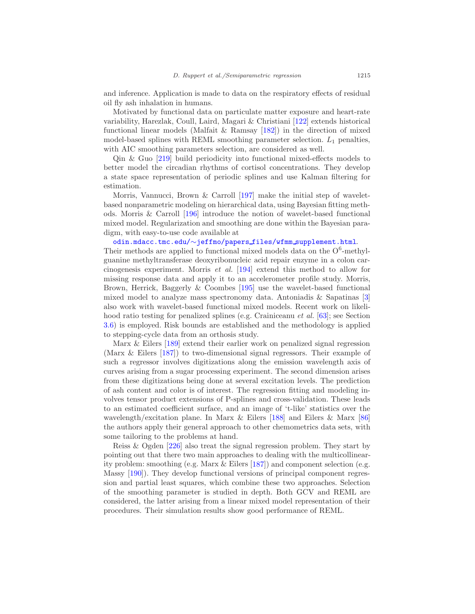and inference. Application is made to data on the respiratory effects of residual oil fly ash inhalation in humans.

Motivated by functional data on particulate matter exposure and heart-rate variability, Harezlak, Coull, Laird, Magari & Christiani [\[122\]](#page-51-7) extends historical functional linear models (Malfait & Ramsay [\[182](#page-55-6)]) in the direction of mixed model-based splines with REML smoothing parameter selection.  $L_1$  penalties, with AIC smoothing parameters selection, are considered as well.

Qin & Guo [\[219\]](#page-57-11) build periodicity into functional mixed-effects models to better model the circadian rhythms of cortisol concentrations. They develop a state space representation of periodic splines and use Kalman filtering for estimation.

Morris, Vannucci, Brown & Carroll [\[197\]](#page-56-7) make the initial step of waveletbased nonparametric modeling on hierarchical data, using Bayesian fitting methods. Morris & Carroll [\[196\]](#page-56-8) introduce the notion of wavelet-based functional mixed model. Regularization and smoothing are done within the Bayesian paradigm, with easy-to-use code available at

# [odin.mdacc.tmc.edu/](http://odin.mdacc.tmc.edu/~jeffmo/papers_files/wfmm_supplement.html)∼jeffmo/papers files/wfmm supplement.html.

Their methods are applied to functional mixed models data on the  $O<sup>6</sup>$ -methylguanine methyltransferase deoxyribonucleic acid repair enzyme in a colon carcinogenesis experiment. Morris et al. [\[194](#page-56-9)] extend this method to allow for missing response data and apply it to an accelerometer profile study. Morris, Brown, Herrick, Baggerly & Coombes [\[195\]](#page-56-10) use the wavelet-based functional mixed model to analyze mass spectronomy data. Antoniadis & Sapatinas [\[3\]](#page-44-4) also work with wavelet-based functional mixed models. Recent work on likelihood ratio testing for penalized splines (e.g. Crainiceanu et al. [\[63](#page-48-0)]; see Section [3.6\)](#page-24-0) is employed. Risk bounds are established and the methodology is applied to stepping-cycle data from an orthosis study.

Marx & Eilers [\[189\]](#page-56-11) extend their earlier work on penalized signal regression (Marx & Eilers [\[187\]](#page-55-7)) to two-dimensional signal regressors. Their example of such a regressor involves digitizations along the emission wavelength axis of curves arising from a sugar processing experiment. The second dimension arises from these digitizations being done at several excitation levels. The prediction of ash content and color is of interest. The regression fitting and modeling involves tensor product extensions of P-splines and cross-validation. These leads to an estimated coefficient surface, and an image of 't-like' statistics over the wavelength/excitation plane. In Marx & Eilers [\[188\]](#page-56-12) and Eilers & Marx [\[86\]](#page-49-9) the authors apply their general approach to other chemometrics data sets, with some tailoring to the problems at hand.

Reiss & Ogden [\[226\]](#page-58-11) also treat the signal regression problem. They start by pointing out that there two main approaches to dealing with the multicollinearity problem: smoothing (e.g. Marx & Eilers [\[187\]](#page-55-7)) and component selection (e.g. Massy [\[190\]](#page-56-13)). They develop functional versions of principal component regression and partial least squares, which combine these two approaches. Selection of the smoothing parameter is studied in depth. Both GCV and REML are considered, the latter arising from a linear mixed model representation of their procedures. Their simulation results show good performance of REML.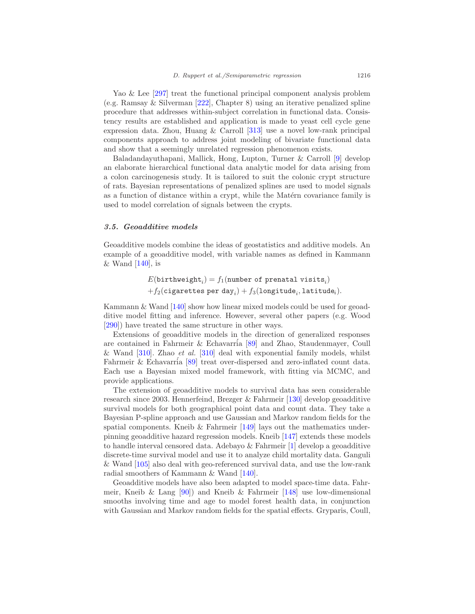Yao & Lee [\[297\]](#page-62-6) treat the functional principal component analysis problem (e.g. Ramsay & Silverman [\[222\]](#page-58-9), Chapter 8) using an iterative penalized spline procedure that addresses within-subject correlation in functional data. Consistency results are established and application is made to yeast cell cycle gene expression data. Zhou, Huang & Carroll [\[313](#page-63-1)] use a novel low-rank principal components approach to address joint modeling of bivariate functional data and show that a seemingly unrelated regression phenomenon exists.

Baladandayuthapani, Mallick, Hong, Lupton, Turner & Carroll [\[9](#page-44-3)] develop an elaborate hierarchical functional data analytic model for data arising from a colon carcinogenesis study. It is tailored to suit the colonic crypt structure of rats. Bayesian representations of penalized splines are used to model signals as a function of distance within a crypt, while the Matérn covariance family is used to model correlation of signals between the crypts.

#### <span id="page-23-0"></span>3.5. Geoadditive models

Geoadditive models combine the ideas of geostatistics and additive models. An example of a geoadditive model, with variable names as defined in Kammann & Wand  $[140]$ , is

> $E({\tt birthweight}_i) = f_1({\tt number\ of\ prenatal\ visits}_i)$  $+f_2({\tt{eigarettes\ per\ day}}_i)+f_3({\tt longitude}_i,{\tt latitude}_i).$

Kammann & Wand [\[140\]](#page-52-1) show how linear mixed models could be used for geoadditive model fitting and inference. However, several other papers (e.g. Wood [\[290\]](#page-61-3)) have treated the same structure in other ways.

Extensions of geoadditive models in the direction of generalized responses are contained in Fahrmeir & Echavarria  $[89]$  and Zhao, Staudenmayer, Coull & Wand  $[310]$ . Zhao et al.  $[310]$  deal with exponential family models, whilst Fahrmeir & Echavarría [\[89](#page-49-10)] treat over-dispersed and zero-inflated count data. Each use a Bayesian mixed model framework, with fitting via MCMC, and provide applications.

The extension of geoadditive models to survival data has seen considerable research since 2003. Hennerfeind, Brezger & Fahrmeir [\[130\]](#page-52-8) develop geoadditive survival models for both geographical point data and count data. They take a Bayesian P-spline approach and use Gaussian and Markov random fields for the spatial components. Kneib  $\&$  Fahrmeir [\[149](#page-53-9)] lays out the mathematics underpinning geoadditive hazard regression models. Kneib [\[147](#page-53-10)] extends these models to handle interval censored data. Adebayo & Fahrmeir [\[1](#page-44-5)] develop a geoadditive discrete-time survival model and use it to analyze child mortality data. Ganguli & Wand [\[105\]](#page-50-9) also deal with geo-referenced survival data, and use the low-rank radial smoothers of Kammann & Wand [\[140](#page-52-1)].

Geoadditive models have also been adapted to model space-time data. Fahrmeir, Kneib & Lang  $[90]$  and Kneib & Fahrmeir  $[148]$  use low-dimensional smooths involving time and age to model forest health data, in conjunction with Gaussian and Markov random fields for the spatial effects. Gryparis, Coull,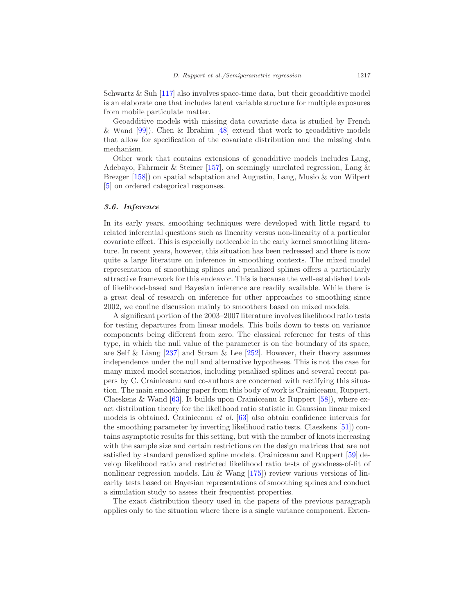Schwartz  $\&$  Suh [\[117\]](#page-51-3) also involves space-time data, but their geoadditive model is an elaborate one that includes latent variable structure for multiple exposures from mobile particulate matter.

Geoadditive models with missing data covariate data is studied by French & Wand [\[99](#page-50-10)]). Chen & Ibrahim [\[48\]](#page-47-7) extend that work to geoadditive models that allow for specification of the covariate distribution and the missing data mechanism.

Other work that contains extensions of geoadditive models includes Lang, Adebayo, Fahrmeir & Steiner [\[157\]](#page-54-4), on seemingly unrelated regression, Lang & Brezger [\[158\]](#page-54-5)) on spatial adaptation and Augustin, Lang, Musio & von Wilpert [\[5\]](#page-44-6) on ordered categorical responses.

#### <span id="page-24-0"></span>3.6. Inference

In its early years, smoothing techniques were developed with little regard to related inferential questions such as linearity versus non-linearity of a particular covariate effect. This is especially noticeable in the early kernel smoothing literature. In recent years, however, this situation has been redressed and there is now quite a large literature on inference in smoothing contexts. The mixed model representation of smoothing splines and penalized splines offers a particularly attractive framework for this endeavor. This is because the well-established tools of likelihood-based and Bayesian inference are readily available. While there is a great deal of research on inference for other approaches to smoothing since 2002, we confine discussion mainly to smoothers based on mixed models.

A significant portion of the 2003–2007 literature involves likelihood ratio tests for testing departures from linear models. This boils down to tests on variance components being different from zero. The classical reference for tests of this type, in which the null value of the parameter is on the boundary of its space, are Self & Liang  $[237]$  and Stram & Lee  $[252]$ . However, their theory assumes independence under the null and alternative hypotheses. This is not the case for many mixed model scenarios, including penalized splines and several recent papers by C. Crainiceanu and co-authors are concerned with rectifying this situation. The main smoothing paper from this body of work is Crainiceanu, Ruppert, Claeskens & Wand [\[63\]](#page-48-0). It builds upon Crainiceanu & Ruppert [\[58](#page-48-7)], where exact distribution theory for the likelihood ratio statistic in Gaussian linear mixed models is obtained. Crainiceanu et al. [\[63\]](#page-48-0) also obtain confidence intervals for the smoothing parameter by inverting likelihood ratio tests. Claeskens [\[51](#page-47-8)]) contains asymptotic results for this setting, but with the number of knots increasing with the sample size and certain restrictions on the design matrices that are not satisfied by standard penalized spline models. Crainiceanu and Ruppert [\[59\]](#page-48-8) develop likelihood ratio and restricted likelihood ratio tests of goodness-of-fit of nonlinear regression models. Liu & Wang [\[175\]](#page-55-8)) review various versions of linearity tests based on Bayesian representations of smoothing splines and conduct a simulation study to assess their frequentist properties.

The exact distribution theory used in the papers of the previous paragraph applies only to the situation where there is a single variance component. Exten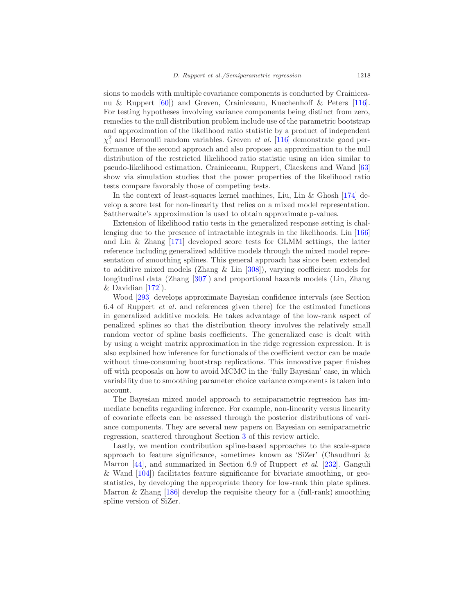sions to models with multiple covariance components is conducted by Crainiceanu & Ruppert [\[60\]](#page-48-9)) and Greven, Crainiceanu, Kuechenhoff & Peters [\[116\]](#page-51-8). For testing hypotheses involving variance components being distinct from zero, remedies to the null distribution problem include use of the parametric bootstrap and approximation of the likelihood ratio statistic by a product of independent  $\chi_1^2$  and Bernoulli random variables. Greven *et al.* [\[116\]](#page-51-8) demonstrate good performance of the second approach and also propose an approximation to the null distribution of the restricted likelihood ratio statistic using an idea similar to pseudo-likelihood estimation. Crainiceanu, Ruppert, Claeskens and Wand [\[63\]](#page-48-0) show via simulation studies that the power properties of the likelihood ratio tests compare favorably those of competing tests.

In the context of least-squares kernel machines, Liu, Lin & Ghosh [\[174\]](#page-55-3) develop a score test for non-linearity that relies on a mixed model representation. Sattherwaite's approximation is used to obtain approximate p-values.

Extension of likelihood ratio tests in the generalized response setting is challenging due to the presence of intractable integrals in the likelihoods. Lin [\[166\]](#page-54-6) and Lin & Zhang [\[171\]](#page-54-7) developed score tests for GLMM settings, the latter reference including generalized additive models through the mixed model representation of smoothing splines. This general approach has since been extended to additive mixed models (Zhang & Lin [\[308](#page-62-7)]), varying coefficient models for longitudinal data (Zhang [\[307\]](#page-62-8)) and proportional hazards models (Lin, Zhang & Davidian  $[172]$ ).

Wood [\[293](#page-62-9)] develops approximate Bayesian confidence intervals (see Section 6.4 of Ruppert *et al.* and references given there) for the estimated functions in generalized additive models. He takes advantage of the low-rank aspect of penalized splines so that the distribution theory involves the relatively small random vector of spline basis coefficients. The generalized case is dealt with by using a weight matrix approximation in the ridge regression expression. It is also explained how inference for functionals of the coefficient vector can be made without time-consuming bootstrap replications. This innovative paper finishes off with proposals on how to avoid MCMC in the 'fully Bayesian' case, in which variability due to smoothing parameter choice variance components is taken into account.

The Bayesian mixed model approach to semiparametric regression has immediate benefits regarding inference. For example, non-linearity versus linearity of covariate effects can be assessed through the posterior distributions of variance components. They are several new papers on Bayesian on semiparametric regression, scattered throughout Section [3](#page-18-0) of this review article.

Lastly, we mention contribution spline-based approaches to the scale-space approach to feature significance, sometimes known as 'SiZer' (Chaudhuri & Marron [\[44](#page-47-9)], and summarized in Section 6.9 of Ruppert et al. [\[232\]](#page-58-0). Ganguli & Wand [\[104\]](#page-50-11)) facilitates feature significance for bivariate smoothing, or geostatistics, by developing the appropriate theory for low-rank thin plate splines. Marron  $\&$  Zhang [\[186\]](#page-55-9) develop the requisite theory for a (full-rank) smoothing spline version of SiZer.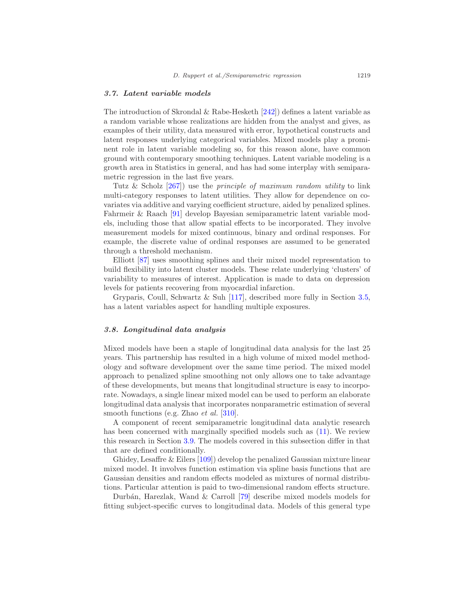#### <span id="page-26-0"></span>3.7. Latent variable models

The introduction of Skrondal & Rabe-Hesketh  $[242]$  defines a latent variable as a random variable whose realizations are hidden from the analyst and gives, as examples of their utility, data measured with error, hypothetical constructs and latent responses underlying categorical variables. Mixed models play a prominent role in latent variable modeling so, for this reason alone, have common ground with contemporary smoothing techniques. Latent variable modeling is a growth area in Statistics in general, and has had some interplay with semiparametric regression in the last five years.

Tutz & Scholz  $[267]$  use the *principle of maximum random utility* to link multi-category responses to latent utilities. They allow for dependence on covariates via additive and varying coefficient structure, aided by penalized splines. Fahrmeir & Raach [\[91\]](#page-50-12) develop Bayesian semiparametric latent variable models, including those that allow spatial effects to be incorporated. They involve measurement models for mixed continuous, binary and ordinal responses. For example, the discrete value of ordinal responses are assumed to be generated through a threshold mechanism.

Elliott [\[87\]](#page-49-11) uses smoothing splines and their mixed model representation to build flexibility into latent cluster models. These relate underlying 'clusters' of variability to measures of interest. Application is made to data on depression levels for patients recovering from myocardial infarction.

Gryparis, Coull, Schwartz & Suh [\[117\]](#page-51-3), described more fully in Section [3.5,](#page-23-0) has a latent variables aspect for handling multiple exposures.

## <span id="page-26-1"></span>3.8. Longitudinal data analysis

Mixed models have been a staple of longitudinal data analysis for the last 25 years. This partnership has resulted in a high volume of mixed model methodology and software development over the same time period. The mixed model approach to penalized spline smoothing not only allows one to take advantage of these developments, but means that longitudinal structure is easy to incorporate. Nowadays, a single linear mixed model can be used to perform an elaborate longitudinal data analysis that incorporates nonparametric estimation of several smooth functions (e.g. Zhao *et al.* [\[310](#page-63-0)].

A component of recent semiparametric longitudinal data analytic research has been concerned with marginally specified models such as [\(11\)](#page-27-1). We review this research in Section [3.9.](#page-27-0) The models covered in this subsection differ in that that are defined conditionally.

Ghidey, Lesaffre & Eilers [\[109\]](#page-51-9)) develop the penalized Gaussian mixture linear mixed model. It involves function estimation via spline basis functions that are Gaussian densities and random effects modeled as mixtures of normal distributions. Particular attention is paid to two-dimensional random effects structure.

Durb´an, Harezlak, Wand & Carroll [\[79\]](#page-49-12) describe mixed models models for fitting subject-specific curves to longitudinal data. Models of this general type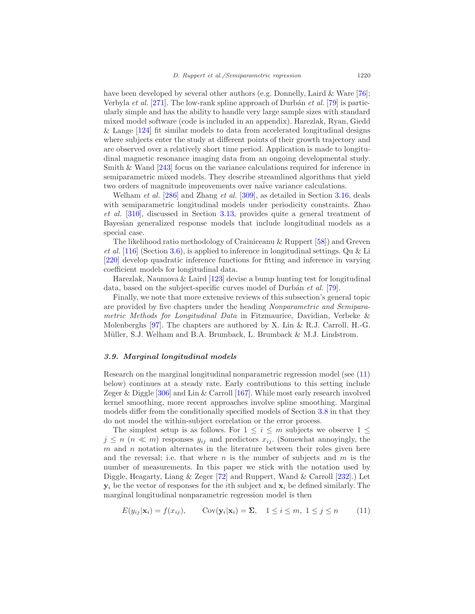have been developed by several other authors (e.g. Donnelly, Laird & Ware [\[76\]](#page-49-1); Verbyla et al.  $[271]$ . The low-rank spline approach of Durbán et al.  $[79]$  is particularly simple and has the ability to handle very large sample sizes with standard mixed model software (code is included in an appendix). Harezlak, Ryan, Giedd & Lange [\[124\]](#page-52-9) fit similar models to data from accelerated longitudinal designs where subjects enter the study at different points of their growth trajectory and are observed over a relatively short time period. Application is made to longitudinal magnetic resonance imaging data from an ongoing developmental study. Smith & Wand [\[243\]](#page-59-11) focus on the variance calculations required for inference in semiparametric mixed models. They describe streamlined algorithms that yield two orders of magnitude improvements over naive variance calculations.

Welham et al. [\[286\]](#page-61-12) and Zhang et al. [\[309\]](#page-63-2), as detailed in Section [3.16,](#page-33-0) deals with semiparametric longitudinal models under periodicity constraints. Zhao et al. [\[310\]](#page-63-0), discussed in Section [3.13,](#page-30-1) provides quite a general treatment of Bayesian generalized response models that include longitudinal models as a special case.

The likelihood ratio methodology of Crainiceanu & Ruppert [\[58\]](#page-48-7)) and Greven et al.  $[116]$  (Section [3.6\)](#page-24-0), is applied to inference in longitudinal settings. Qu & Li [\[220\]](#page-58-13) develop quadratic inference functions for fitting and inference in varying coefficient models for longitudinal data.

Harezlak, Naumova  $&$  Laird [\[123\]](#page-51-10) devise a bump hunting test for longitudinal data, based on the subject-specific curves model of Durbán *et al.* [\[79\]](#page-49-12).

Finally, we note that more extensive reviews of this subsection's general topic are provided by five chapters under the heading Nonparametric and Semiparametric Methods for Longitudinal Data in Fitzmaurice, Davidian, Verbeke & Molenberghs [\[97\]](#page-50-13). The chapters are authored by X. Lin & R.J. Carroll, H.-G. Müller, S.J. Welham and B.A. Brumback, L. Brumback & M.J. Lindstrom.

#### <span id="page-27-0"></span>3.9. Marginal longitudinal models

Research on the marginal longitudinal nonparametric regression model (see [\(11\)](#page-27-1) below) continues at a steady rate. Early contributions to this setting include Zeger & Diggle [\[306](#page-62-10)] and Lin & Carroll [\[167](#page-54-9)]. While most early research involved kernel smoothing, more recent approaches involve spline smoothing. Marginal models differ from the conditionally specified models of Section [3.8](#page-26-1) in that they do not model the within-subject correlation or the error process.

The simplest setup is as follows. For  $1 \leq i \leq m$  subjects we observe  $1 \leq$  $j \leq n \ (n \ll m)$  responses  $y_{ij}$  and predictors  $x_{ij}$ . (Somewhat annoyingly, the  $m$  and  $n$  notation alternates in the literature between their roles given here and the reversal; i.e. that where n is the number of subjects and  $m$  is the number of measurements. In this paper we stick with the notation used by Diggle, Heagarty, Liang & Zeger [\[72\]](#page-48-10) and Ruppert, Wand & Carroll [\[232](#page-58-0)].) Let  $y_i$  be the vector of responses for the *i*th subject and  $x_i$  be defined similarly. The marginal longitudinal nonparametric regression model is then

<span id="page-27-1"></span>
$$
E(y_{ij}|\mathbf{x}_i) = f(x_{ij}), \qquad \text{Cov}(\mathbf{y}_i|\mathbf{x}_i) = \Sigma, \quad 1 \le i \le m, \ 1 \le j \le n \tag{11}
$$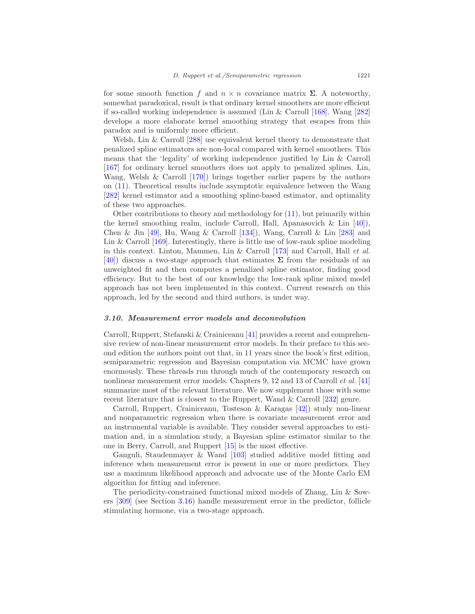for some smooth function f and  $n \times n$  covariance matrix  $\Sigma$ . A noteworthy, somewhat paradoxical, result is that ordinary kernel smoothers are more efficient if so-called working independence is assumed (Lin & Carroll [\[168\]](#page-54-10). Wang [\[282\]](#page-61-13) develops a more elaborate kernel smoothing strategy that escapes from this paradox and is uniformly more efficient.

Welsh, Lin & Carroll [\[288\]](#page-61-14) use equivalent kernel theory to demonstrate that penalized spline estimators are non-local compared with kernel smoothers. This means that the 'legality' of working independence justified by Lin & Carroll [\[167\]](#page-54-9) for ordinary kernel smoothers does not apply to penalized splines. Lin, Wang, Welsh & Carroll [\[170\]](#page-54-11)) brings together earlier papers by the authors on [\(11\)](#page-27-1). Theoretical results include asymptotic equivalence between the Wang [\[282\]](#page-61-13) kernel estimator and a smoothing spline-based estimator, and optimality of these two approaches.

Other contributions to theory and methodology for [\(11\)](#page-27-1), but primarily within the kernel smoothing realm, include Carroll, Hall, Apanasovich  $\&$  Lin [\[40](#page-47-10)]), Chen & Jin [\[49\]](#page-47-11), Hu, Wang & Carroll [\[134\]](#page-52-10)), Wang, Carroll & Lin [\[283\]](#page-61-15) and Lin & Carroll  $[169]$ . Interestingly, there is little use of low-rank spline modeling in this context. Linton, Mammen, Lin & Carroll [\[173\]](#page-55-10) and Carroll, Hall et al. [\[40\]](#page-47-10)) discuss a two-stage approach that estimates  $\Sigma$  from the residuals of an unweighted fit and then computes a penalized spline estimator, finding good efficiency. But to the best of our knowledge the low-rank spline mixed model approach has not been implemented in this context. Current research on this approach, led by the second and third authors, is under way.

#### <span id="page-28-0"></span>3.10. Measurement error models and deconvolution

Carroll, Ruppert, Stefanski & Crainiceanu [\[41\]](#page-47-12) provides a recent and comprehensive review of non-linear measurement error models. In their preface to this second edition the authors point out that, in 11 years since the book's first edition, semiparametric regression and Bayesian computation via MCMC have grown enormously. These threads run through much of the contemporary research on nonlinear measurement error models. Chapters 9, 12 and 13 of Carroll *et al.* [\[41\]](#page-47-12) summarize most of the relevant literature. We now supplement those with some recent literature that is closest to the Ruppert, Wand & Carroll [\[232\]](#page-58-0) genre.

Carroll, Ruppert, Crainiceanu, Tosteson & Karagas [\[42\]](#page-47-4)) study non-linear and nonparametric regression when there is covariate measurement error and an instrumental variable is available. They consider several approaches to estimation and, in a simulation study, a Bayesian spline estimator similar to the one in Berry, Carroll, and Ruppert [\[15\]](#page-45-4) is the most effective.

Ganguli, Staudenmayer & Wand [\[103](#page-50-14)] studied additive model fitting and inference when measurement error is present in one or more predictors. They use a maximum likelihood approach and advocate use of the Monte Carlo EM algorithm for fitting and inference.

The periodicity-constrained functional mixed models of Zhang, Lin & Sowers [\[309\]](#page-63-2) (see Section [3.16\)](#page-33-0) handle measurement error in the predictor, follicle stimulating hormone, via a two-stage approach.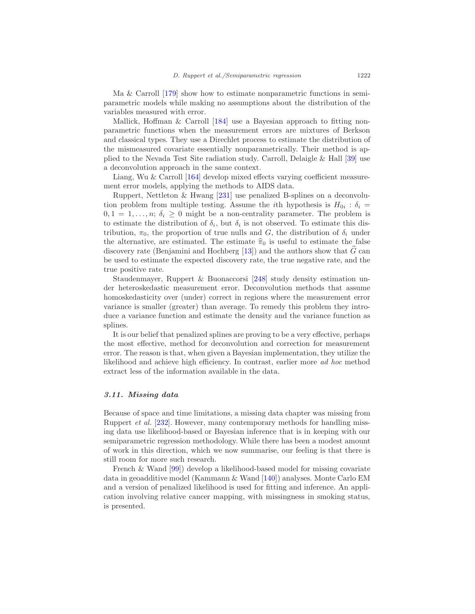Ma & Carroll [\[179](#page-55-11)] show how to estimate nonparametric functions in semiparametric models while making no assumptions about the distribution of the variables measured with error.

Mallick, Hoffman & Carroll [\[184\]](#page-55-12) use a Bayesian approach to fitting nonparametric functions when the measurement errors are mixtures of Berkson and classical types. They use a Direchlet process to estimate the distribution of the mismeasured covariate essentially nonparametrically. Their method is applied to the Nevada Test Site radiation study. Carroll, Delaigle & Hall [\[39\]](#page-46-7) use a deconvolution approach in the same context.

Liang, Wu & Carroll [\[164\]](#page-54-13) develop mixed effects varying coefficient measurement error models, applying the methods to AIDS data.

Ruppert, Nettleton & Hwang [\[231\]](#page-58-14) use penalized B-splines on a deconvolution problem from multiple testing. Assume the *i*th hypothesis is  $H_{0i}$ :  $\delta_i$  $0, 1 = 1, \ldots, n; \delta_i \geq 0$  might be a non-centrality parameter. The problem is to estimate the distribution of  $\delta_i$ , but  $\delta_i$  is not observed. To estimate this distribution,  $\pi_0$ , the proportion of true nulls and G, the distribution of  $\delta_i$  under the alternative, are estimated. The estimate  $\hat{\pi}_0$  is useful to estimate the false discovery rate (Benjamini and Hochberg  $[13]$ ) and the authors show that G can be used to estimate the expected discovery rate, the true negative rate, and the true positive rate.

Staudenmayer, Ruppert & Buonaccorsi [\[248](#page-59-12)] study density estimation under heteroskedastic measurement error. Deconvolution methods that assume homoskedasticity over (under) correct in regions where the measurement error variance is smaller (greater) than average. To remedy this problem they introduce a variance function and estimate the density and the variance function as splines.

It is our belief that penalized splines are proving to be a very effective, perhaps the most effective, method for deconvolution and correction for measurement error. The reason is that, when given a Bayesian implementation, they utilize the likelihood and achieve high efficiency. In contrast, earlier more ad hoc method extract less of the information available in the data.

#### <span id="page-29-0"></span>3.11. Missing data

Because of space and time limitations, a missing data chapter was missing from Ruppert et al. [\[232\]](#page-58-0). However, many contemporary methods for handling missing data use likelihood-based or Bayesian inference that is in keeping with our semiparametric regression methodology. While there has been a modest amount of work in this direction, which we now summarise, our feeling is that there is still room for more such research.

French & Wand [\[99\]](#page-50-10)) develop a likelihood-based model for missing covariate data in geoadditive model (Kammann & Wand [\[140\]](#page-52-1)) analyses. Monte Carlo EM and a version of penalized likelihood is used for fitting and inference. An application involving relative cancer mapping, with missingness in smoking status, is presented.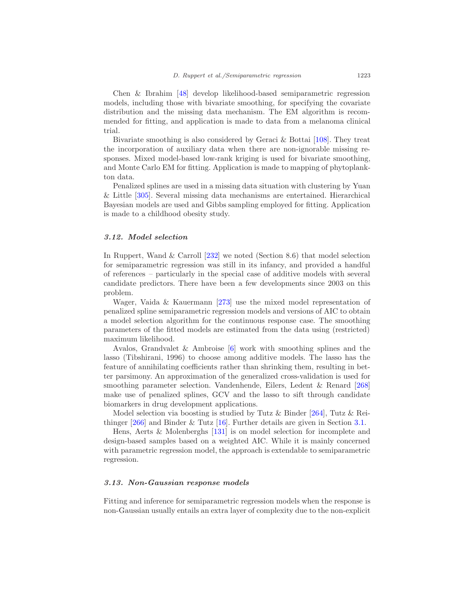Chen & Ibrahim [\[48\]](#page-47-7) develop likelihood-based semiparametric regression models, including those with bivariate smoothing, for specifying the covariate distribution and the missing data mechanism. The EM algorithm is recommended for fitting, and application is made to data from a melanoma clinical trial.

Bivariate smoothing is also considered by Geraci & Bottai [\[108\]](#page-51-11). They treat the incorporation of auxiliary data when there are non-ignorable missing responses. Mixed model-based low-rank kriging is used for bivariate smoothing, and Monte Carlo EM for fitting. Application is made to mapping of phytoplankton data.

Penalized splines are used in a missing data situation with clustering by Yuan & Little [\[305\]](#page-62-11). Several missing data mechanisms are entertained. Hierarchical Bayesian models are used and Gibbs sampling employed for fitting. Application is made to a childhood obesity study.

#### <span id="page-30-0"></span>3.12. Model selection

In Ruppert, Wand & Carroll [\[232\]](#page-58-0) we noted (Section 8.6) that model selection for semiparametric regression was still in its infancy, and provided a handful of references – particularly in the special case of additive models with several candidate predictors. There have been a few developments since 2003 on this problem.

Wager, Vaida & Kauermann [\[273\]](#page-60-10) use the mixed model representation of penalized spline semiparametric regression models and versions of AIC to obtain a model selection algorithm for the continuous response case. The smoothing parameters of the fitted models are estimated from the data using (restricted) maximum likelihood.

Avalos, Grandvalet & Ambroise [\[6\]](#page-44-7) work with smoothing splines and the lasso (Tibshirani, 1996) to choose among additive models. The lasso has the feature of annihilating coefficients rather than shrinking them, resulting in better parsimony. An approximation of the generalized cross-validation is used for smoothing parameter selection. Vandenhende, Eilers, Ledent & Renard [\[268\]](#page-60-11) make use of penalized splines, GCV and the lasso to sift through candidate biomarkers in drug development applications.

Model selection via boosting is studied by Tutz & Binder [\[264\]](#page-60-5), Tutz & Reithinger [\[266\]](#page-60-2) and Binder & Tutz [\[16](#page-45-3)]. Further details are given in Section [3.1.](#page-18-1)

Hens, Aerts & Molenberghs [\[131\]](#page-52-11) is on model selection for incomplete and design-based samples based on a weighted AIC. While it is mainly concerned with parametric regression model, the approach is extendable to semiparametric regression.

## <span id="page-30-1"></span>3.13. Non-Gaussian response models

Fitting and inference for semiparametric regression models when the response is non-Gaussian usually entails an extra layer of complexity due to the non-explicit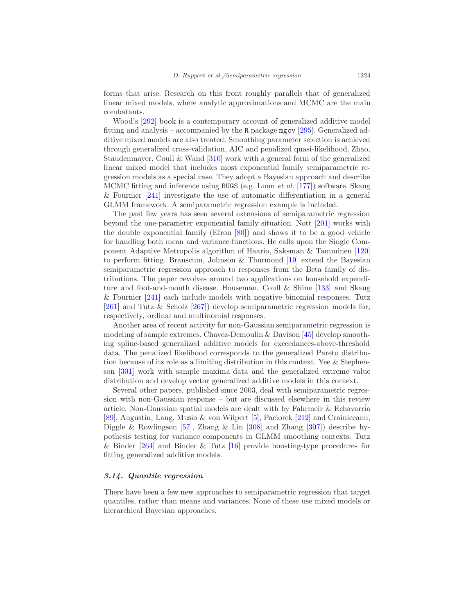forms that arise. Research on this front roughly parallels that of generalized linear mixed models, where analytic approximations and MCMC are the main combatants.

Wood's [\[292](#page-62-0)] book is a contemporary account of generalized additive model fitting and analysis – accompanied by the R package mgcv [\[295\]](#page-62-1). Generalized additive mixed models are also treated. Smoothing parameter selection is achieved through generalized cross-validation, AIC and penalized quasi-likelihood. Zhao, Staudenmayer, Coull & Wand [\[310\]](#page-63-0) work with a general form of the generalized linear mixed model that includes most exponential family semiparametric regression models as a special case. They adopt a Bayesian approach and describe MCMC fitting and inference using BUGS (e.g. Lunn et al. [\[177\]](#page-55-0)) software. Skaug & Fournier [\[241\]](#page-59-13) investigate the use of automatic differentiation in a general GLMM framework. A semiparametric regression example is included.

The past few years has seen several extensions of semiparametric regression beyond the one-parameter exponential family situation. Nott [\[201](#page-56-3)] works with the double exponential family (Efron [\[80](#page-49-13)]) and shows it to be a good vehicle for handling both mean and variance functions. He calls upon the Single Component Adaptive Metropolis algorithm of Haario, Saksman & Tamminen [\[120\]](#page-51-4) to perform fitting. Branscum, Johnson & Thurmond [\[19\]](#page-45-6) extend the Bayesian semiparametric regression approach to responses from the Beta family of distributions. The paper revolves around two applications on household expenditure and foot-and-mouth disease. Houseman, Coull & Shine [\[133](#page-52-12)] and Skaug  $&$  Fournier  $[241]$  each include models with negative binomial responses. Tutz [\[261\]](#page-60-12) and Tutz & Scholz [\[267\]](#page-60-8)) develop semiparametric regression models for, respectively, ordinal and multinomial responses.

Another area of recent activity for non-Gaussian semiparametric regression is modeling of sample extremes. Chavez-Demoulin & Davison [\[45\]](#page-47-13) develop smoothing spline-based generalized additive models for exceedances-above-threshold data. The penalized likelihood corresponds to the generalized Pareto distribution because of its role as a limiting distribution in this context. Yee & Stephenson [\[301\]](#page-62-12) work with sample maxima data and the generalized extreme value distribution and develop vector generalized additive models in this context.

Several other papers, published since 2003, deal with semiparametric regression with non-Gaussian response – but are discussed elsewhere in this review article. Non-Gaussian spatial models are dealt with by Fahrmeir  $&$  Echavarria [\[89\]](#page-49-10), Augustin, Lang, Musio & von Wilpert [\[5\]](#page-44-6), Paciorek [\[212\]](#page-57-12) and Crainiceanu, Diggle & Rowlingson [\[57](#page-48-11)], Zhang & Lin [\[308\]](#page-62-7) and Zhang [\[307\]](#page-62-8)) describe hypothesis testing for variance components in GLMM smoothing contexts. Tutz & Binder [\[264](#page-60-5)] and Binder & Tutz [\[16](#page-45-3)] provide boosting-type procedures for fitting generalized additive models.

#### <span id="page-31-0"></span>3.14. Quantile regression

There have been a few new approaches to semiparametric regression that target quantiles, rather than means and variances. None of these use mixed models or hierarchical Bayesian approaches.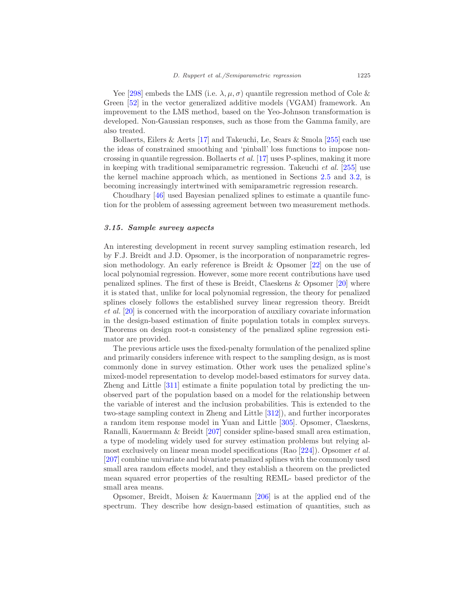Yee [\[298\]](#page-62-5) embeds the LMS (i.e.  $\lambda, \mu, \sigma$ ) quantile regression method of Cole & Green [\[52\]](#page-47-14) in the vector generalized additive models (VGAM) framework. An improvement to the LMS method, based on the Yeo-Johnson transformation is developed. Non-Gaussian responses, such as those from the Gamma family, are also treated.

Bollaerts, Eilers & Aerts [\[17\]](#page-45-7) and Takeuchi, Le, Sears & Smola [\[255](#page-59-8)] each use the ideas of constrained smoothing and 'pinball' loss functions to impose noncrossing in quantile regression. Bollaerts et al. [\[17\]](#page-45-7) uses P-splines, making it more in keeping with traditional semiparametric regression. Takeuchi et al. [\[255\]](#page-59-8) use the kernel machine approach which, as mentioned in Sections [2.5](#page-11-0) and [3.2,](#page-19-0) is becoming increasingly intertwined with semiparametric regression research.

Choudhary [\[46](#page-47-15)] used Bayesian penalized splines to estimate a quantile function for the problem of assessing agreement between two measurement methods.

#### <span id="page-32-0"></span>3.15. Sample survey aspects

An interesting development in recent survey sampling estimation research, led by F.J. Breidt and J.D. Opsomer, is the incorporation of nonparametric regression methodology. An early reference is Breidt & Opsomer [\[22](#page-45-8)] on the use of local polynomial regression. However, some more recent contributions have used penalized splines. The first of these is Breidt, Claeskens & Opsomer [\[20\]](#page-45-9) where it is stated that, unlike for local polynomial regression, the theory for penalized splines closely follows the established survey linear regression theory. Breidt et al. [\[20](#page-45-9)] is concerned with the incorporation of auxiliary covariate information in the design-based estimation of finite population totals in complex surveys. Theorems on design root-n consistency of the penalized spline regression estimator are provided.

The previous article uses the fixed-penalty formulation of the penalized spline and primarily considers inference with respect to the sampling design, as is most commonly done in survey estimation. Other work uses the penalized spline's mixed-model representation to develop model-based estimators for survey data. Zheng and Little [\[311\]](#page-63-3) estimate a finite population total by predicting the unobserved part of the population based on a model for the relationship between the variable of interest and the inclusion probabilities. This is extended to the two-stage sampling context in Zheng and Little [\[312\]](#page-63-4)), and further incorporates a random item response model in Yuan and Little [\[305\]](#page-62-11). Opsomer, Claeskens, Ranalli, Kauermann & Breidt [\[207\]](#page-57-13) consider spline-based small area estimation, a type of modeling widely used for survey estimation problems but relying almost exclusively on linear mean model specifications (Rao [\[224\]](#page-58-15)). Opsomer et al. [\[207\]](#page-57-13) combine univariate and bivariate penalized splines with the commonly used small area random effects model, and they establish a theorem on the predicted mean squared error properties of the resulting REML- based predictor of the small area means.

Opsomer, Breidt, Moisen & Kauermann [\[206\]](#page-57-14) is at the applied end of the spectrum. They describe how design-based estimation of quantities, such as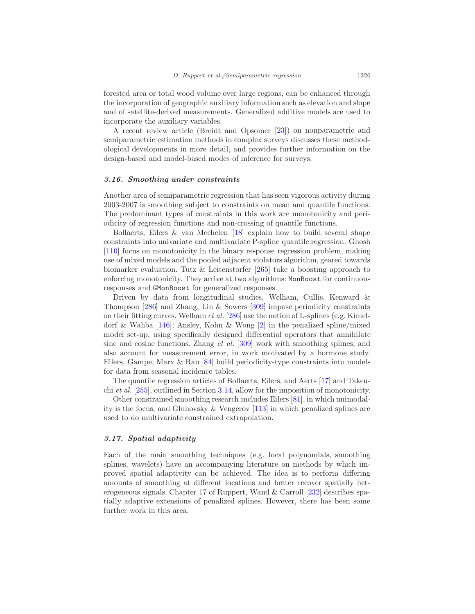forested area or total wood volume over large regions, can be enhanced through the incorporation of geographic auxiliary information such as elevation and slope and of satellite-derived measurements. Generalized additive models are used to incorporate the auxiliary variables.

A recent review article (Breidt and Opsomer [\[23\]](#page-45-10)) on nonparametric and semiparametric estimation methods in complex surveys discusses these methodological developments in more detail, and provides further information on the design-based and model-based modes of inference for surveys.

#### <span id="page-33-0"></span>3.16. Smoothing under constraints

Another area of semiparametric regression that has seen vigorous activity during 2003-2007 is smoothing subject to constraints on mean and quantile functions. The predominant types of constraints in this work are monotonicity and periodicity of regression functions and non-crossing of quantile functions.

Bollaerts, Eilers  $\&$  van Mechelen [\[18](#page-45-11)] explain how to build several shape constraints into univariate and multivariate P-spline quantile regression. Ghosh [\[110\]](#page-51-12) focus on monotonicity in the binary response regression problem, making use of mixed models and the pooled adjacent violators algorithm, geared towards biomarker evaluation. Tutz & Leitenstorfer  $[265]$  take a boosting approach to enforcing monotonicity. They arrive at two algorithms: MonBoost for continuous responses and GMonBoost for generalized responses.

Driven by data from longitudinal studies, Welham, Cullis, Kenward & Thompson [\[286\]](#page-61-12) and Zhang, Lin & Sowers [\[309](#page-63-2)] impose periodicity constraints on their fitting curves. Welham et al. [\[286](#page-61-12)] use the notion of L-splines (e.g. Kimeldorf & Wahba [\[146\]](#page-53-7); Ansley, Kohn & Wong [\[2\]](#page-44-8) in the penalized spline/mixed model set-up, using specifically designed differential operators that annihilate sine and cosine functions. Zhang et al. [\[309\]](#page-63-2) work with smoothing splines, and also account for measurement error, in work motivated by a hormone study. Eilers, Gampe, Marx & Rau [\[84\]](#page-49-14) build periodicity-type constraints into models for data from seasonal incidence tables.

The quantile regression articles of Bollaerts, Eilers, and Aerts [\[17\]](#page-45-7) and Takeuchi et al. [\[255\]](#page-59-8), outlined in Section [3.14,](#page-31-0) allow for the imposition of monotonicity.

Other constrained smoothing research includes Eilers [\[81\]](#page-49-15), in which unimodality is the focus, and Gluhovsky & Vengerov [\[113\]](#page-51-13) in which penalized splines are used to do multivariate constrained extrapolation.

# <span id="page-33-1"></span>3.17. Spatial adaptivity

Each of the main smoothing techniques (e.g. local polynomials, smoothing splines, wavelets) have an accompanying literature on methods by which improved spatial adaptivity can be achieved. The idea is to perform differing amounts of smoothing at different locations and better recover spatially heterogeneous signals. Chapter 17 of Ruppert, Wand & Carroll [\[232](#page-58-0)] describes spatially adaptive extensions of penalized splines. However, there has been some further work in this area.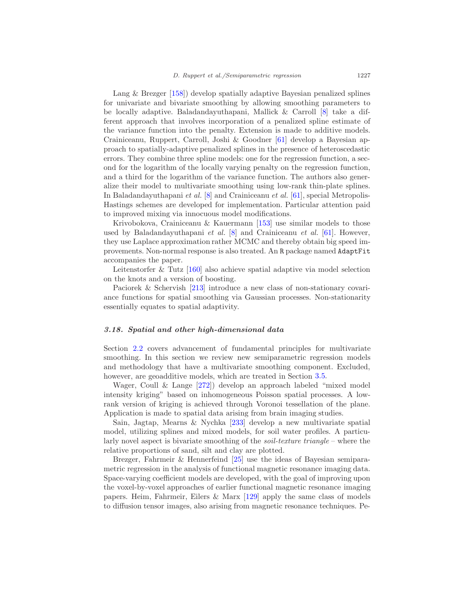Lang & Brezger [\[158](#page-54-5)]) develop spatially adaptive Bayesian penalized splines for univariate and bivariate smoothing by allowing smoothing parameters to be locally adaptive. Baladandayuthapani, Mallick & Carroll [\[8\]](#page-44-2) take a different approach that involves incorporation of a penalized spline estimate of the variance function into the penalty. Extension is made to additive models. Crainiceanu, Ruppert, Carroll, Joshi & Goodner [\[61\]](#page-48-12) develop a Bayesian approach to spatially-adaptive penalized splines in the presence of heteroscedastic errors. They combine three spline models: one for the regression function, a second for the logarithm of the locally varying penalty on the regression function, and a third for the logarithm of the variance function. The authors also generalize their model to multivariate smoothing using low-rank thin-plate splines. In Baladandayuthapani et al. [\[8\]](#page-44-2) and Crainiceanu et al. [\[61\]](#page-48-12), special Metropolis-Hastings schemes are developed for implementation. Particular attention paid to improved mixing via innocuous model modifications.

Krivobokova, Crainiceanu & Kauermann [\[153](#page-53-11)] use similar models to those used by Baladandayuthapani et al.  $[8]$  $[8]$  and Crainiceanu et al.  $[61]$ . However, they use Laplace approximation rather MCMC and thereby obtain big speed improvements. Non-normal response is also treated. An R package named AdaptFit accompanies the paper.

Leitenstorfer & Tutz [\[160](#page-54-2)] also achieve spatial adaptive via model selection on the knots and a version of boosting.

Paciorek & Schervish [\[213](#page-57-6)] introduce a new class of non-stationary covariance functions for spatial smoothing via Gaussian processes. Non-stationarity essentially equates to spatial adaptivity.

#### <span id="page-34-0"></span>3.18. Spatial and other high-dimensional data

Section [2.2](#page-8-0) covers advancement of fundamental principles for multivariate smoothing. In this section we review new semiparametric regression models and methodology that have a multivariate smoothing component. Excluded, however, are geoadditive models, which are treated in Section [3.5.](#page-23-0)

Wager, Coull & Lange [\[272\]](#page-60-13)) develop an approach labeled "mixed model intensity kriging" based on inhomogeneous Poisson spatial processes. A lowrank version of kriging is achieved through Voronoi tessellation of the plane. Application is made to spatial data arising from brain imaging studies.

Sain, Jagtap, Mearns & Nychka [\[233\]](#page-58-16) develop a new multivariate spatial model, utilizing splines and mixed models, for soil water profiles. A particularly novel aspect is bivariate smoothing of the *soil-texture triangle* – where the relative proportions of sand, silt and clay are plotted.

Brezger, Fahrmeir & Hennerfeind [\[25\]](#page-46-8) use the ideas of Bayesian semiparametric regression in the analysis of functional magnetic resonance imaging data. Space-varying coefficient models are developed, with the goal of improving upon the voxel-by-voxel approaches of earlier functional magnetic resonance imaging papers. Heim, Fahrmeir, Eilers & Marx [\[129\]](#page-52-13) apply the same class of models to diffusion tensor images, also arising from magnetic resonance techniques. Pe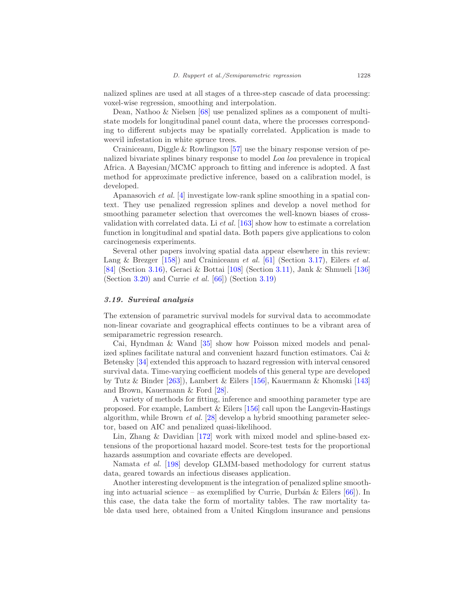nalized splines are used at all stages of a three-step cascade of data processing: voxel-wise regression, smoothing and interpolation.

Dean, Nathoo & Nielsen [\[68\]](#page-48-13) use penalized splines as a component of multistate models for longitudinal panel count data, where the processes corresponding to different subjects may be spatially correlated. Application is made to weevil infestation in white spruce trees.

Crainiceanu, Diggle  $&$  Rowlingson [\[57\]](#page-48-11) use the binary response version of penalized bivariate splines binary response to model Loa loa prevalence in tropical Africa. A Bayesian/MCMC approach to fitting and inference is adopted. A fast method for approximate predictive inference, based on a calibration model, is developed.

Apanasovich et al. [\[4](#page-44-9)] investigate low-rank spline smoothing in a spatial context. They use penalized regression splines and develop a novel method for smoothing parameter selection that overcomes the well-known biases of crossvalidation with correlated data. Li et al. [\[163](#page-54-14)] show how to estimate a correlation function in longitudinal and spatial data. Both papers give applications to colon carcinogenesis experiments.

Several other papers involving spatial data appear elsewhere in this review: Lang & Brezger [\[158](#page-54-5)]) and Crainiceanu et al. [\[61\]](#page-48-12) (Section [3.17\)](#page-33-1), Eilers et al. [\[84\]](#page-49-14) (Section [3.16\)](#page-33-0), Geraci & Bottai [\[108\]](#page-51-11) (Section [3.11\)](#page-29-0), Jank & Shmueli [\[136\]](#page-52-14) (Section [3.20\)](#page-36-0) and Currie *et al.*  $[66]$  $[66]$ ) (Section [3.19\)](#page-35-0)

#### <span id="page-35-0"></span>3.19. Survival analysis

The extension of parametric survival models for survival data to accommodate non-linear covariate and geographical effects continues to be a vibrant area of semiparametric regression research.

Cai, Hyndman & Wand [\[35\]](#page-46-9) show how Poisson mixed models and penalized splines facilitate natural and convenient hazard function estimators. Cai & Betensky [\[34\]](#page-46-10) extended this approach to hazard regression with interval censored survival data. Time-varying coefficient models of this general type are developed by Tutz & Binder [\[263](#page-60-14)]), Lambert & Eilers [\[156\]](#page-53-12), Kauermann & Khomski [\[143\]](#page-53-13) and Brown, Kauermann & Ford [\[28](#page-46-11)].

A variety of methods for fitting, inference and smoothing parameter type are proposed. For example, Lambert  $&$  Eilers [\[156\]](#page-53-12) call upon the Langevin-Hastings algorithm, while Brown et al. [\[28\]](#page-46-11) develop a hybrid smoothing parameter selector, based on AIC and penalized quasi-likelihood.

Lin, Zhang & Davidian [\[172](#page-54-8)] work with mixed model and spline-based extensions of the proportional hazard model. Score-test tests for the proportional hazards assumption and covariate effects are developed.

Namata et al. [\[198](#page-56-14)] develop GLMM-based methodology for current status data, geared towards an infectious diseases application.

Another interesting development is the integration of penalized spline smoothing into actuarial science – as exemplified by Currie, Durbán & Eilers  $[66]$ ). In this case, the data take the form of mortality tables. The raw mortality table data used here, obtained from a United Kingdom insurance and pensions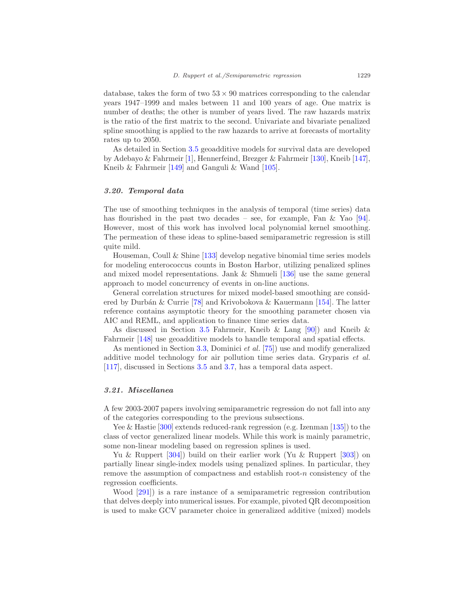database, takes the form of two  $53 \times 90$  matrices corresponding to the calendar years 1947–1999 and males between 11 and 100 years of age. One matrix is number of deaths; the other is number of years lived. The raw hazards matrix is the ratio of the first matrix to the second. Univariate and bivariate penalized spline smoothing is applied to the raw hazards to arrive at forecasts of mortality rates up to 2050.

As detailed in Section [3.5](#page-23-0) geoadditive models for survival data are developed by Adebayo & Fahrmeir [\[1\]](#page-44-5), Hennerfeind, Brezger & Fahrmeir [\[130\]](#page-52-8), Kneib [\[147\]](#page-53-10), Kneib & Fahrmeir [\[149\]](#page-53-9) and Ganguli & Wand [\[105\]](#page-50-9).

# <span id="page-36-0"></span>3.20. Temporal data

The use of smoothing techniques in the analysis of temporal (time series) data has flourished in the past two decades – see, for example, Fan  $\&$  Yao [\[94\]](#page-50-15). However, most of this work has involved local polynomial kernel smoothing. The permeation of these ideas to spline-based semiparametric regression is still quite mild.

Houseman, Coull & Shine [\[133\]](#page-52-12) develop negative binomial time series models for modeling enterococcus counts in Boston Harbor, utilizing penalized splines and mixed model representations. Jank & Shmueli [\[136\]](#page-52-14) use the same general approach to model concurrency of events in on-line auctions.

General correlation structures for mixed model-based smoothing are consid-ered by Durbán & Currie [\[78\]](#page-49-16) and Krivobokova & Kauermann [\[154\]](#page-53-14). The latter reference contains asymptotic theory for the smoothing parameter chosen via AIC and REML, and application to finance time series data.

As discussed in Section [3.5](#page-23-0) Fahrmeir, Kneib & Lang [\[90\]](#page-49-4)) and Kneib & Fahrmeir [\[148\]](#page-53-0) use geoadditive models to handle temporal and spatial effects.

As mentioned in Section [3.3,](#page-20-0) Dominici et al. [\[75](#page-49-8)]) use and modify generalized additive model technology for air pollution time series data. Gryparis et al. [\[117\]](#page-51-3), discussed in Sections [3.5](#page-23-0) and [3.7,](#page-26-0) has a temporal data aspect.

# <span id="page-36-1"></span>3.21. Miscellanea

A few 2003-2007 papers involving semiparametric regression do not fall into any of the categories corresponding to the previous subsections.

Yee & Hastie [\[300](#page-62-13)] extends reduced-rank regression (e.g. Izenman [\[135\]](#page-52-15)) to the class of vector generalized linear models. While this work is mainly parametric, some non-linear modeling based on regression splines is used.

Yu & Ruppert [\[304\]](#page-62-14)) build on their earlier work (Yu & Ruppert [\[303](#page-62-15)]) on partially linear single-index models using penalized splines. In particular, they remove the assumption of compactness and establish root- $n$  consistency of the regression coefficients.

Wood [\[291\]](#page-62-16)) is a rare instance of a semiparametric regression contribution that delves deeply into numerical issues. For example, pivoted QR decomposition is used to make GCV parameter choice in generalized additive (mixed) models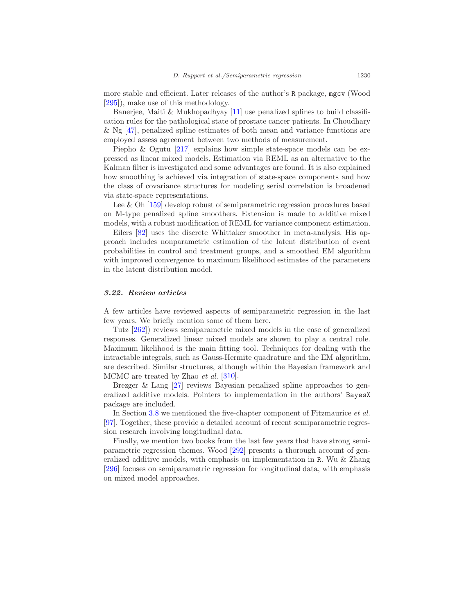more stable and efficient. Later releases of the author's R package, mgcv (Wood [\[295\]](#page-62-1)), make use of this methodology.

Banerjee, Maiti  $\&$  Mukhopadhyay [\[11\]](#page-45-12) use penalized splines to build classification rules for the pathological state of prostate cancer patients. In Choudhary & Ng  $[47]$ , penalized spline estimates of both mean and variance functions are employed assess agreement between two methods of measurement.

Piepho & Ogutu [\[217\]](#page-57-15) explains how simple state-space models can be expressed as linear mixed models. Estimation via REML as an alternative to the Kalman filter is investigated and some advantages are found. It is also explained how smoothing is achieved via integration of state-space components and how the class of covariance structures for modeling serial correlation is broadened via state-space representations.

Lee & Oh [\[159\]](#page-54-15) develop robust of semiparametric regression procedures based on M-type penalized spline smoothers. Extension is made to additive mixed models, with a robust modification of REML for variance component estimation.

Eilers [\[82\]](#page-49-17) uses the discrete Whittaker smoother in meta-analysis. His approach includes nonparametric estimation of the latent distribution of event probabilities in control and treatment groups, and a smoothed EM algorithm with improved convergence to maximum likelihood estimates of the parameters in the latent distribution model.

## <span id="page-37-0"></span>3.22. Review articles

A few articles have reviewed aspects of semiparametric regression in the last few years. We briefly mention some of them here.

Tutz [\[262](#page-60-15)]) reviews semiparametric mixed models in the case of generalized responses. Generalized linear mixed models are shown to play a central role. Maximum likelihood is the main fitting tool. Techniques for dealing with the intractable integrals, such as Gauss-Hermite quadrature and the EM algorithm, are described. Similar structures, although within the Bayesian framework and MCMC are treated by Zhao et al. [\[310\]](#page-63-0).

Brezger & Lang [\[27\]](#page-46-12) reviews Bayesian penalized spline approaches to generalized additive models. Pointers to implementation in the authors' BayesX package are included.

In Section [3.8](#page-26-1) we mentioned the five-chapter component of Fitzmaurice *et al.* [\[97\]](#page-50-13). Together, these provide a detailed account of recent semiparametric regression research involving longitudinal data.

Finally, we mention two books from the last few years that have strong semiparametric regression themes. Wood [\[292](#page-62-0)] presents a thorough account of generalized additive models, with emphasis on implementation in R. Wu & Zhang [\[296\]](#page-62-17) focuses on semiparametric regression for longitudinal data, with emphasis on mixed model approaches.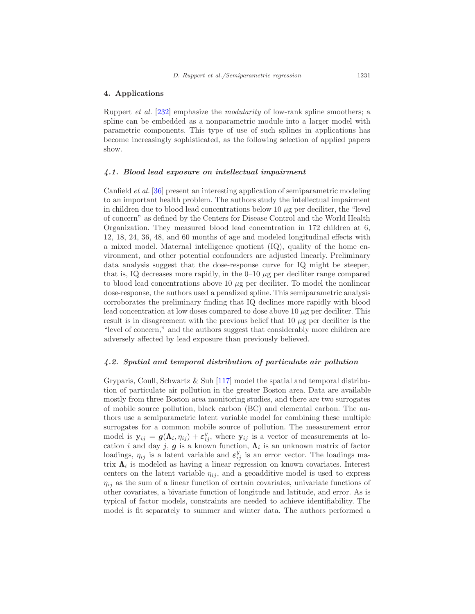#### <span id="page-38-0"></span>4. Applications

Ruppert et al. [\[232\]](#page-58-0) emphasize the modularity of low-rank spline smoothers; a spline can be embedded as a nonparametric module into a larger model with parametric components. This type of use of such splines in applications has become increasingly sophisticated, as the following selection of applied papers show.

#### <span id="page-38-1"></span>4.1. Blood lead exposure on intellectual impairment

Canfield et al. [\[36\]](#page-46-13) present an interesting application of semiparametric modeling to an important health problem. The authors study the intellectual impairment in children due to blood lead concentrations below 10  $\mu$ g per deciliter, the "level of concern" as defined by the Centers for Disease Control and the World Health Organization. They measured blood lead concentration in 172 children at 6, 12, 18, 24, 36, 48, and 60 months of age and modeled longitudinal effects with a mixed model. Maternal intelligence quotient (IQ), quality of the home environment, and other potential confounders are adjusted linearly. Preliminary data analysis suggest that the dose-response curve for IQ might be steeper, that is, IQ decreases more rapidly, in the  $0-10 \mu$ g per deciliter range compared to blood lead concentrations above 10  $\mu$ g per deciliter. To model the nonlinear dose-response, the authors used a penalized spline. This semiparametric analysis corroborates the preliminary finding that IQ declines more rapidly with blood lead concentration at low doses compared to dose above 10  $\mu$ g per deciliter. This result is in disagreement with the previous belief that  $10 \mu$ g per deciliter is the "level of concern," and the authors suggest that considerably more children are adversely affected by lead exposure than previously believed.

#### <span id="page-38-2"></span>4.2. Spatial and temporal distribution of particulate air pollution

Gryparis, Coull, Schwartz & Suh [\[117](#page-51-3)] model the spatial and temporal distribution of particulate air pollution in the greater Boston area. Data are available mostly from three Boston area monitoring studies, and there are two surrogates of mobile source pollution, black carbon (BC) and elemental carbon. The authors use a semiparametric latent variable model for combining these multiple surrogates for a common mobile source of pollution. The measurement error model is  $y_{ij} = g(\Lambda_i, \eta_{ij}) + \varepsilon_{ij}^y$ , where  $y_{ij}$  is a vector of measurements at location *i* and day *j*, **g** is a known function,  $\Lambda_i$  is an unknown matrix of factor loadings,  $\eta_{ij}$  is a latent variable and  $\varepsilon_{ij}^y$  is an error vector. The loadings matrix  $\Lambda_i$  is modeled as having a linear regression on known covariates. Interest centers on the latent variable  $\eta_{ij}$ , and a geoadditive model is used to express  $\eta_{ij}$  as the sum of a linear function of certain covariates, univariate functions of other covariates, a bivariate function of longitude and latitude, and error. As is typical of factor models, constraints are needed to achieve identifiability. The model is fit separately to summer and winter data. The authors performed a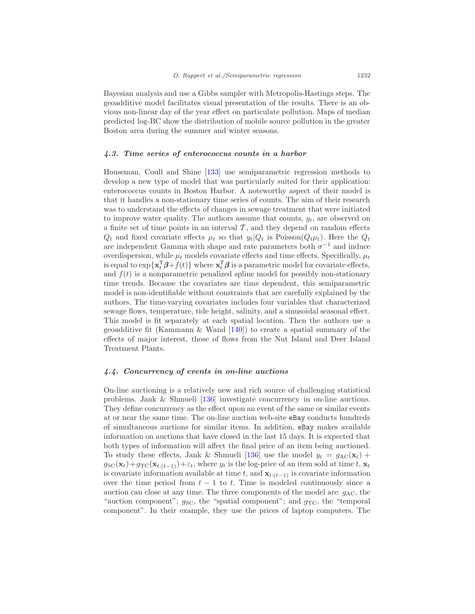Bayesian analysis and use a Gibbs sampler with Metropolis-Hastings steps. The geoadditive model facilitates visual presentation of the results. There is an obvious non-linear day of the year effect on particulate pollution. Maps of median predicted log-BC show the distribution of mobile source pollution in the greater Boston area during the summer and winter seasons.

#### <span id="page-39-0"></span>4.3. Time series of enterococcus counts in a harbor

Houseman, Coull and Shine [\[133\]](#page-52-12) use semiparametric regression methods to develop a new type of model that was particularly suited for their application: enterococcus counts in Boston Harbor. A noteworthy aspect of their model is that it handles a non-stationary time series of counts. The aim of their research was to understand the effects of changes in sewage treatment that were initiated to improve water quality. The authors assume that counts,  $y_t$ , are observed on a finite set of time points in an interval  $\mathcal{T}$ , and they depend on random effects  $Q_t$  and fixed covariate effects  $\mu_t$  so that  $y_t|Q_t$  is Poisson( $Q_t\mu_t$ ). Here the  $Q_t$ are independent Gamma with shape and rate parameters both  $\sigma^{-1}$  and induce overdispersion, while  $\mu_t$  models covariate effects and time effects. Specifically,  $\mu_t$ is equal to  $\exp\{\mathbf{x}_t^{\mathsf{T}}\boldsymbol{\beta}+f(t)\}\$  where  $\mathbf{x}_t^{\mathsf{T}}\boldsymbol{\beta}$  is a parametric model for covariate effects, and  $f(t)$  is a nonparametric penalized spline model for possibly non-stationary time trends. Because the covariates are time dependent, this semiparametric model is non-identifiable without constraints that are carefully explained by the authors. The time-varying covariates includes four variables that characterized sewage flows, temperature, tide height, salinity, and a sinusoidal seasonal effect. This model is fit separately at each spatial location. Then the authors use a geoadditive fit (Kammann & Wand  $[140]$ ) to create a spatial summary of the effects of major interest, those of flows from the Nut Island and Deer Island Treatment Plants.

#### <span id="page-39-1"></span>4.4. Concurrency of events in on-line auctions

On-line auctioning is a relatively new and rich source of challenging statistical problems. Jank & Shmueli [\[136\]](#page-52-14) investigate concurrency in on-line auctions. They define concurrency as the effect upon an event of the same or similar events at or near the same time. The on-line auction web-site eBay conducts hundreds of simultaneous auctions for similar items. In addition, eBay makes available information on auctions that have closed in the last 15 days. It is expected that both types of information will affect the final price of an item being auctioned. To study these effects, Jank & Shmueli [\[136](#page-52-14)] use the model  $y_t = g_{AC}(\mathbf{x}_t)$  +  $g_{\rm SC}(\mathbf{x}_t)+g_{\rm TC}(\mathbf{x}_{t:(t-1)})+\varepsilon_t$ , where  $y_t$  is the log-price of an item sold at time  $t, \mathbf{x}_t$ is covariate information available at time t, and  $\mathbf{x}_{t:(t-1)}$  is covariate information over the time period from  $t - 1$  to t. Time is modeled continuously since a auction can close at any time. The three components of the model are:  $q_{AC}$ , the "auction component";  $q_{SC}$ , the "spatial component"; and  $q_{TC}$ , the "temporal component". In their example, they use the prices of laptop computers. The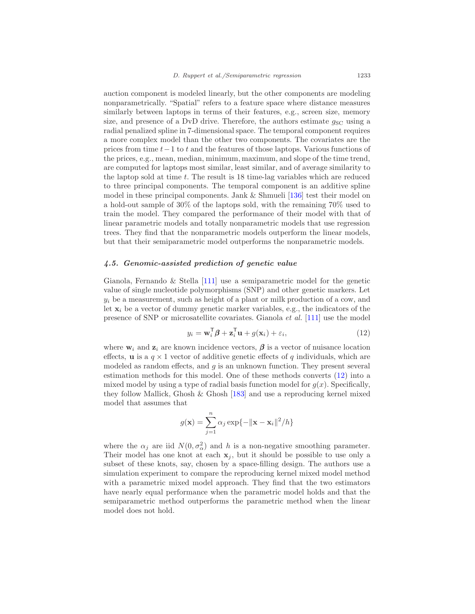auction component is modeled linearly, but the other components are modeling nonparametrically. "Spatial" refers to a feature space where distance measures similarly between laptops in terms of their features, e.g., screen size, memory size, and presence of a DvD drive. Therefore, the authors estimate  $g_{\rm SC}$  using a radial penalized spline in 7-dimensional space. The temporal component requires a more complex model than the other two components. The covariates are the prices from time t−1 to t and the features of those laptops. Various functions of the prices, e.g., mean, median, minimum, maximum, and slope of the time trend, are computed for laptops most similar, least similar, and of average similarity to the laptop sold at time  $t$ . The result is 18 time-lag variables which are reduced to three principal components. The temporal component is an additive spline model in these principal components. Jank & Shmueli [\[136\]](#page-52-14) test their model on a hold-out sample of 30% of the laptops sold, with the remaining 70% used to train the model. They compared the performance of their model with that of linear parametric models and totally nonparametric models that use regression trees. They find that the nonparametric models outperform the linear models, but that their semiparametric model outperforms the nonparametric models.

#### <span id="page-40-0"></span>4.5. Genomic-assisted prediction of genetic value

Gianola, Fernando & Stella [\[111\]](#page-51-6) use a semiparametric model for the genetic value of single nucleotide polymorphisms (SNP) and other genetic markers. Let  $y_i$  be a measurement, such as height of a plant or milk production of a cow, and let  $x_i$  be a vector of dummy genetic marker variables, e.g., the indicators of the presence of SNP or microsatellite covariates. Gianola et al. [\[111\]](#page-51-6) use the model

<span id="page-40-1"></span>
$$
y_i = \mathbf{w}_i^{\mathsf{T}} \boldsymbol{\beta} + \mathbf{z}_i^{\mathsf{T}} \mathbf{u} + g(\mathbf{x}_i) + \varepsilon_i,
$$
 (12)

where  $\mathbf{w}_i$  and  $\mathbf{z}_i$  are known incidence vectors,  $\boldsymbol{\beta}$  is a vector of nuisance location effects, **u** is a  $q \times 1$  vector of additive genetic effects of q individuals, which are modeled as random effects, and  $q$  is an unknown function. They present several estimation methods for this model. One of these methods converts [\(12\)](#page-40-1) into a mixed model by using a type of radial basis function model for  $g(x)$ . Specifically, they follow Mallick, Ghosh & Ghosh [\[183\]](#page-55-13) and use a reproducing kernel mixed model that assumes that

$$
g(\mathbf{x}) = \sum_{j=1}^{n} \alpha_j \exp\{-\|\mathbf{x} - \mathbf{x}_i\|^2/h\}
$$

where the  $\alpha_j$  are iid  $N(0, \sigma_{\alpha}^2)$  and h is a non-negative smoothing parameter. Their model has one knot at each  $x_j$ , but it should be possible to use only a subset of these knots, say, chosen by a space-filling design. The authors use a simulation experiment to compare the reproducing kernel mixed model method with a parametric mixed model approach. They find that the two estimators have nearly equal performance when the parametric model holds and that the semiparametric method outperforms the parametric method when the linear model does not hold.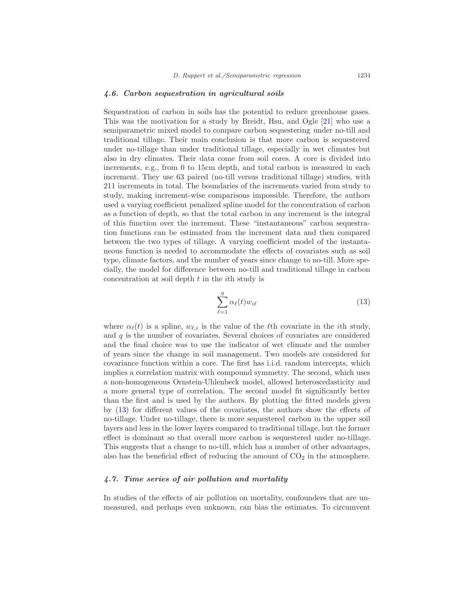#### <span id="page-41-0"></span>4.6. Carbon sequestration in agricultural soils

Sequestration of carbon in soils has the potential to reduce greenhouse gases. This was the motivation for a study by Breidt, Hsu, and Ogle [\[21\]](#page-45-13) who use a semiparametric mixed model to compare carbon sequestering under no-till and traditional tillage. Their main conclusion is that more carbon is sequestered under no-tillage than under traditional tillage, especially in wet climates but also in dry climates. Their data come from soil cores. A core is divided into increments, e.g., from 0 to 15cm depth, and total carbon is measured in each increment. They use 63 paired (no-till versus traditional tillage) studies, with 211 increments in total. The boundaries of the increments varied from study to study, making increment-wise comparisons impossible. Therefore, the authors used a varying coefficient penalized spline model for the concentration of carbon as a function of depth, so that the total carbon in any increment is the integral of this function over the increment. These "instantaneous" carbon sequestration functions can be estimated from the increment data and then compared between the two types of tillage. A varying coefficient model of the instantaneous function is needed to accommodate the effects of covariates such as soil type, climate factors, and the number of years since change to no-till. More specially, the model for difference between no-till and traditional tillage in carbon concentration at soil depth  $t$  in the *i*th study is

<span id="page-41-2"></span>
$$
\sum_{\ell=1}^{q} \alpha_{\ell}(t) w_{i\ell} \tag{13}
$$

where  $\alpha_{\ell}(t)$  is a spline,  $w_{\ell,i}$  is the value of the  $\ell$ th covariate in the *i*th study, and  $q$  is the number of covariates. Several choices of covariates are considered and the final choice was to use the indicator of wet climate and the number of years since the change in soil management. Two models are considered for covariance function within a core. The first has i.i.d. random intercepts, which implies a correlation matrix with compound symmetry. The second, which uses a non-homogeneous Ornstein-Uhlenbeck model, allowed heteroscedasticity and a more general type of correlation. The second model fit significantly better than the first and is used by the authors. By plotting the fitted models given by [\(13\)](#page-41-2) for different values of the covariates, the authors show the effects of no-tillage. Under no-tillage, there is more sequestered carbon in the upper soil layers and less in the lower layers compared to traditional tillage, but the former effect is dominant so that overall more carbon is sequestered under no-tillage. This suggests that a change to no-till, which has a number of other advantages, also has the beneficial effect of reducing the amount of  $CO<sub>2</sub>$  in the atmosphere.

# <span id="page-41-1"></span>4.7. Time series of air pollution and mortality

In studies of the effects of air pollution on mortality, confounders that are unmeasured, and perhaps even unknown, can bias the estimates. To circumvent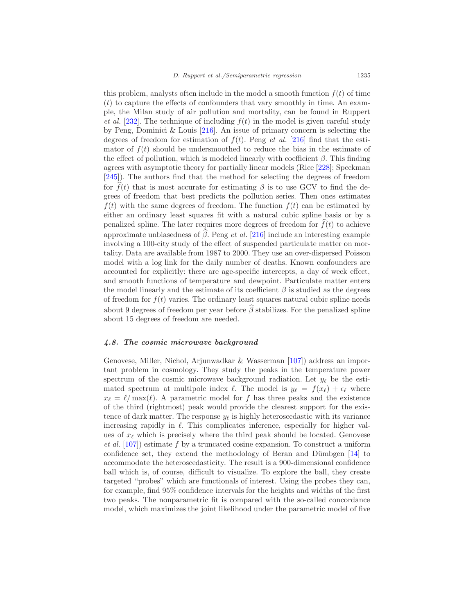this problem, analysts often include in the model a smooth function  $f(t)$  of time  $(t)$  to capture the effects of confounders that vary smoothly in time. An example, the Milan study of air pollution and mortality, can be found in Ruppert et al. [\[232\]](#page-58-0). The technique of including  $f(t)$  in the model is given careful study by Peng, Dominici & Louis  $[216]$ . An issue of primary concern is selecting the degrees of freedom for estimation of  $f(t)$ . Peng et al. [\[216\]](#page-57-16) find that the estimator of  $f(t)$  should be undersmoothed to reduce the bias in the estimate of the effect of pollution, which is modeled linearly with coefficient  $\beta$ . This finding agrees with asymptotic theory for partially linear models (Rice [\[228](#page-58-17)]; Speckman [\[245\]](#page-59-14)). The authors find that the method for selecting the degrees of freedom for  $\hat{f}(t)$  that is most accurate for estimating  $\beta$  is to use GCV to find the degrees of freedom that best predicts the pollution series. Then ones estimates  $f(t)$  with the same degrees of freedom. The function  $f(t)$  can be estimated by either an ordinary least squares fit with a natural cubic spline basis or by a penalized spline. The later requires more degrees of freedom for  $\widehat{f}(t)$  to achieve approximate unbiasedness of  $\hat{\beta}$ . Peng *et al.* [\[216\]](#page-57-16) include an interesting example involving a 100-city study of the effect of suspended particulate matter on mortality. Data are available from 1987 to 2000. They use an over-dispersed Poisson model with a log link for the daily number of deaths. Known confounders are accounted for explicitly: there are age-specific intercepts, a day of week effect, and smooth functions of temperature and dewpoint. Particulate matter enters the model linearly and the estimate of its coefficient  $\beta$  is studied as the degrees of freedom for  $f(t)$  varies. The ordinary least squares natural cubic spline needs about 9 degrees of freedom per year before  $\widehat{\beta}$  stabilizes. For the penalized spline about 15 degrees of freedom are needed.

# <span id="page-42-0"></span>4.8. The cosmic microwave background

Genovese, Miller, Nichol, Arjunwadkar & Wasserman [\[107\]](#page-50-16)) address an important problem in cosmology. They study the peaks in the temperature power spectrum of the cosmic microwave background radiation. Let  $y_{\ell}$  be the estimated spectrum at multipole index  $\ell$ . The model is  $y_{\ell} = f(x_{\ell}) + \epsilon_{\ell}$  where  $x_{\ell} = \ell / \max(\ell)$ . A parametric model for f has three peaks and the existence of the third (rightmost) peak would provide the clearest support for the existence of dark matter. The response  $y_{\ell}$  is highly heteroscedastic with its variance increasing rapidly in  $\ell$ . This complicates inference, especially for higher values of  $x_{\ell}$  which is precisely where the third peak should be located. Genovese et al.  $[107]$  $[107]$ ) estimate f by a truncated cosine expansion. To construct a uniform confidence set, they extend the methodology of Beran and Dümbgen [\[14\]](#page-45-14) to accommodate the heteroscedasticity. The result is a 900-dimensional confidence ball which is, of course, difficult to visualize. To explore the ball, they create targeted "probes" which are functionals of interest. Using the probes they can, for example, find 95% confidence intervals for the heights and widths of the first two peaks. The nonparametric fit is compared with the so-called concordance model, which maximizes the joint likelihood under the parametric model of five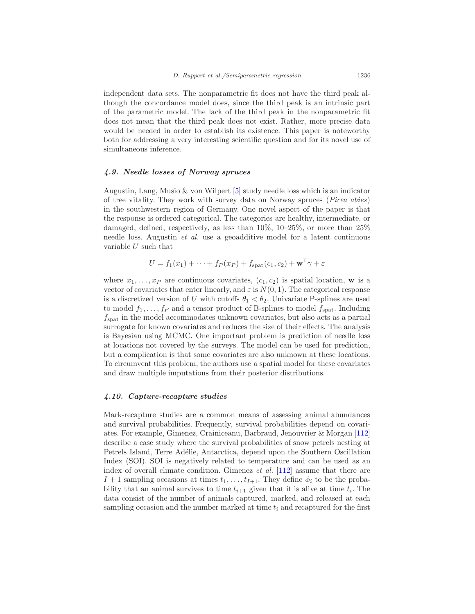independent data sets. The nonparametric fit does not have the third peak although the concordance model does, since the third peak is an intrinsic part of the parametric model. The lack of the third peak in the nonparametric fit does not mean that the third peak does not exist. Rather, more precise data would be needed in order to establish its existence. This paper is noteworthy both for addressing a very interesting scientific question and for its novel use of simultaneous inference.

#### <span id="page-43-0"></span>4.9. Needle losses of Norway spruces

Augustin, Lang, Musio & von Wilpert [\[5\]](#page-44-6) study needle loss which is an indicator of tree vitality. They work with survey data on Norway spruces (Picea abies) in the southwestern region of Germany. One novel aspect of the paper is that the response is ordered categorical. The categories are healthy, intermediate, or damaged, defined, respectively, as less than  $10\%$ ,  $10-25\%$ , or more than  $25\%$ needle loss. Augustin et al. use a geoadditive model for a latent continuous variable  $U$  such that

$$
U = f_1(x_1) + \dots + f_P(x_P) + f_{\text{spat}}(c_1, c_2) + \mathbf{w}^\mathsf{T} \gamma + \varepsilon
$$

where  $x_1, \ldots, x_P$  are continuous covariates,  $(c_1, c_2)$  is spatial location, w is a vector of covariates that enter linearly, and  $\varepsilon$  is  $N(0, 1)$ . The categorical response is a discretized version of U with cutoffs  $\theta_1 < \theta_2$ . Univariate P-splines are used to model  $f_1, \ldots, f_P$  and a tensor product of B-splines to model  $f_{\text{snat}}$ . Including  $f<sub>spat</sub>$  in the model accommodates unknown covariates, but also acts as a partial surrogate for known covariates and reduces the size of their effects. The analysis is Bayesian using MCMC. One important problem is prediction of needle loss at locations not covered by the surveys. The model can be used for prediction, but a complication is that some covariates are also unknown at these locations. To circumvent this problem, the authors use a spatial model for these covariates and draw multiple imputations from their posterior distributions.

#### <span id="page-43-1"></span>4.10. Capture-recapture studies

Mark-recapture studies are a common means of assessing animal abundances and survival probabilities. Frequently, survival probabilities depend on covariates. For example, Gimenez, Crainiceanu, Barbraud, Jenouvrier & Morgan [\[112\]](#page-51-14) describe a case study where the survival probabilities of snow petrels nesting at Petrels Island, Terre Adélie, Antarctica, depend upon the Southern Oscillation Index (SOI). SOI is negatively related to temperature and can be used as an index of overall climate condition. Gimenez *et al.* [\[112](#page-51-14)] assume that there are  $I + 1$  sampling occasions at times  $t_1, \ldots, t_{I+1}$ . They define  $\phi_i$  to be the probability that an animal survives to time  $t_{i+1}$  given that it is alive at time  $t_i$ . The data consist of the number of animals captured, marked, and released at each sampling occasion and the number marked at time  $t_i$  and recaptured for the first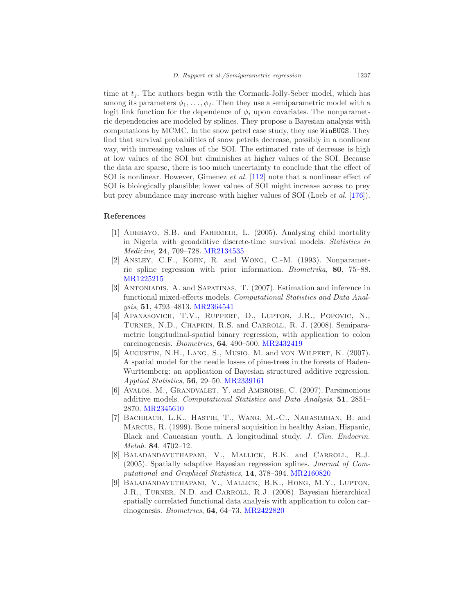time at  $t_i$ . The authors begin with the Cormack-Jolly-Seber model, which has among its parameters  $\phi_1, \ldots, \phi_I$ . Then they use a semiparametric model with a logit link function for the dependence of  $\phi_i$  upon covariates. The nonparametric dependencies are modeled by splines. They propose a Bayesian analysis with computations by MCMC. In the snow petrel case study, they use WinBUGS. They find that survival probabilities of snow petrels decrease, possibly in a nonlinear way, with increasing values of the SOI. The estimated rate of decrease is high at low values of the SOI but diminishes at higher values of the SOI. Because the data are sparse, there is too much uncertainty to conclude that the effect of SOI is nonlinear. However, Gimenez et al. [\[112\]](#page-51-14) note that a nonlinear effect of SOI is biologically plausible; lower values of SOI might increase access to prey but prey abundance may increase with higher values of SOI (Loeb et al. [\[176](#page-55-14)]).

## <span id="page-44-5"></span><span id="page-44-0"></span>References

- [1] Adebayo, S.B. and Fahrmeir, L. (2005). Analysing child mortality in Nigeria with geoadditive discrete-time survival models. Statistics in Medicine, 24, 709–728. [MR2134535](http://www.ams.org/mathscinet-getitem?mr=2134535)
- <span id="page-44-8"></span>[2] ANSLEY, C.F., KOHN, R. and WONG, C.-M. (1993). Nonparametric spline regression with prior information. Biometrika, 80, 75–88. [MR1225215](http://www.ams.org/mathscinet-getitem?mr=1225215)
- <span id="page-44-4"></span>[3] Antoniadis, A. and Sapatinas, T. (2007). Estimation and inference in functional mixed-effects models. Computational Statistics and Data Analysis, 51, 4793–4813. [MR2364541](http://www.ams.org/mathscinet-getitem?mr=2364541)
- <span id="page-44-9"></span>[4] APANASOVICH, T.V., RUPPERT, D., LUPTON, J.R., POPOVIC, N., Turner, N.D., Chapkin, R.S. and Carroll, R. J. (2008). Semiparametric longitudinal-spatial binary regression, with application to colon carcinogenesis. Biometrics, 64, 490–500. [MR2432419](http://www.ams.org/mathscinet-getitem?mr=2432419)
- <span id="page-44-6"></span>[5] Augustin, N.H., Lang, S., Musio, M. and von Wilpert, K. (2007). A spatial model for the needle losses of pine-trees in the forests of Baden-Wurttemberg: an application of Bayesian structured additive regression. Applied Statistics, 56, 29–50. [MR2339161](http://www.ams.org/mathscinet-getitem?mr=2339161)
- <span id="page-44-7"></span>[6] AVALOS, M., GRANDVALET, Y. and AMBROISE, C. (2007). Parsimonious additive models. Computational Statistics and Data Analysis, 51, 2851– 2870. [MR2345610](http://www.ams.org/mathscinet-getitem?mr=2345610)
- <span id="page-44-1"></span>[7] Bachrach, L.K., Hastie, T., Wang, M.-C., Narasimhan, B. and Marcus, R. (1999). Bone mineral acquisition in healthy Asian, Hispanic, Black and Caucasian youth. A longitudinal study. J. Clin. Endocrin. Metab. 84, 4702–12.
- <span id="page-44-2"></span>[8] Baladandayuthapani, V., Mallick, B.K. and Carroll, R.J. (2005). Spatially adaptive Bayesian regression splines. Journal of Computational and Graphical Statistics, 14, 378–394. [MR2160820](http://www.ams.org/mathscinet-getitem?mr=2160820)
- <span id="page-44-3"></span>[9] Baladandayuthapani, V., Mallick, B.K., Hong, M.Y., Lupton, J.R., TURNER, N.D. and CARROLL, R.J. (2008). Bayesian hierarchical spatially correlated functional data analysis with application to colon carcinogenesis. Biometrics, 64, 64–73. [MR2422820](http://www.ams.org/mathscinet-getitem?mr=2422820)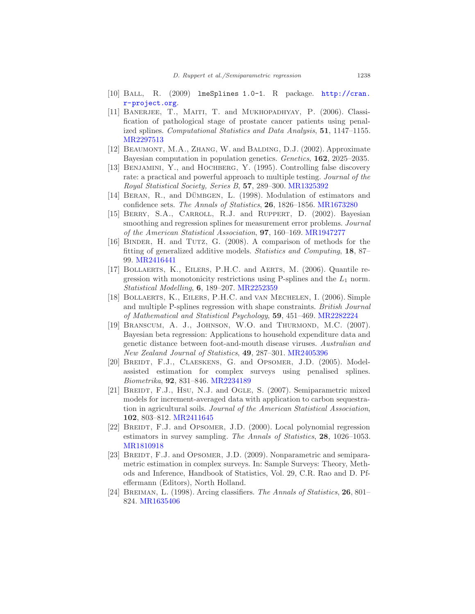- <span id="page-45-1"></span>[10] Ball, R. (2009) lmeSplines 1.0-1. R package. [http://cran.](http://cran.r-project.org) [r-project.org](http://cran.r-project.org).
- <span id="page-45-12"></span>[11] Banerjee, T., Maiti, T. and Mukhopadhyay, P. (2006). Classification of pathological stage of prostate cancer patients using penalized splines. Computational Statistics and Data Analysis, 51, 1147–1155. [MR2297513](http://www.ams.org/mathscinet-getitem?mr=2297513)
- <span id="page-45-0"></span>[12] Beaumont, M.A., Zhang, W. and Balding, D.J. (2002). Approximate Bayesian computation in population genetics. Genetics, 162, 2025–2035.
- <span id="page-45-5"></span>[13] BENJAMINI, Y., and HOCHBERG, Y. (1995). Controlling false discovery rate: a practical and powerful approach to multiple testing. Journal of the Royal Statistical Society, Series B, 57, 289–300. [MR1325392](http://www.ams.org/mathscinet-getitem?mr=1325392)
- <span id="page-45-14"></span>[14] BERAN, R., and DÜMBGEN, L. (1998). Modulation of estimators and confidence sets. The Annals of Statistics, 26, 1826–1856. [MR1673280](http://www.ams.org/mathscinet-getitem?mr=1673280)
- <span id="page-45-4"></span>[15] BERRY, S.A., CARROLL, R.J. and RUPPERT, D. (2002). Bayesian smoothing and regression splines for measurement error problems. *Journal* of the American Statistical Association, 97, 160–169. [MR1947277](http://www.ams.org/mathscinet-getitem?mr=1947277)
- <span id="page-45-3"></span>[16] BINDER, H. and TUTZ, G. (2008). A comparison of methods for the fitting of generalized additive models. Statistics and Computing, 18, 87– 99. [MR2416441](http://www.ams.org/mathscinet-getitem?mr=2416441)
- <span id="page-45-7"></span>[17] Bollaerts, K., Eilers, P.H.C. and Aerts, M. (2006). Quantile regression with monotonicity restrictions using P-splines and the  $L_1$  norm. Statistical Modelling, 6, 189–207. [MR2252359](http://www.ams.org/mathscinet-getitem?mr=2252359)
- <span id="page-45-11"></span>[18] Bollaerts, K., Eilers, P.H.C. and van Mechelen, I. (2006). Simple and multiple P-splines regression with shape constraints. British Journal of Mathematical and Statistical Psychology, 59, 451–469. [MR2282224](http://www.ams.org/mathscinet-getitem?mr=2282224)
- <span id="page-45-6"></span>[19] Branscum, A. J., Johnson, W.O. and Thurmond, M.C. (2007). Bayesian beta regression: Applications to household expenditure data and genetic distance between foot-and-mouth disease viruses. Australian and New Zealand Journal of Statistics, 49, 287–301. [MR2405396](http://www.ams.org/mathscinet-getitem?mr=2405396)
- <span id="page-45-9"></span>[20] BREIDT, F.J., CLAESKENS, G. and OPSOMER, J.D. (2005). Modelassisted estimation for complex surveys using penalised splines. Biometrika, 92, 831–846. [MR2234189](http://www.ams.org/mathscinet-getitem?mr=2234189)
- <span id="page-45-13"></span>[21] BREIDT, F.J., HSU, N.J. and OGLE, S. (2007). Semiparametric mixed models for increment-averaged data with application to carbon sequestration in agricultural soils. Journal of the American Statistical Association, 102, 803–812. [MR2411645](http://www.ams.org/mathscinet-getitem?mr=2411645)
- <span id="page-45-8"></span>[22] BREIDT, F.J. and OPSOMER, J.D. (2000). Local polynomial regression estimators in survey sampling. The Annals of Statistics, 28, 1026–1053. [MR1810918](http://www.ams.org/mathscinet-getitem?mr=1810918)
- <span id="page-45-10"></span>[23] BREIDT, F.J. and OPSOMER, J.D. (2009). Nonparametric and semiparametric estimation in complex surveys. In: Sample Surveys: Theory, Methods and Inference, Handbook of Statistics, Vol. 29, C.R. Rao and D. Pfeffermann (Editors), North Holland.
- <span id="page-45-2"></span>[24] BREIMAN, L.  $(1998)$ . Arcing classifiers. The Annals of Statistics, 26, 801– 824. [MR1635406](http://www.ams.org/mathscinet-getitem?mr=1635406)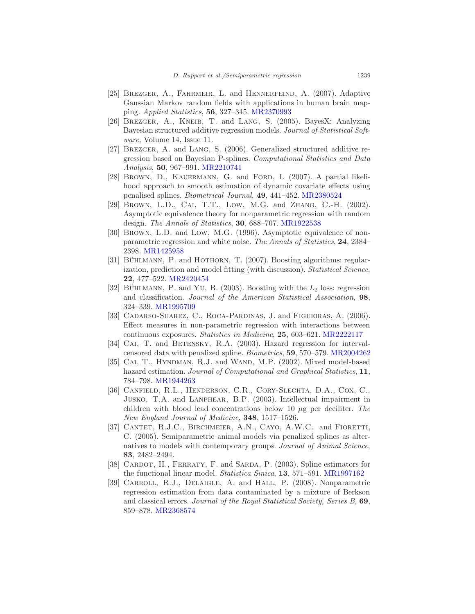- <span id="page-46-8"></span>[25] BREZGER, A., FAHRMEIR, L. and HENNERFEIND, A. (2007). Adaptive Gaussian Markov random fields with applications in human brain mapping. Applied Statistics, 56, 327–345. [MR2370993](http://www.ams.org/mathscinet-getitem?mr=2370993)
- <span id="page-46-3"></span>[26] Brezger, A., Kneib, T. and Lang, S. (2005). BayesX: Analyzing Bayesian structured additive regression models. Journal of Statistical Software, Volume 14, Issue 11.
- <span id="page-46-12"></span>[27] Brezger, A. and Lang, S. (2006). Generalized structured additive regression based on Bayesian P-splines. Computational Statistics and Data Analysis, 50, 967–991. [MR2210741](http://www.ams.org/mathscinet-getitem?mr=2210741)
- <span id="page-46-11"></span>[28] BROWN, D., KAUERMANN, G. and FORD, I. (2007). A partial likelihood approach to smooth estimation of dynamic covariate effects using penalised splines. Biometrical Journal, 49, 441–452. [MR2380524](http://www.ams.org/mathscinet-getitem?mr=2380524)
- <span id="page-46-2"></span>[29] BROWN, L.D., CAI, T.T., LOW, M.G. and ZHANG, C.-H. (2002). Asymptotic equivalence theory for nonparametric regression with random design. The Annals of Statistics, 30, 688–707. [MR1922538](http://www.ams.org/mathscinet-getitem?mr=1922538)
- <span id="page-46-1"></span>[30] Brown, L.D. and Low, M.G. (1996). Asymptotic equivalence of nonparametric regression and white noise. The Annals of Statistics, 24, 2384– 2398. [MR1425958](http://www.ams.org/mathscinet-getitem?mr=1425958)
- <span id="page-46-4"></span>[31] BÜHLMANN, P. and HOTHORN, T. (2007). Boosting algorithms: regularization, prediction and model fitting (with discussion). *Statistical Science*, 22, 477–522. [MR2420454](http://www.ams.org/mathscinet-getitem?mr=2420454)
- <span id="page-46-0"></span>[32] BÜHLMANN, P. and YU, B. (2003). Boosting with the  $L_2$  loss: regression and classification. Journal of the American Statistical Association, 98, 324–339. [MR1995709](http://www.ams.org/mathscinet-getitem?mr=1995709)
- <span id="page-46-5"></span>[33] CADARSO-SUAREZ, C., ROCA-PARDINAS, J. and FIGUEIRAS, A. (2006). Effect measures in non-parametric regression with interactions between continuous exposures. Statistics in Medicine, 25, 603–621. [MR2222117](http://www.ams.org/mathscinet-getitem?mr=2222117)
- <span id="page-46-10"></span>[34] CAI, T. and BETENSKY, R.A. (2003). Hazard regression for intervalcensored data with penalized spline. Biometrics, 59, 570–579. [MR2004262](http://www.ams.org/mathscinet-getitem?mr=2004262)
- <span id="page-46-9"></span>[35] CAI, T., HYNDMAN, R.J. and WAND, M.P. (2002). Mixed model-based hazard estimation. Journal of Computational and Graphical Statistics, 11, 784–798. [MR1944263](http://www.ams.org/mathscinet-getitem?mr=1944263)
- <span id="page-46-13"></span>[36] Canfield, R.L., Henderson, C.R., Cory-Slechta, D.A., Cox, C., Jusko, T.A. and Lanphear, B.P. (2003). Intellectual impairment in children with blood lead concentrations below 10  $\mu$ g per deciliter. The New England Journal of Medicine, 348, 1517–1526.
- [37] CANTET, R.J.C., BIRCHMEIER, A.N., CAYO, A.W.C. and FIORETTI, C. (2005). Semiparametric animal models via penalized splines as alternatives to models with contemporary groups. *Journal of Animal Science*, 83, 2482–2494.
- <span id="page-46-6"></span>[38] CARDOT, H., FERRATY, F. and SARDA, P. (2003). Spline estimators for the functional linear model. Statistica Sinica, 13, 571–591. [MR1997162](http://www.ams.org/mathscinet-getitem?mr=1997162)
- <span id="page-46-7"></span>[39] CARROLL, R.J., DELAIGLE, A. and HALL, P. (2008). Nonparametric regression estimation from data contaminated by a mixture of Berkson and classical errors. Journal of the Royal Statistical Society, Series B, 69, 859–878. [MR2368574](http://www.ams.org/mathscinet-getitem?mr=2368574)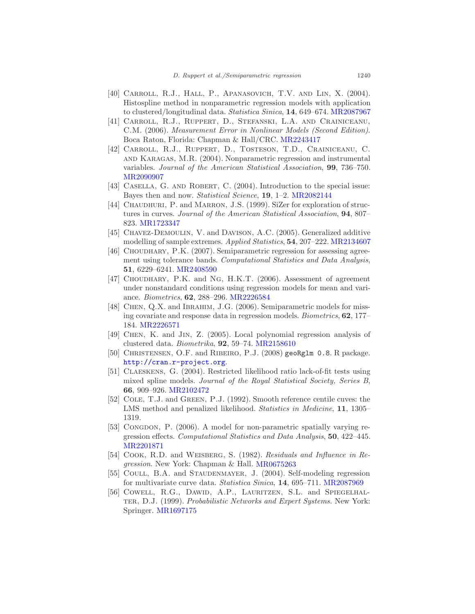- <span id="page-47-10"></span>[40] CARROLL, R.J., HALL, P., APANASOVICH, T.V. AND LIN, X. (2004). Histospline method in nonparametric regression models with application to clustered/longitudinal data. Statistica Sinica, 14, 649–674. [MR2087967](http://www.ams.org/mathscinet-getitem?mr=2087967)
- <span id="page-47-12"></span>[41] Carroll, R.J., Ruppert, D., Stefanski, L.A. and Crainiceanu, C.M. (2006). Measurement Error in Nonlinear Models (Second Edition). Boca Raton, Florida: Chapman & Hall/CRC. [MR2243417](http://www.ams.org/mathscinet-getitem?mr=2243417)
- <span id="page-47-4"></span>[42] Carroll, R.J., Ruppert, D., Tosteson, T.D., Crainiceanu, C. and Karagas, M.R. (2004). Nonparametric regression and instrumental variables. Journal of the American Statistical Association, 99, 736–750. [MR2090907](http://www.ams.org/mathscinet-getitem?mr=2090907)
- <span id="page-47-1"></span>[43] CASELLA, G. AND ROBERT, C. (2004). Introduction to the special issue: Bayes then and now. Statistical Science, 19, 1-2. [MR2082144](http://www.ams.org/mathscinet-getitem?mr=2082144)
- <span id="page-47-9"></span>[44] CHAUDHURI, P. and MARRON, J.S. (1999). SiZer for exploration of structures in curves. Journal of the American Statistical Association, 94, 807– 823. [MR1723347](http://www.ams.org/mathscinet-getitem?mr=1723347)
- <span id="page-47-13"></span>[45] Chavez-Demoulin, V. and Davison, A.C. (2005). Generalized additive modelling of sample extremes. Applied Statistics, 54, 207–222. [MR2134607](http://www.ams.org/mathscinet-getitem?mr=2134607)
- <span id="page-47-15"></span>[46] CHOUDHARY, P.K. (2007). Semiparametric regression for assessing agreement using tolerance bands. Computational Statistics and Data Analysis, 51, 6229–6241. [MR2408590](http://www.ams.org/mathscinet-getitem?mr=2408590)
- <span id="page-47-16"></span>[47] CHOUDHARY, P.K. and NG, H.K.T. (2006). Assessment of agreement under nonstandard conditions using regression models for mean and variance. Biometrics, 62, 288–296. [MR2226584](http://www.ams.org/mathscinet-getitem?mr=2226584)
- <span id="page-47-7"></span>[48] CHEN, Q.X. and IBRAHIM, J.G. (2006). Semiparametric models for missing covariate and response data in regression models. Biometrics, 62, 177– 184. [MR2226571](http://www.ams.org/mathscinet-getitem?mr=2226571)
- <span id="page-47-11"></span>[49] Chen, K. and Jin, Z. (2005). Local polynomial regression analysis of clustered data. Biometrika, 92, 59–74. [MR2158610](http://www.ams.org/mathscinet-getitem?mr=2158610)
- <span id="page-47-3"></span>[50] CHRISTENSEN, O.F. and RIBEIRO, P.J. (2008) geoRglm 0.8. R package. <http://cran.r-project.org>.
- <span id="page-47-8"></span>[51] Claeskens, G. (2004). Restricted likelihood ratio lack-of-fit tests using mixed spline models. Journal of the Royal Statistical Society, Series B, 66, 909–926. [MR2102472](http://www.ams.org/mathscinet-getitem?mr=2102472)
- <span id="page-47-14"></span>[52] Cole, T.J. and Green, P.J. (1992). Smooth reference centile cuves: the LMS method and penalized likelihood. Statistics in Medicine, 11, 1305– 1319.
- <span id="page-47-5"></span>[53] Congdon, P. (2006). A model for non-parametric spatially varying regression effects. Computational Statistics and Data Analysis, 50, 422–445. [MR2201871](http://www.ams.org/mathscinet-getitem?mr=2201871)
- <span id="page-47-0"></span>[54] COOK, R.D. and WEISBERG, S. (1982). Residuals and Influence in Regression. New York: Chapman & Hall. [MR0675263](http://www.ams.org/mathscinet-getitem?mr=0675263)
- <span id="page-47-6"></span>[55] COULL, B.A. and STAUDENMAYER, J. (2004). Self-modeling regression for multivariate curve data. Statistica Sinica, 14, 695–711. [MR2087969](http://www.ams.org/mathscinet-getitem?mr=2087969)
- <span id="page-47-2"></span>[56] Cowell, R.G., Dawid, A.P., Lauritzen, S.L. and Spiegelhal-TER, D.J. (1999). Probabilistic Networks and Expert Systems. New York: Springer. [MR1697175](http://www.ams.org/mathscinet-getitem?mr=1697175)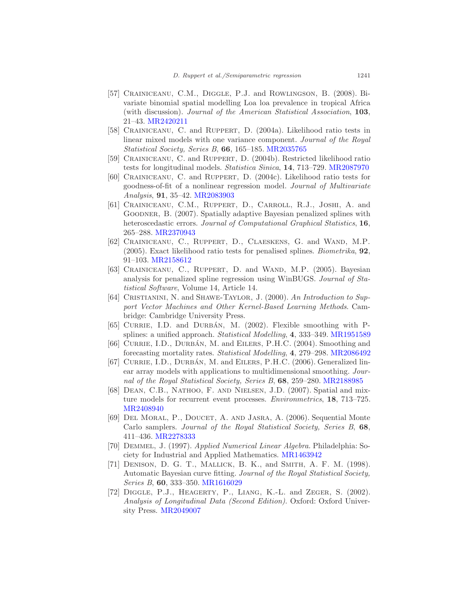- <span id="page-48-11"></span>[57] CRAINICEANU, C.M., DIGGLE, P.J. and ROWLINGSON, B. (2008). Bivariate binomial spatial modelling Loa loa prevalence in tropical Africa (with discussion). Journal of the American Statistical Association, 103, 21–43. [MR2420211](http://www.ams.org/mathscinet-getitem?mr=2420211)
- <span id="page-48-7"></span>[58] Crainiceanu, C. and Ruppert, D. (2004a). Likelihood ratio tests in linear mixed models with one variance component. Journal of the Royal Statistical Society, Series B, 66, 165–185. [MR2035765](http://www.ams.org/mathscinet-getitem?mr=2035765)
- <span id="page-48-8"></span>[59] CRAINICEANU, C. and RUPPERT, D. (2004b). Restricted likelihood ratio tests for longitudinal models. Statistica Sinica, 14, 713–729. [MR2087970](http://www.ams.org/mathscinet-getitem?mr=2087970)
- <span id="page-48-9"></span>[60] CRAINICEANU, C. and RUPPERT, D. (2004c). Likelihood ratio tests for goodness-of-fit of a nonlinear regression model. Journal of Multivariate Analysis, 91, 35–42. [MR2083903](http://www.ams.org/mathscinet-getitem?mr=2083903)
- <span id="page-48-12"></span>[61] CRAINICEANU, C.M., RUPPERT, D., CARROLL, R.J., JOSHI, A. and Goodner, B. (2007). Spatially adaptive Bayesian penalized splines with heteroscedastic errors. Journal of Computational Graphical Statistics, 16, 265–288. [MR2370943](http://www.ams.org/mathscinet-getitem?mr=2370943)
- [62] Crainiceanu, C., Ruppert, D., Claeskens, G. and Wand, M.P. (2005). Exact likelihood ratio tests for penalised splines. Biometrika, 92, 91–103. [MR2158612](http://www.ams.org/mathscinet-getitem?mr=2158612)
- <span id="page-48-0"></span>[63] CRAINICEANU, C., RUPPERT, D. and WAND, M.P. (2005). Bayesian analysis for penalized spline regression using WinBUGS. Journal of Statistical Software, Volume 14, Article 14.
- <span id="page-48-6"></span>[64] CRISTIANINI, N. and SHAWE-TAYLOR, J. (2000). An Introduction to Support Vector Machines and Other Kernel-Based Learning Methods. Cambridge: Cambridge University Press.
- <span id="page-48-1"></span> $[65]$  CURRIE, I.D. and DURBÁN, M.  $(2002)$ . Flexible smoothing with Psplines: a unified approach. *Statistical Modelling*, 4, 333–349. [MR1951589](http://www.ams.org/mathscinet-getitem?mr=1951589)
- <span id="page-48-14"></span>[66] CURRIE, I.D., DURBAN, M. and EILERS, P.H.C.  $(2004)$ . Smoothing and forecasting mortality rates. Statistical Modelling, 4, 279–298. [MR2086492](http://www.ams.org/mathscinet-getitem?mr=2086492)
- <span id="page-48-3"></span>[67] CURRIE, I.D., DURBÁN, M. and EILERS, P.H.C. (2006). Generalized linear array models with applications to multidimensional smoothing. Journal of the Royal Statistical Society, Series B, 68, 259–280. [MR2188985](http://www.ams.org/mathscinet-getitem?mr=2188985)
- <span id="page-48-13"></span>[68] Dean, C.B., Nathoo, F. and Nielsen, J.D. (2007). Spatial and mixture models for recurrent event processes. Environmetrics, 18, 713–725. [MR2408940](http://www.ams.org/mathscinet-getitem?mr=2408940)
- <span id="page-48-4"></span>[69] DEL MORAL, P., DOUCET, A. AND JASRA, A. (2006). Sequential Monte Carlo samplers. Journal of the Royal Statistical Society, Series B, 68, 411–436. [MR2278333](http://www.ams.org/mathscinet-getitem?mr=2278333)
- <span id="page-48-2"></span>[70] Demmel, J. (1997). Applied Numerical Linear Algebra. Philadelphia: Society for Industrial and Applied Mathematics. [MR1463942](http://www.ams.org/mathscinet-getitem?mr=1463942)
- <span id="page-48-5"></span>[71] Denison, D. G. T., Mallick, B. K., and Smith, A. F. M. (1998). Automatic Bayesian curve fitting. Journal of the Royal Statistical Society, Series B, 60, 333–350. [MR1616029](http://www.ams.org/mathscinet-getitem?mr=1616029)
- <span id="page-48-10"></span>[72] Diggle, P.J., Heagerty, P., Liang, K.-L. and Zeger, S. (2002). Analysis of Longitudinal Data (Second Edition). Oxford: Oxford University Press. [MR2049007](http://www.ams.org/mathscinet-getitem?mr=2049007)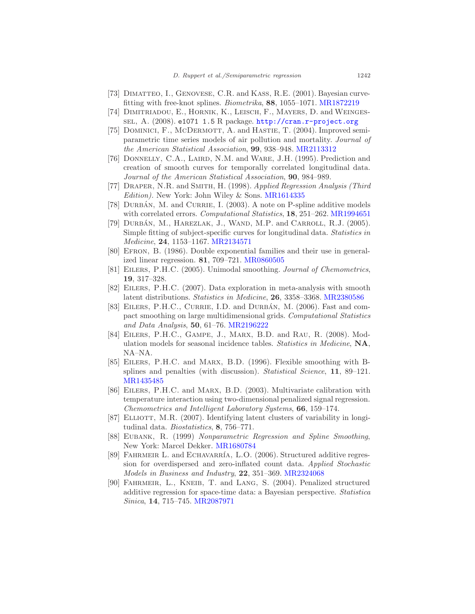- <span id="page-49-6"></span>[73] DIMATTEO, I., GENOVESE, C.R. and KASS, R.E. (2001). Bayesian curvefitting with free-knot splines. Biometrika, 88, 1055–1071. [MR1872219](http://www.ams.org/mathscinet-getitem?mr=1872219)
- <span id="page-49-7"></span>[74] Dimitriadou, E., Hornik, K., Leisch, F., Mayers, D. and Weingessel, A. (2008). e1071 1.5 R package. <http://cran.r-project.org>
- <span id="page-49-8"></span>[75] DOMINICI, F., MCDERMOTT, A. and HASTIE, T. (2004). Improved semiparametric time series models of air pollution and mortality. Journal of the American Statistical Association, 99, 938–948. [MR2113312](http://www.ams.org/mathscinet-getitem?mr=2113312)
- <span id="page-49-1"></span>[76] DONNELLY, C.A., LAIRD, N.M. and WARE, J.H. (1995). Prediction and creation of smooth curves for temporally correlated longitudinal data. Journal of the American Statistical Association, 90, 984–989.
- <span id="page-49-0"></span>[77] Draper, N.R. and Smith, H. (1998). Applied Regression Analysis (Third Edition). New York: John Wiley & Sons. [MR1614335](http://www.ams.org/mathscinet-getitem?mr=1614335)
- <span id="page-49-16"></span>[78] DURBÁN, M. and CURRIE, I.  $(2003)$ . A note on P-spline additive models with correlated errors. Computational Statistics, 18, 251-262. [MR1994651](http://www.ams.org/mathscinet-getitem?mr=1994651)
- <span id="page-49-12"></span>[79] DURBÁN, M., HAREZLAK, J., WAND, M.P. and CARROLL, R.J. (2005). Simple fitting of subject-specific curves for longitudinal data. Statistics in Medicine, 24, 1153–1167. [MR2134571](http://www.ams.org/mathscinet-getitem?mr=2134571)
- <span id="page-49-13"></span>[80] EFRON, B. (1986). Double exponential families and their use in generalized linear regression. 81, 709–721. [MR0860505](http://www.ams.org/mathscinet-getitem?mr=0860505)
- <span id="page-49-15"></span>[81] Eilers, P.H.C. (2005). Unimodal smoothing. Journal of Chemometrics, 19, 317–328.
- <span id="page-49-17"></span>[82] Eilers, P.H.C. (2007). Data exploration in meta-analysis with smooth latent distributions. Statistics in Medicine, 26, 3358–3368. [MR2380586](http://www.ams.org/mathscinet-getitem?mr=2380586)
- <span id="page-49-5"></span>[83] EILERS, P.H.C., CURRIE, I.D. and DURBÁN, M. (2006). Fast and compact smoothing on large multidimensional grids. Computational Statistics and Data Analysis, 50, 61–76. [MR2196222](http://www.ams.org/mathscinet-getitem?mr=2196222)
- <span id="page-49-14"></span>[84] Eilers, P.H.C., Gampe, J., Marx, B.D. and Rau, R. (2008). Modulation models for seasonal incidence tables. Statistics in Medicine, NA, NA–NA.
- <span id="page-49-2"></span>[85] Eilers, P.H.C. and Marx, B.D. (1996). Flexible smoothing with Bsplines and penalties (with discussion). Statistical Science, 11, 89–121. [MR1435485](http://www.ams.org/mathscinet-getitem?mr=1435485)
- <span id="page-49-9"></span>[86] Eilers, P.H.C. and Marx, B.D. (2003). Multivariate calibration with temperature interaction using two-dimensional penalized signal regression. Chemometrics and Intelligent Laboratory Systems, 66, 159–174.
- <span id="page-49-11"></span>[87] ELLIOTT, M.R. (2007). Identifying latent clusters of variability in longitudinal data. Biostatistics, 8, 756–771.
- <span id="page-49-3"></span>[88] Eubank, R. (1999) Nonparametric Regression and Spline Smoothing, New York: Marcel Dekker. [MR1680784](http://www.ams.org/mathscinet-getitem?mr=1680784)
- <span id="page-49-10"></span>[89] FAHRMEIR L. and ECHAVARRÍA, L.O. (2006). Structured additive regression for overdispersed and zero-inflated count data. Applied Stochastic Models in Business and Industry, 22, 351–369. [MR2324068](http://www.ams.org/mathscinet-getitem?mr=2324068)
- <span id="page-49-4"></span>[90] Fahrmeir, L., Kneib, T. and Lang, S. (2004). Penalized structured additive regression for space-time data: a Bayesian perspective. Statistica Sinica, 14, 715–745. [MR2087971](http://www.ams.org/mathscinet-getitem?mr=2087971)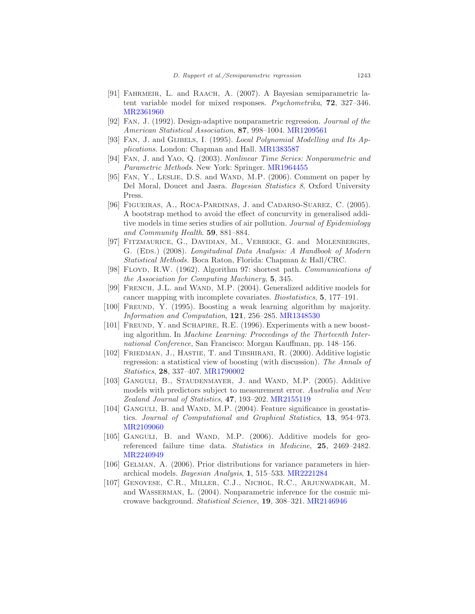- <span id="page-50-12"></span>[91] FAHRMEIR, L. and RAACH, A. (2007). A Bayesian semiparametric latent variable model for mixed responses. Psychometrika, 72, 327-346. [MR2361960](http://www.ams.org/mathscinet-getitem?mr=2361960)
- <span id="page-50-4"></span>[92] Fan, J. (1992). Design-adaptive nonparametric regression. Journal of the American Statistical Association, 87, 998–1004. [MR1209561](http://www.ams.org/mathscinet-getitem?mr=1209561)
- <span id="page-50-0"></span>[93] FAN, J. and GIJBELS, I. (1995). Local Polynomial Modelling and Its Applications. London: Chapman and Hall. [MR1383587](http://www.ams.org/mathscinet-getitem?mr=1383587)
- <span id="page-50-15"></span>[94] Fan, J. and Yao, Q. (2003). Nonlinear Time Series: Nonparametric and Parametric Methods. New York: Springer. [MR1964455](http://www.ams.org/mathscinet-getitem?mr=1964455)
- <span id="page-50-3"></span>[95] FAN, Y., LESLIE, D.S. and WAND, M.P. (2006). Comment on paper by Del Moral, Doucet and Jasra. Bayesian Statistics 8, Oxford University Press.
- <span id="page-50-8"></span>[96] FIGUEIRAS, A., ROCA-PARDINAS, J. and CADARSO-SUAREZ, C. (2005). A bootstrap method to avoid the effect of concurvity in generalised additive models in time series studies of air pollution. Journal of Epidemiology and Community Health. 59, 881–884.
- <span id="page-50-13"></span>[97] FITZMAURICE, G., DAVIDIAN, M., VERBEKE, G. and MOLENBERGHS, G. (EDS.) (2008). Longitudinal Data Analysis: A Handbook of Modern Statistical Methods. Boca Raton, Florida: Chapman & Hall/CRC.
- <span id="page-50-1"></span>[98] Floyd, R.W. (1962). Algorithm 97: shortest path. Communications of the Association for Computing Machinery, 5, 345.
- <span id="page-50-10"></span>[99] French, J.L. and Wand, M.P. (2004). Generalized additive models for cancer mapping with incomplete covariates. Biostatistics, 5, 177–191.
- <span id="page-50-5"></span>[100] Freund, Y. (1995). Boosting a weak learning algorithm by majority. Information and Computation, 121, 256–285. [MR1348530](http://www.ams.org/mathscinet-getitem?mr=1348530)
- <span id="page-50-6"></span>[101] FREUND, Y. and SCHAPIRE, R.E. (1996). Experiments with a new boosting algorithm. In Machine Learning: Proceedings of the Thirteenth International Conference, San Francisco: Morgan Kauffman, pp. 148–156.
- <span id="page-50-7"></span>[102] FRIEDMAN, J., HASTIE, T. and TIBSHIRANI, R. (2000). Additive logistic regression: a statistical view of boosting (with discussion). The Annals of Statistics, 28, 337–407. [MR1790002](http://www.ams.org/mathscinet-getitem?mr=1790002)
- <span id="page-50-14"></span>[103] GANGULI, B., STAUDENMAYER, J. and WAND, M.P. (2005). Additive models with predictors subject to measurement error. Australia and New Zealand Journal of Statistics, 47, 193–202. [MR2155119](http://www.ams.org/mathscinet-getitem?mr=2155119)
- <span id="page-50-11"></span>[104] GANGULI, B. and WAND, M.P. (2004). Feature significance in geostatistics. Journal of Computational and Graphical Statistics, 13, 954–973. [MR2109060](http://www.ams.org/mathscinet-getitem?mr=2109060)
- <span id="page-50-9"></span>[105] GANGULI, B. and WAND, M.P. (2006). Additive models for georeferenced failure time data. Statistics in Medicine, 25, 2469–2482. [MR2240949](http://www.ams.org/mathscinet-getitem?mr=2240949)
- <span id="page-50-2"></span>[106] GELMAN, A. (2006). Prior distributions for variance parameters in hierarchical models. Bayesian Analysis, 1, 515–533. [MR2221284](http://www.ams.org/mathscinet-getitem?mr=2221284)
- <span id="page-50-16"></span>[107] Genovese, C.R., Miller, C.J., Nichol, R.C., Arjunwadkar, M. and Wasserman, L. (2004). Nonparametric inference for the cosmic microwave background. Statistical Science, 19, 308–321. [MR2146946](http://www.ams.org/mathscinet-getitem?mr=2146946)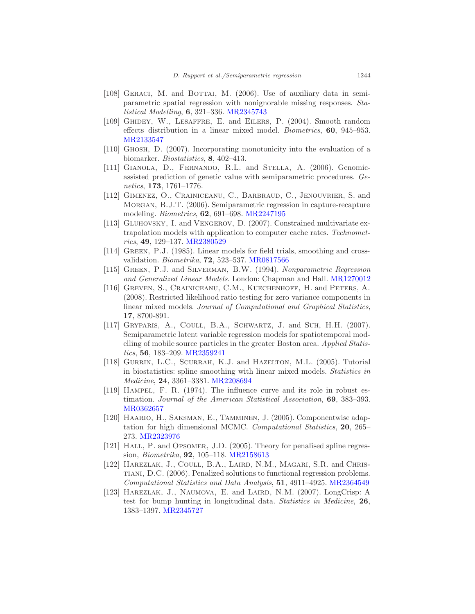- <span id="page-51-11"></span>[108] GERACI, M. and BOTTAI, M. (2006). Use of auxiliary data in semiparametric spatial regression with nonignorable missing responses. Statistical Modelling, 6, 321–336. [MR2345743](http://www.ams.org/mathscinet-getitem?mr=2345743)
- <span id="page-51-9"></span>[109] Ghidey, W., Lesaffre, E. and Eilers, P. (2004). Smooth random effects distribution in a linear mixed model. Biometrics, 60, 945–953. [MR2133547](http://www.ams.org/mathscinet-getitem?mr=2133547)
- <span id="page-51-12"></span>[110] Ghosh, D. (2007). Incorporating monotonicity into the evaluation of a biomarker. Biostatistics, 8, 402–413.
- <span id="page-51-6"></span>[111] GIANOLA, D., FERNANDO, R.L. and STELLA, A. (2006). Genomicassisted prediction of genetic value with semiparametric procedures. Genetics, 173, 1761–1776.
- <span id="page-51-14"></span>[112] Gimenez, O., Crainiceanu, C., Barbraud, C., Jenouvrier, S. and Morgan, B.J.T. (2006). Semiparametric regression in capture-recapture modeling. Biometrics, 62, 691–698. [MR2247195](http://www.ams.org/mathscinet-getitem?mr=2247195)
- <span id="page-51-13"></span>[113] Gluhovsky, I. and Vengerov, D. (2007). Constrained multivariate extrapolation models with application to computer cache rates. Technometrics, 49, 129–137. [MR2380529](http://www.ams.org/mathscinet-getitem?mr=2380529)
- <span id="page-51-1"></span>[114] GREEN, P.J. (1985). Linear models for field trials, smoothing and crossvalidation. Biometrika, 72, 523–537. [MR0817566](http://www.ams.org/mathscinet-getitem?mr=0817566)
- <span id="page-51-0"></span>[115] Green, P.J. and Silverman, B.W. (1994). Nonparametric Regression and Generalized Linear Models. London: Chapman and Hall. [MR1270012](http://www.ams.org/mathscinet-getitem?mr=1270012)
- <span id="page-51-8"></span>[116] Greven, S., Crainiceanu, C.M., Kuechenhoff, H. and Peters, A. (2008). Restricted likelihood ratio testing for zero variance components in linear mixed models. Journal of Computational and Graphical Statistics, 17, 8700-891.
- <span id="page-51-3"></span>[117] GRYPARIS, A., COULL, B.A., SCHWARTZ, J. and SUH, H.H. (2007). Semiparametric latent variable regression models for spatiotemporal modelling of mobile source particles in the greater Boston area. Applied Statistics, 56, 183–209. [MR2359241](http://www.ams.org/mathscinet-getitem?mr=2359241)
- <span id="page-51-2"></span>[118] GURRIN, L.C., SCURRAH, K.J. and HAZELTON, M.L. (2005). Tutorial in biostatistics: spline smoothing with linear mixed models. Statistics in Medicine, 24, 3361–3381. [MR2208694](http://www.ams.org/mathscinet-getitem?mr=2208694)
- [119] Hampel, F. R. (1974). The influence curve and its role in robust estimation. Journal of the American Statistical Association, 69, 383–393. [MR0362657](http://www.ams.org/mathscinet-getitem?mr=0362657)
- <span id="page-51-4"></span>[120] Haario, H., Saksman, E., Tamminen, J. (2005). Componentwise adaptation for high dimensional MCMC. *Computational Statistics*, **20**, 265– 273. [MR2323976](http://www.ams.org/mathscinet-getitem?mr=2323976)
- <span id="page-51-5"></span>[121] HALL, P. and OPSOMER, J.D. (2005). Theory for penalised spline regression, Biometrika, 92, 105–118. [MR2158613](http://www.ams.org/mathscinet-getitem?mr=2158613)
- <span id="page-51-7"></span>[122] HAREZLAK, J., COULL, B.A., LAIRD, N.M., MAGARI, S.R. and CHRIStiani, D.C. (2006). Penalized solutions to functional regression problems. Computational Statistics and Data Analysis, 51, 4911–4925. [MR2364549](http://www.ams.org/mathscinet-getitem?mr=2364549)
- <span id="page-51-10"></span>[123] HAREZLAK, J., NAUMOVA, E. and LAIRD, N.M. (2007). LongCrisp: A test for bump hunting in longitudinal data. Statistics in Medicine, 26, 1383–1397. [MR2345727](http://www.ams.org/mathscinet-getitem?mr=2345727)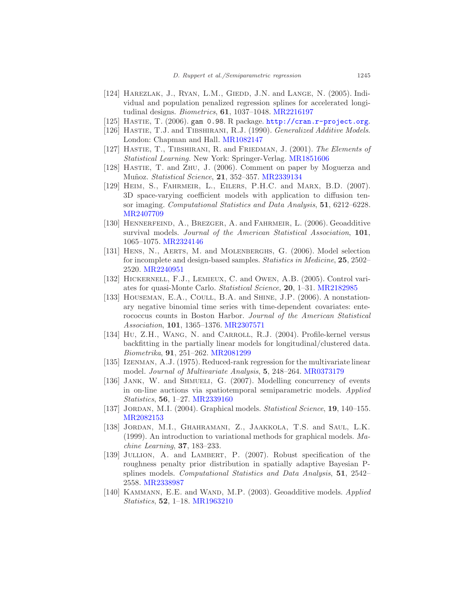- <span id="page-52-9"></span>[124] HAREZLAK, J., RYAN, L.M., GIEDD, J.N. and LANGE, N. (2005). Individual and population penalized regression splines for accelerated longitudinal designs. Biometrics, 61, 1037–1048. [MR2216197](http://www.ams.org/mathscinet-getitem?mr=2216197)
- <span id="page-52-7"></span><span id="page-52-0"></span>[125] HASTIE, T. (2006). gam 0.98. R package. <http://cran.r-project.org>.
- [126] HASTIE, T.J. and TIBSHIRANI, R.J. (1990). *Generalized Additive Models*. London: Chapman and Hall. [MR1082147](http://www.ams.org/mathscinet-getitem?mr=1082147)
- [127] HASTIE, T., TIBSHIRANI, R. and FRIEDMAN, J. (2001). The Elements of Statistical Learning. New York: Springer-Verlag. [MR1851606](http://www.ams.org/mathscinet-getitem?mr=1851606)
- <span id="page-52-4"></span>[128] Hastie, T. and Zhu, J. (2006). Comment on paper by Moguerza and Muñoz. Statistical Science, 21, 352-357. [MR2339134](http://www.ams.org/mathscinet-getitem?mr=2339134)
- <span id="page-52-13"></span>[129] Heim, S., Fahrmeir, L., Eilers, P.H.C. and Marx, B.D. (2007). 3D space-varying coefficient models with application to diffusion tensor imaging. Computational Statistics and Data Analysis, 51, 6212–6228. [MR2407709](http://www.ams.org/mathscinet-getitem?mr=2407709)
- <span id="page-52-8"></span>[130] Hennerfeind, A., Brezger, A. and Fahrmeir, L. (2006). Geoadditive survival models. Journal of the American Statistical Association, 101, 1065–1075. [MR2324146](http://www.ams.org/mathscinet-getitem?mr=2324146)
- <span id="page-52-11"></span>[131] HENS, N., AERTS, M. and MOLENBERGHS, G. (2006). Model selection for incomplete and design-based samples. Statistics in Medicine, 25, 2502-2520. [MR2240951](http://www.ams.org/mathscinet-getitem?mr=2240951)
- <span id="page-52-3"></span>[132] HICKERNELL, F.J., LEMIEUX, C. and OWEN, A.B. (2005). Control variates for quasi-Monte Carlo. Statistical Science, 20, 1–31. [MR2182985](http://www.ams.org/mathscinet-getitem?mr=2182985)
- <span id="page-52-12"></span>[133] HOUSEMAN, E.A., COULL, B.A. and SHINE, J.P. (2006). A nonstationary negative binomial time series with time-dependent covariates: enterococcus counts in Boston Harbor. Journal of the American Statistical Association, 101, 1365–1376. [MR2307571](http://www.ams.org/mathscinet-getitem?mr=2307571)
- <span id="page-52-10"></span>[134] Hu, Z.H., Wang, N. and Carroll, R.J. (2004). Profile-kernel versus backfitting in the partially linear models for longitudinal/clustered data. Biometrika, 91, 251–262. [MR2081299](http://www.ams.org/mathscinet-getitem?mr=2081299)
- <span id="page-52-15"></span>[135] Izenman, A.J. (1975). Reduced-rank regression for the multivariate linear model. Journal of Multivariate Analysis, 5, 248–264. [MR0373179](http://www.ams.org/mathscinet-getitem?mr=0373179)
- <span id="page-52-14"></span>[136] JANK, W. and SHMUELI, G. (2007). Modelling concurrency of events in on-line auctions via spatiotemporal semiparametric models. Applied Statistics, 56, 1–27. [MR2339160](http://www.ams.org/mathscinet-getitem?mr=2339160)
- <span id="page-52-5"></span>[137] JORDAN, M.I. (2004). Graphical models. Statistical Science, 19, 140-155. [MR2082153](http://www.ams.org/mathscinet-getitem?mr=2082153)
- <span id="page-52-6"></span>[138] Jordan, M.I., Ghahramani, Z., Jaakkola, T.S. and Saul, L.K. (1999). An introduction to variational methods for graphical models. Machine Learning, 37, 183–233.
- <span id="page-52-2"></span>[139] JULLION, A. and LAMBERT, P. (2007). Robust specification of the roughness penalty prior distribution in spatially adaptive Bayesian Psplines models. Computational Statistics and Data Analysis, 51, 2542– 2558. [MR2338987](http://www.ams.org/mathscinet-getitem?mr=2338987)
- <span id="page-52-1"></span>[140] KAMMANN, E.E. and WAND, M.P. (2003). Geoadditive models. Applied Statistics, 52, 1–18. [MR1963210](http://www.ams.org/mathscinet-getitem?mr=1963210)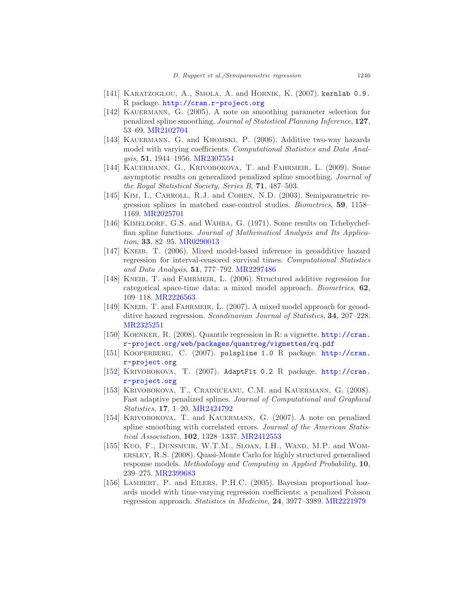- [141] KARATZOGLOU, A., SMOLA, A. and HORNIK, K. (2007). kernlab 0.9. R package. <http://cran.r-project.org>
- <span id="page-53-3"></span>[142] KAUERMANN, G. (2005). A note on smoothing parameter selection for penalized spline smoothing. Journal of Statistical Planning Inference, 127, 53–69. [MR2102704](http://www.ams.org/mathscinet-getitem?mr=2102704)
- <span id="page-53-13"></span>[143] KAUERMANN, G. and KHOMSKI, P. (2006). Additive two-way hazards model with varying coefficients. Computational Statistics and Data Analysis, 51, 1944–1956. [MR2307554](http://www.ams.org/mathscinet-getitem?mr=2307554)
- <span id="page-53-2"></span>[144] KAUERMANN, G., KRIVOBOKOVA, T. and FAHRMEIR, L. (2009). Some asymptotic results on generalized penalized spline smoothing. Journal of the Royal Statistical Society, Series B, 71, 487–503.
- <span id="page-53-8"></span>[145] KIM, I., CARROLL, R.J. and COHEN, N.D. (2003). Semiparametric regression splines in matched case-control studies. Biometrics, 59, 1158– 1169. [MR2025701](http://www.ams.org/mathscinet-getitem?mr=2025701)
- <span id="page-53-7"></span>[146] KIMELDORF, G.S. and WAHBA, G. (1971). Some results on Tchebycheffian spline functions. Journal of Mathematical Analysis and Its Application, 33, 82–95. [MR0290013](http://www.ams.org/mathscinet-getitem?mr=0290013)
- <span id="page-53-10"></span>[147] KNEIB, T. (2006). Mixed model-based inference in geoadditive hazard regression for interval-censored survival times. Computational Statistics and Data Analysis, 51, 777–792. [MR2297486](http://www.ams.org/mathscinet-getitem?mr=2297486)
- <span id="page-53-0"></span>[148] KNEIB, T. and FAHRMEIR, L. (2006). Structured additive regression for categorical space-time data: a mixed model approach. Biometrics, 62, 109–118. [MR2226563](http://www.ams.org/mathscinet-getitem?mr=2226563)
- <span id="page-53-9"></span>[149] KNEIB, T. and FAHRMEIR, L. (2007). A mixed model approach for geoadditive hazard regression. Scandinavian Journal of Statistics, 34, 207-228. [MR2325251](http://www.ams.org/mathscinet-getitem?mr=2325251)
- <span id="page-53-4"></span>[150] Koenker, R. (2008). Quantile regression in R: a vignette. [http://cran.](http://cran.r-project.org/web/packages/quantreg/vignettes/rq.pdf) [r-project.org/web/packages/quantreg/vignettes/rq.pdf](http://cran.r-project.org/web/packages/quantreg/vignettes/rq.pdf)
- <span id="page-53-6"></span>[151] KOOPERBERG, C. (2007). polspline 1.0 R package. [http://cran.](http://cran.r-project.org) [r-project.org](http://cran.r-project.org)
- <span id="page-53-5"></span>[152] KRIVOBOKOVA, T. (2007). AdaptFit 0.2 R package. [http://cran.](http://cran.r-project.org) [r-project.org](http://cran.r-project.org)
- <span id="page-53-11"></span>[153] Krivobokova, T., Crainiceanu, C.M. and Kauermann, G. (2008). Fast adaptive penalized splines. Journal of Computational and Graphical Statistics, 17, 1–20. [MR2424792](http://www.ams.org/mathscinet-getitem?mr=2424792)
- <span id="page-53-14"></span>[154] KRIVOBOKOVA, T. and KAUERMANN, G. (2007). A note on penalized spline smoothing with correlated errors. Journal of the American Statistical Association, 102, 1328–1337. [MR2412553](http://www.ams.org/mathscinet-getitem?mr=2412553)
- <span id="page-53-1"></span>[155] Kuo, F., DUNSMUIR, W.T.M., SLOAN, I.H., WAND, M.P. and WOMersley, R.S. (2008). Quasi-Monte Carlo for highly structured generalised response models. Methodology and Computing in Applied Probability, 10, 239–275. [MR2399683](http://www.ams.org/mathscinet-getitem?mr=2399683)
- <span id="page-53-12"></span>[156] Lambert, P. and Eilers, P.H.C. (2005). Bayesian proportional hazards model with time-varying regression coefficients: a penalized Poisson regression approach. Statistics in Medicine, 24, 3977–3989. [MR2221979](http://www.ams.org/mathscinet-getitem?mr=2221979)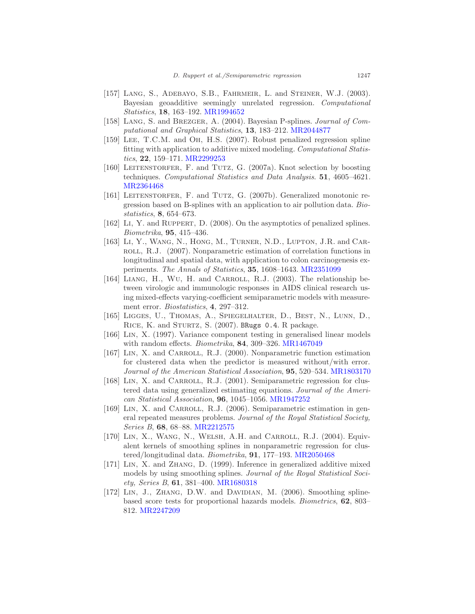- <span id="page-54-4"></span>[157] LANG, S., ADEBAYO, S.B., FAHRMEIR, L. and STEINER, W.J. (2003). Bayesian geoadditive seemingly unrelated regression. Computational Statistics, 18, 163–192. [MR1994652](http://www.ams.org/mathscinet-getitem?mr=1994652)
- <span id="page-54-5"></span>[158] LANG, S. and BREZGER, A. (2004). Bayesian P-splines. Journal of Computational and Graphical Statistics, 13, 183–212. [MR2044877](http://www.ams.org/mathscinet-getitem?mr=2044877)
- <span id="page-54-15"></span>[159] Lee, T.C.M. and Oh, H.S. (2007). Robust penalized regression spline fitting with application to additive mixed modeling. Computational Statistics, 22, 159–171. [MR2299253](http://www.ams.org/mathscinet-getitem?mr=2299253)
- <span id="page-54-2"></span>[160] LEITENSTORFER, F. and TUTZ, G. (2007a). Knot selection by boosting techniques. Computational Statistics and Data Analysis. 51, 4605–4621. [MR2364468](http://www.ams.org/mathscinet-getitem?mr=2364468)
- <span id="page-54-3"></span>[161] LEITENSTORFER, F. and TUTZ, G. (2007b). Generalized monotonic regression based on B-splines with an application to air pollution data. Biostatistics, 8, 654–673.
- <span id="page-54-0"></span>[162] Li, Y. and Ruppert, D. (2008). On the asymptotics of penalized splines. Biometrika, 95, 415–436.
- <span id="page-54-14"></span>[163] LI, Y., WANG, N., HONG, M., TURNER, N.D., LUPTON, J.R. and CAR-ROLL, R.J. (2007). Nonparametric estimation of correlation functions in longitudinal and spatial data, with application to colon carcinogenesis experiments. The Annals of Statistics, 35, 1608–1643. [MR2351099](http://www.ams.org/mathscinet-getitem?mr=2351099)
- <span id="page-54-13"></span>[164] LIANG, H., WU, H. and CARROLL, R.J. (2003). The relationship between virologic and immunologic responses in AIDS clinical research using mixed-effects varying-coefficient semiparametric models with measurement error. *Biostatistics*, 4, 297-312.
- <span id="page-54-1"></span>[165] LIGGES, U., THOMAS, A., SPIEGELHALTER, D., BEST, N., LUNN, D., RICE, K. and STURTZ, S. (2007). BRugs 0.4. R package.
- <span id="page-54-6"></span>[166] Lin, X. (1997). Variance component testing in generalised linear models with random effects. *Biometrika*, **84**, 309-326. [MR1467049](http://www.ams.org/mathscinet-getitem?mr=1467049)
- <span id="page-54-9"></span>[167] LIN, X. and CARROLL, R.J. (2000). Nonparametric function estimation for clustered data when the predictor is measured without/with error. Journal of the American Statistical Association, 95, 520–534. [MR1803170](http://www.ams.org/mathscinet-getitem?mr=1803170)
- <span id="page-54-10"></span>[168] LIN, X. and CARROLL, R.J. (2001). Semiparametric regression for clustered data using generalized estimating equations. Journal of the American Statistical Association, 96, 1045–1056. [MR1947252](http://www.ams.org/mathscinet-getitem?mr=1947252)
- <span id="page-54-12"></span>[169] LIN, X. and CARROLL, R.J. (2006). Semiparametric estimation in general repeated measures problems. Journal of the Royal Statistical Society, Series B, 68, 68–88. [MR2212575](http://www.ams.org/mathscinet-getitem?mr=2212575)
- <span id="page-54-11"></span>[170] LIN, X., WANG, N., WELSH, A.H. and CARROLL, R.J. (2004). Equivalent kernels of smoothing splines in nonparametric regression for clus-tered/longitudinal data. Biometrika, 91, 177-193. [MR2050468](http://www.ams.org/mathscinet-getitem?mr=2050468)
- <span id="page-54-7"></span>[171] Lin, X. and Zhang, D. (1999). Inference in generalized additive mixed models by using smoothing splines. Journal of the Royal Statistical Society, Series B, 61, 381–400. [MR1680318](http://www.ams.org/mathscinet-getitem?mr=1680318)
- <span id="page-54-8"></span>[172] LIN, J., ZHANG, D.W. and DAVIDIAN, M. (2006). Smoothing splinebased score tests for proportional hazards models. Biometrics, 62, 803– 812. [MR2247209](http://www.ams.org/mathscinet-getitem?mr=2247209)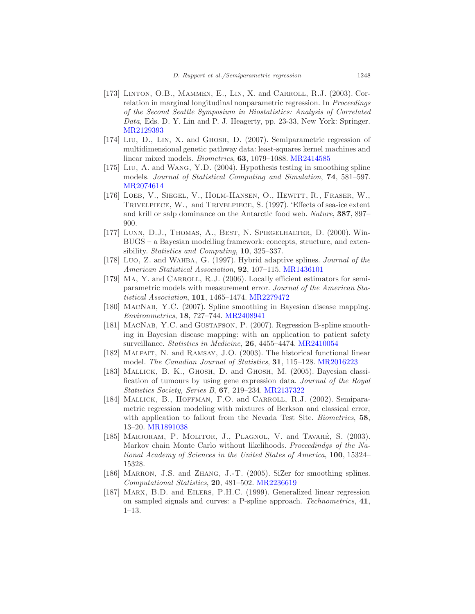- <span id="page-55-10"></span>[173] LINTON, O.B., MAMMEN, E., LIN, X. and CARROLL, R.J. (2003). Correlation in marginal longitudinal nonparametric regression. In Proceedings of the Second Seattle Symposium in Biostatistics: Analysis of Correlated Data, Eds. D. Y. Lin and P. J. Heagerty, pp. 23-33, New York: Springer. [MR2129393](http://www.ams.org/mathscinet-getitem?mr=2129393)
- <span id="page-55-3"></span>[174] LIU, D., LIN, X. and GHOSH, D. (2007). Semiparametric regression of multidimensional genetic pathway data: least-squares kernel machines and linear mixed models. Biometrics, 63, 1079–1088. [MR2414585](http://www.ams.org/mathscinet-getitem?mr=2414585)
- <span id="page-55-8"></span>[175] Liu, A. and Wang, Y.D. (2004). Hypothesis testing in smoothing spline models. Journal of Statistical Computing and Simulation, 74, 581–597. [MR2074614](http://www.ams.org/mathscinet-getitem?mr=2074614)
- <span id="page-55-14"></span>[176] LOEB, V., SIEGEL, V., HOLM-HANSEN, O., HEWITT, R., FRASER, W., Trivelpiece, W., and Trivelpiece, S. (1997). 'Effects of sea-ice extent and krill or salp dominance on the Antarctic food web. Nature, 387, 897– 900.
- <span id="page-55-0"></span>[177] LUNN, D.J., THOMAS, A., BEST, N. SPIEGELHALTER, D. (2000). Win-BUGS – a Bayesian modelling framework: concepts, structure, and extensibility. Statistics and Computing, 10, 325–337.
- <span id="page-55-2"></span>[178] Luo, Z. and WAHBA, G. (1997). Hybrid adaptive splines. Journal of the American Statistical Association, **92**, 107–115. [MR1436101](http://www.ams.org/mathscinet-getitem?mr=1436101)
- <span id="page-55-11"></span>[179] MA, Y. and CARROLL, R.J. (2006). Locally efficient estimators for semiparametric models with measurement error. Journal of the American Statistical Association, 101, 1465–1474. [MR2279472](http://www.ams.org/mathscinet-getitem?mr=2279472)
- <span id="page-55-4"></span>[180] MacNab, Y.C. (2007). Spline smoothing in Bayesian disease mapping. Environmetrics, 18, 727–744. [MR2408941](http://www.ams.org/mathscinet-getitem?mr=2408941)
- <span id="page-55-5"></span>[181] MacNab, Y.C. and Gustafson, P. (2007). Regression B-spline smoothing in Bayesian disease mapping: with an application to patient safety surveillance. Statistics in Medicine, 26, 4455-4474. [MR2410054](http://www.ams.org/mathscinet-getitem?mr=2410054)
- <span id="page-55-6"></span>[182] Malfait, N. and Ramsay, J.O. (2003). The historical functional linear model. The Canadian Journal of Statistics, 31, 115–128. [MR2016223](http://www.ams.org/mathscinet-getitem?mr=2016223)
- <span id="page-55-13"></span>[183] MALLICK, B. K., GHOSH, D. and GHOSH, M. (2005). Bayesian classification of tumours by using gene expression data. Journal of the Royal Statistics Society, Series B, 67, 219–234. [MR2137322](http://www.ams.org/mathscinet-getitem?mr=2137322)
- <span id="page-55-12"></span>[184] MALLICK, B., HOFFMAN, F.O. and CARROLL, R.J. (2002). Semiparametric regression modeling with mixtures of Berkson and classical error, with application to fallout from the Nevada Test Site. Biometrics, 58, 13–20. [MR1891038](http://www.ams.org/mathscinet-getitem?mr=1891038)
- <span id="page-55-1"></span>[185] MARJORAM, P. MOLITOR, J., PLAGNOL, V. and TAVARÉ, S. (2003). Markov chain Monte Carlo without likelihoods. Proceedindgs of the National Academy of Sciences in the United States of America, 100, 15324– 15328.
- <span id="page-55-9"></span>[186] MARRON, J.S. and ZHANG, J.-T. (2005). SiZer for smoothing splines. Computational Statistics, 20, 481–502. [MR2236619](http://www.ams.org/mathscinet-getitem?mr=2236619)
- <span id="page-55-7"></span>[187] Marx, B.D. and Eilers, P.H.C. (1999). Generalized linear regression on sampled signals and curves: a P-spline approach. Technometrics, 41, 1–13.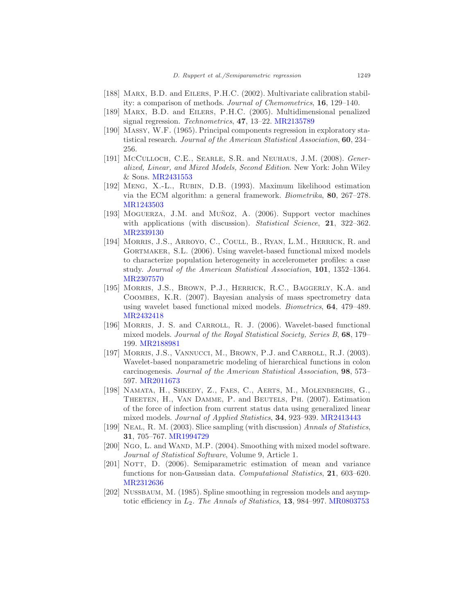- <span id="page-56-12"></span>[188] MARX, B.D. and EILERS, P.H.C. (2002). Multivariate calibration stability: a comparison of methods. Journal of Chemometrics, 16, 129–140.
- <span id="page-56-11"></span>[189] Marx, B.D. and Eilers, P.H.C. (2005). Multidimensional penalized signal regression. Technometrics, 47, 13–22. [MR2135789](http://www.ams.org/mathscinet-getitem?mr=2135789)
- <span id="page-56-13"></span>[190] Massy, W.F. (1965). Principal components regression in exploratory statistical research. Journal of the American Statistical Association, 60, 234– 256.
- <span id="page-56-0"></span>[191] McCulloch, C.E., SEARLE, S.R. and Neuhaus, J.M. (2008). Generalized, Linear, and Mixed Models, Second Edition. New York: John Wiley & Sons. [MR2431553](http://www.ams.org/mathscinet-getitem?mr=2431553)
- <span id="page-56-6"></span>[192] Meng, X.-L., Rubin, D.B. (1993). Maximum likelihood estimation via the ECM algorithm: a general framework. Biometrika, 80, 267–278. [MR1243503](http://www.ams.org/mathscinet-getitem?mr=1243503)
- <span id="page-56-5"></span>[193] MOGUERZA, J.M. and MUÑOZ, A. (2006). Support vector machines with applications (with discussion). Statistical Science, 21, 322–362. [MR2339130](http://www.ams.org/mathscinet-getitem?mr=2339130)
- <span id="page-56-9"></span>[194] MORRIS, J.S., ARROYO, C., COULL, B., RYAN, L.M., HERRICK, R. and GORTMAKER, S.L. (2006). Using wavelet-based functional mixed models to characterize population heterogeneity in accelerometer profiles: a case study. Journal of the American Statistical Association, 101, 1352–1364. [MR2307570](http://www.ams.org/mathscinet-getitem?mr=2307570)
- <span id="page-56-10"></span>[195] Morris, J.S., Brown, P.J., Herrick, R.C., Baggerly, K.A. and Coombes, K.R. (2007). Bayesian analysis of mass spectrometry data using wavelet based functional mixed models. Biometrics, 64, 479–489. [MR2432418](http://www.ams.org/mathscinet-getitem?mr=2432418)
- <span id="page-56-8"></span>[196] Morris, J. S. and Carroll, R. J. (2006). Wavelet-based functional mixed models. Journal of the Royal Statistical Society, Series B, 68, 179– 199. [MR2188981](http://www.ams.org/mathscinet-getitem?mr=2188981)
- <span id="page-56-7"></span>[197] MORRIS, J.S., VANNUCCI, M., BROWN, P.J. and CARROLL, R.J. (2003). Wavelet-based nonparametric modeling of hierarchical functions in colon carcinogenesis. Journal of the American Statistical Association, 98, 573– 597. [MR2011673](http://www.ams.org/mathscinet-getitem?mr=2011673)
- <span id="page-56-14"></span>[198] Namata, H., Shkedy, Z., Faes, C., Aerts, M., Molenberghs, G., Theeten, H., Van Damme, P. and Beutels, Ph. (2007). Estimation of the force of infection from current status data using generalized linear mixed models. Journal of Applied Statistics, 34, 923–939. [MR2413443](http://www.ams.org/mathscinet-getitem?mr=2413443)
- <span id="page-56-4"></span>[199] Neal, R. M. (2003). Slice sampling (with discussion) Annals of Statistics, 31, 705–767. [MR1994729](http://www.ams.org/mathscinet-getitem?mr=1994729)
- <span id="page-56-1"></span>[200] Ngo, L. and WAND, M.P. (2004). Smoothing with mixed model software. Journal of Statistical Software, Volume 9, Article 1.
- <span id="page-56-3"></span>[201] NOTT, D. (2006). Semiparametric estimation of mean and variance functions for non-Gaussian data. Computational Statistics, 21, 603-620. [MR2312636](http://www.ams.org/mathscinet-getitem?mr=2312636)
- <span id="page-56-2"></span>[202] Nussbaum, M. (1985). Spline smoothing in regression models and asymptotic efficiency in  $L_2$ . The Annals of Statistics, 13, 984–997. [MR0803753](http://www.ams.org/mathscinet-getitem?mr=0803753)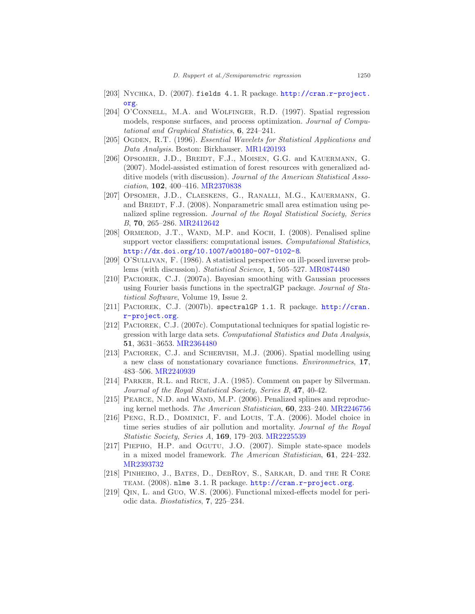- <span id="page-57-8"></span>[203] Nychka, D. (2007). fields 4.1. R package. [http://cran.r-project.](http://cran.r-project.org) [org](http://cran.r-project.org).
- <span id="page-57-0"></span>[204] O'CONNELL, M.A. and WOLFINGER, R.D. (1997). Spatial regression models, response surfaces, and process optimization. Journal of Computational and Graphical Statistics, 6, 224–241.
- <span id="page-57-3"></span>[205] Ogden, R.T. (1996). Essential Wavelets for Statistical Applications and Data Analysis. Boston: Birkhauser. [MR1420193](http://www.ams.org/mathscinet-getitem?mr=1420193)
- <span id="page-57-14"></span>[206] OPSOMER, J.D., BREIDT, F.J., MOISEN, G.G. and KAUERMANN, G. (2007). Model-assisted estimation of forest resources with generalized additive models (with discussion). Journal of the American Statistical Association, 102, 400–416. [MR2370838](http://www.ams.org/mathscinet-getitem?mr=2370838)
- <span id="page-57-13"></span>[207] Opsomer, J.D., Claeskens, G., Ranalli, M.G., Kauermann, G. and BREIDT, F.J. (2008). Nonparametric small area estimation using penalized spline regression. Journal of the Royal Statistical Society, Series B, 70, 265–286. [MR2412642](http://www.ams.org/mathscinet-getitem?mr=2412642)
- <span id="page-57-10"></span>[208] ORMEROD, J.T., WAND, M.P. and KOCH, I. (2008). Penalised spline support vector classifiers: computational issues. Computational Statistics, <http://dx.doi.org/10.1007/s00180-007-0102-8>.
- <span id="page-57-2"></span>[209] O'Sullivan, F. (1986). A statistical perspective on ill-posed inverse problems (with discussion). Statistical Science, 1, 505–527. [MR0874480](http://www.ams.org/mathscinet-getitem?mr=0874480)
- <span id="page-57-4"></span>[210] PACIOREK, C.J. (2007a). Bayesian smoothing with Gaussian processes using Fourier basis functions in the spectralGP package. Journal of Statistical Software, Volume 19, Issue 2.
- <span id="page-57-5"></span>[211] PACIOREK, C.J. (2007b). spectralGP 1.1. R package. [http://cran.](http://cran.r-project.org) [r-project.org](http://cran.r-project.org).
- <span id="page-57-12"></span>[212] PACIOREK, C.J. (2007c). Computational techniques for spatial logistic regression with large data sets. Computational Statistics and Data Analysis, 51, 3631–3653. [MR2364480](http://www.ams.org/mathscinet-getitem?mr=2364480)
- <span id="page-57-6"></span>[213] PACIOREK, C.J. and SCHERVISH, M.J. (2006). Spatial modelling using a new class of nonstationary covariance functions. Environmetrics, 17, 483–506. [MR2240939](http://www.ams.org/mathscinet-getitem?mr=2240939)
- <span id="page-57-1"></span>[214] Parker, R.L. and Rice, J.A. (1985). Comment on paper by Silverman. Journal of the Royal Statistical Society, Series B, 47, 40-42.
- <span id="page-57-7"></span>[215] PEARCE, N.D. and WAND, M.P. (2006). Penalized splines and reproducing kernel methods. The American Statistician, 60, 233–240. [MR2246756](http://www.ams.org/mathscinet-getitem?mr=2246756)
- <span id="page-57-16"></span>[216] PENG, R.D., DOMINICI, F. and LOUIS, T.A. (2006). Model choice in time series studies of air pollution and mortality. Journal of the Royal Statistic Society, Series A, 169, 179–203. [MR2225539](http://www.ams.org/mathscinet-getitem?mr=2225539)
- <span id="page-57-15"></span>[217] PIEPHO, H.P. and OGUTU, J.O. (2007). Simple state-space models in a mixed model framework. The American Statistician, 61, 224–232. [MR2393732](http://www.ams.org/mathscinet-getitem?mr=2393732)
- <span id="page-57-9"></span>[218] PINHEIRO, J., BATES, D., DEBROY, S., SARKAR, D. and THE R CORE TEAM. (2008). nlme 3.1. R package. <http://cran.r-project.org>.
- <span id="page-57-11"></span>[219] Qin, L. and Guo, W.S. (2006). Functional mixed-effects model for periodic data. Biostatistics, 7, 225–234.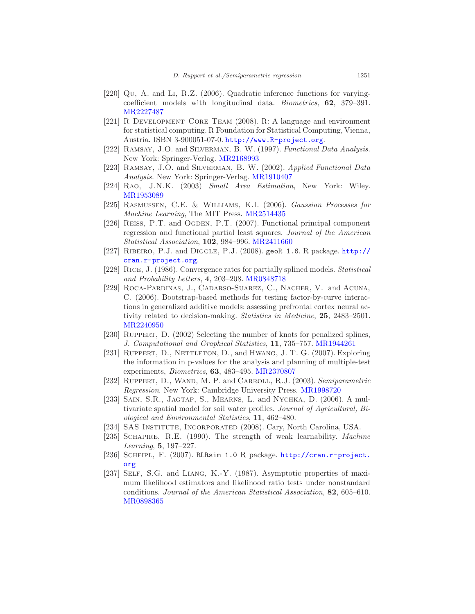- <span id="page-58-13"></span>[220] Qu, A. and Li, R.Z. (2006). Quadratic inference functions for varyingcoefficient models with longitudinal data. Biometrics, 62, 379–391. [MR2227487](http://www.ams.org/mathscinet-getitem?mr=2227487)
- <span id="page-58-1"></span>[221] R DEVELOPMENT CORE TEAM (2008). R: A language and environment for statistical computing. R Foundation for Statistical Computing, Vienna, Austria. ISBN 3-900051-07-0. <http://www.R-project.org>.
- <span id="page-58-9"></span>[222] RAMSAY, J.O. and SILVERMAN, B. W. (1997). Functional Data Analysis. New York: Springer-Verlag. [MR2168993](http://www.ams.org/mathscinet-getitem?mr=2168993)
- <span id="page-58-10"></span>[223] RAMSAY, J.O. and SILVERMAN, B. W. (2002). Applied Functional Data Analysis. New York: Springer-Verlag. [MR1910407](http://www.ams.org/mathscinet-getitem?mr=1910407)
- <span id="page-58-15"></span>[224] Rao, J.N.K. (2003) Small Area Estimation, New York: Wiley. [MR1953089](http://www.ams.org/mathscinet-getitem?mr=1953089)
- <span id="page-58-7"></span>[225] Rasmussen, C.E. & Williams, K.I. (2006). Gaussian Processes for Machine Learning, The MIT Press. [MR2514435](http://www.ams.org/mathscinet-getitem?mr=2514435)
- <span id="page-58-11"></span>[226] REISS, P.T. and OGDEN, P.T. (2007). Functional principal component regression and functional partial least squares. Journal of the American Statistical Association, 102, 984–996. [MR2411660](http://www.ams.org/mathscinet-getitem?mr=2411660)
- <span id="page-58-5"></span>[227] Ribeiro, P.J. and Diggle, P.J. (2008). geoR 1.6. R package. [http://](http://cran.r-project.org) [cran.r-project.org](http://cran.r-project.org).
- <span id="page-58-17"></span>[228] Rice, J. (1986). Convergence rates for partially splined models. Statistical and Probability Letters, 4, 203–208. [MR0848718](http://www.ams.org/mathscinet-getitem?mr=0848718)
- <span id="page-58-8"></span>[229] Roca-Pardinas, J., Cadarso-Suarez, C., Nacher, V. and Acuna, C. (2006). Bootstrap-based methods for testing factor-by-curve interactions in generalized additive models: assessing prefrontal cortex neural activity related to decision-making. Statistics in Medicine, 25, 2483–2501. [MR2240950](http://www.ams.org/mathscinet-getitem?mr=2240950)
- <span id="page-58-3"></span>[230] Ruppert, D. (2002) Selecting the number of knots for penalized splines, J. Computational and Graphical Statistics, 11, 735–757. [MR1944261](http://www.ams.org/mathscinet-getitem?mr=1944261)
- <span id="page-58-14"></span>[231] RUPPERT, D., NETTLETON, D., and HWANG, J. T. G. (2007). Exploring the information in p-values for the analysis and planning of multiple-test experiments, Biometrics, 63, 483–495. [MR2370807](http://www.ams.org/mathscinet-getitem?mr=2370807)
- <span id="page-58-0"></span>[232] RUPPERT, D., WAND, M. P. and CARROLL, R.J. (2003). Semiparametric Regression. New York: Cambridge University Press. [MR1998720](http://www.ams.org/mathscinet-getitem?mr=1998720)
- <span id="page-58-16"></span>[233] SAIN, S.R., JAGTAP, S., MEARNS, L. and NYCHKA, D. (2006). A multivariate spatial model for soil water profiles. Journal of Agricultural, Biological and Environmental Statistics, 11, 462–480.
- <span id="page-58-4"></span>[234] SAS Institute, Incorporated (2008). Cary, North Carolina, USA.
- <span id="page-58-2"></span>[235] SCHAPIRE, R.E. (1990). The strength of weak learnability. *Machine* Learning, 5, 197–227.
- <span id="page-58-6"></span>[236] Scheipl, F. (2007). RLRsim 1.0 R package. [http://cran.r-project.](http://cran.r-project.org) [org](http://cran.r-project.org)
- <span id="page-58-12"></span>[237] SELF, S.G. and LIANG, K.-Y. (1987). Asymptotic properties of maximum likelihood estimators and likelihood ratio tests under nonstandard conditions. Journal of the American Statistical Association, 82, 605–610. [MR0898365](http://www.ams.org/mathscinet-getitem?mr=0898365)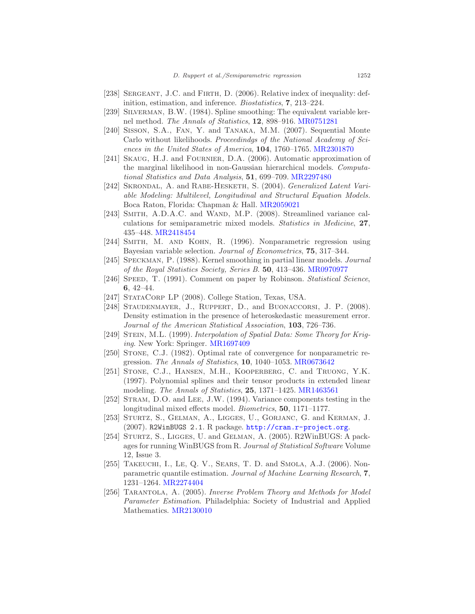- [238] SERGEANT, J.C. and FIRTH, D. (2006). Relative index of inequality: definition, estimation, and inference. Biostatistics, 7, 213–224.
- <span id="page-59-4"></span>[239] Silverman, B.W. (1984). Spline smoothing: The equivalent variable kernel method. The Annals of Statistics, 12, 898–916. [MR0751281](http://www.ams.org/mathscinet-getitem?mr=0751281)
- <span id="page-59-1"></span>[240] Sisson, S.A., Fan, Y. and Tanaka, M.M. (2007). Sequential Monte Carlo without likelihoods. Proceedindgs of the National Academy of Sciences in the United States of America, 104, 1760–1765. [MR2301870](http://www.ams.org/mathscinet-getitem?mr=2301870)
- <span id="page-59-13"></span>[241] SKAUG, H.J. and FOURNIER, D.A. (2006). Automatic approximation of the marginal likelihood in non-Gaussian hierarchical models. Computational Statistics and Data Analysis, 51, 699–709. [MR2297480](http://www.ams.org/mathscinet-getitem?mr=2297480)
- <span id="page-59-10"></span>[242] Skrondal, A. and Rabe-Hesketh, S. (2004). Generalized Latent Variable Modeling: Multilevel, Longitudinal and Structural Equation Models. Boca Raton, Florida: Chapman & Hall. [MR2059021](http://www.ams.org/mathscinet-getitem?mr=2059021)
- <span id="page-59-11"></span>[243] SMITH, A.D.A.C. and WAND, M.P. (2008). Streamlined variance calculations for semiparametric mixed models. Statistics in Medicine, 27, 435–448. [MR2418454](http://www.ams.org/mathscinet-getitem?mr=2418454)
- <span id="page-59-3"></span>[244] SMITH, M. AND KOHN, R. (1996). Nonparametric regression using Bayesian variable selection. Journal of Econometrics, 75, 317–344.
- <span id="page-59-14"></span>[245] Speckman, P. (1988). Kernel smoothing in partial linear models. Journal of the Royal Statistics Society, Series B. 50, 413–436. [MR0970977](http://www.ams.org/mathscinet-getitem?mr=0970977)
- <span id="page-59-0"></span>[246] SPEED, T. (1991). Comment on paper by Robinson. *Statistical Science*, 6, 42–44.
- [247] STATACORP LP (2008). College Station, Texas, USA.
- <span id="page-59-12"></span>[248] STAUDENMAYER, J., RUPPERT, D., and BUONACCORSI, J. P. (2008). Density estimation in the presence of heteroskedastic measurement error. Journal of the American Statistical Association, 103, 726–736.
- [249] Stein, M.L. (1999). Interpolation of Spatial Data: Some Theory for Kriging. New York: Springer. [MR1697409](http://www.ams.org/mathscinet-getitem?mr=1697409)
- <span id="page-59-2"></span>[250] Stone, C.J. (1982). Optimal rate of convergence for nonparametric regression. The Annals of Statistics, 10, 1040–1053. [MR0673642](http://www.ams.org/mathscinet-getitem?mr=0673642)
- [251] STONE, C.J., HANSEN, M.H., KOOPERBERG, C. and TRUONG, Y.K. (1997). Polynomial splines and their tensor products in extended linear modeling. The Annals of Statistics, 25, 1371–1425. [MR1463561](http://www.ams.org/mathscinet-getitem?mr=1463561)
- <span id="page-59-9"></span>[252] Stram, D.O. and Lee, J.W. (1994). Variance components testing in the longitudinal mixed effects model. Biometrics, 50, 1171–1177.
- <span id="page-59-6"></span>[253] Sturtz, S., Gelman, A., Ligges, U., Gorjanc, G. and Kerman, J. (2007). R2WinBUGS 2.1. R package. <http://cran.r-project.org>.
- <span id="page-59-5"></span>[254] STURTZ, S., LIGGES, U. and GELMAN, A. (2005). R2WinBUGS: A packages for running WinBUGS from R. Journal of Statistical Software Volume 12, Issue 3.
- <span id="page-59-8"></span>[255] TAKEUCHI, I., LE, Q. V., SEARS, T. D. and SMOLA, A.J. (2006). Nonparametric quantile estimation. Journal of Machine Learning Research, 7, 1231–1264. [MR2274404](http://www.ams.org/mathscinet-getitem?mr=2274404)
- <span id="page-59-7"></span>[256] Tarantola, A. (2005). Inverse Problem Theory and Methods for Model Parameter Estimation. Philadelphia: Society of Industrial and Applied Mathematics. [MR2130010](http://www.ams.org/mathscinet-getitem?mr=2130010)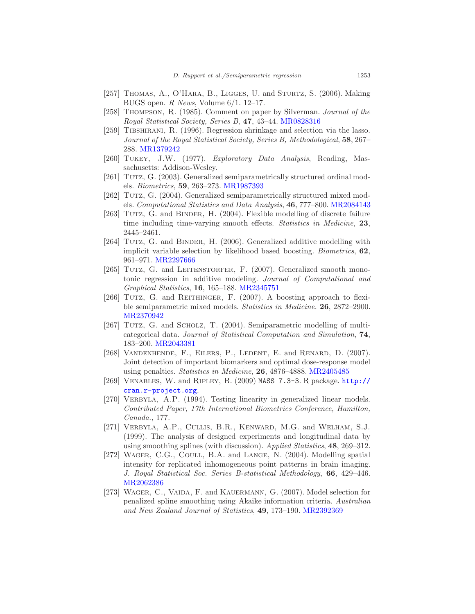- <span id="page-60-4"></span>[257] THOMAS, A., O'HARA, B., LIGGES, U. and STURTZ, S. (2006). Making BUGS open. R News, Volume 6/1. 12–17.
- <span id="page-60-0"></span>[258] Thompson, R. (1985). Comment on paper by Silverman. Journal of the Royal Statistical Society, Series B, 47, 43–44. [MR0828316](http://www.ams.org/mathscinet-getitem?mr=0828316)
- [259] Tibshirani, R. (1996). Regression shrinkage and selection via the lasso. Journal of the Royal Statistical Society, Series B, Methodological, 58, 267– 288. [MR1379242](http://www.ams.org/mathscinet-getitem?mr=1379242)
- <span id="page-60-6"></span>[260] Tukey, J.W. (1977). Exploratory Data Analysis, Reading, Massachusetts: Addison-Wesley.
- <span id="page-60-12"></span>[261] TUTZ, G. (2003). Generalized semiparametrically structured ordinal models. Biometrics, 59, 263–273. [MR1987393](http://www.ams.org/mathscinet-getitem?mr=1987393)
- <span id="page-60-15"></span>[262] TUTZ, G. (2004). Generalized semiparametrically structured mixed models. Computational Statistics and Data Analysis, 46, 777–800. [MR2084143](http://www.ams.org/mathscinet-getitem?mr=2084143)
- <span id="page-60-14"></span>[263] TUTZ, G. and BINDER, H. (2004). Flexible modelling of discrete failure time including time-varying smooth effects. *Statistics in Medicine*, 23, 2445–2461.
- <span id="page-60-5"></span>[264] TUTZ, G. and BINDER, H. (2006). Generalized additive modelling with implicit variable selection by likelihood based boosting. Biometrics, 62, 961–971. [MR2297666](http://www.ams.org/mathscinet-getitem?mr=2297666)
- <span id="page-60-7"></span>[265] TUTZ, G. and LEITENSTORFER, F. (2007). Generalized smooth monotonic regression in additive modeling. Journal of Computational and Graphical Statistics, 16, 165–188. [MR2345751](http://www.ams.org/mathscinet-getitem?mr=2345751)
- <span id="page-60-2"></span>[266] TUTZ, G. and REITHINGER, F. (2007). A boosting approach to flexible semiparametric mixed models. Statistics in Medicine. 26, 2872–2900. [MR2370942](http://www.ams.org/mathscinet-getitem?mr=2370942)
- <span id="page-60-8"></span>[267] TUTZ, G. and SCHOLZ, T. (2004). Semiparametric modelling of multicategorical data. Journal of Statistical Computation and Simulation, 74, 183–200. [MR2043381](http://www.ams.org/mathscinet-getitem?mr=2043381)
- <span id="page-60-11"></span>[268] VANDENHENDE, F., EILERS, P., LEDENT, E. and RENARD, D. (2007). Joint detection of important biomarkers and optimal dose-response model using penalties. Statistics in Medicine, 26, 4876–4888. [MR2405485](http://www.ams.org/mathscinet-getitem?mr=2405485)
- <span id="page-60-3"></span>[269] Venables, W. and Ripley, B. (2009) MASS 7.3-3. R package. [http://](http://cran.r-project.org) [cran.r-project.org](http://cran.r-project.org).
- <span id="page-60-1"></span>[270] VERBYLA, A.P. (1994). Testing linearity in generalized linear models. Contributed Paper, 17th International Biometrics Conference, Hamilton, Canada., 177.
- <span id="page-60-9"></span>[271] Verbyla, A.P., Cullis, B.R., Kenward, M.G. and Welham, S.J. (1999). The analysis of designed experiments and longitudinal data by using smoothing splines (with discussion). Applied Statistics, 48, 269–312.
- <span id="page-60-13"></span>[272] WAGER, C.G., COULL, B.A. and LANGE, N. (2004). Modelling spatial intensity for replicated inhomogeneous point patterns in brain imaging. J. Royal Statistical Soc. Series B-statistical Methodology, 66, 429–446. [MR2062386](http://www.ams.org/mathscinet-getitem?mr=2062386)
- <span id="page-60-10"></span>[273] WAGER, C., VAIDA, F. and KAUERMANN, G. (2007). Model selection for penalized spline smoothing using Akaike information criteria. Australian and New Zealand Journal of Statistics, 49, 173–190. [MR2392369](http://www.ams.org/mathscinet-getitem?mr=2392369)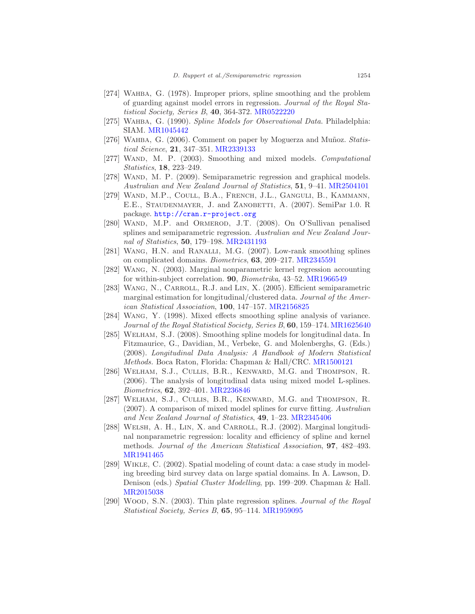- <span id="page-61-1"></span>[274] WAHBA, G. (1978). Improper priors, spline smoothing and the problem of guarding against model errors in regression. Journal of the Royal Statistical Society, Series B, 40, 364-372. [MR0522220](http://www.ams.org/mathscinet-getitem?mr=0522220)
- <span id="page-61-0"></span>[275] WAHBA, G. (1990). Spline Models for Observational Data. Philadelphia: SIAM. [MR1045442](http://www.ams.org/mathscinet-getitem?mr=1045442)
- <span id="page-61-9"></span>[276] WAHBA, G. (2006). Comment on paper by Moguerza and Muñoz. Statistical Science, 21, 347–351. [MR2339133](http://www.ams.org/mathscinet-getitem?mr=2339133)
- <span id="page-61-4"></span>[277] WAND, M. P. (2003). Smoothing and mixed models. Computational Statistics, 18, 223–249.
- <span id="page-61-10"></span>[278] WAND, M. P. (2009). Semiparametric regression and graphical models. Australian and New Zealand Journal of Statistics, 51, 9–41. [MR2504101](http://www.ams.org/mathscinet-getitem?mr=2504101)
- <span id="page-61-11"></span>[279] WAND, M.P., COULL, B.A., FRENCH, J.L., GANGULI, B., KAMMANN, E.E., STAUDENMAYER, J. and ZANOBETTI, A. (2007). SemiPar 1.0. R package. <http://cran.r-project.org>
- <span id="page-61-6"></span>[280] WAND, M.P. and ORMEROD, J.T. (2008). On O'Sullivan penalised splines and semiparametric regression. Australian and New Zealand Journal of Statistics, 50, 179–198. [MR2431193](http://www.ams.org/mathscinet-getitem?mr=2431193)
- <span id="page-61-8"></span>[281] WANG, H.N. and RANALLI, M.G. (2007). Low-rank smoothing splines on complicated domains. Biometrics, 63, 209–217. [MR2345591](http://www.ams.org/mathscinet-getitem?mr=2345591)
- <span id="page-61-13"></span>[282] Wang, N. (2003). Marginal nonparametric kernel regression accounting for within-subject correlation. **90**, *Biometrika*, 43–52. [MR1966549](http://www.ams.org/mathscinet-getitem?mr=1966549)
- <span id="page-61-15"></span>[283] Wang, N., Carroll, R.J. and Lin, X. (2005). Efficient semiparametric marginal estimation for longitudinal/clustered data. Journal of the American Statistical Association, 100, 147–157. [MR2156825](http://www.ams.org/mathscinet-getitem?mr=2156825)
- <span id="page-61-2"></span>[284] Wang, Y. (1998). Mixed effects smoothing spline analysis of variance. Journal of the Royal Statistical Society, Series B, 60, 159–174. [MR1625640](http://www.ams.org/mathscinet-getitem?mr=1625640)
- [285] Welham, S.J. (2008). Smoothing spline models for longitudinal data. In Fitzmaurice, G., Davidian, M., Verbeke, G. and Molenberghs, G. (Eds.) (2008). Longitudinal Data Analysis: A Handbook of Modern Statistical Methods. Boca Raton, Florida: Chapman & Hall/CRC. [MR1500121](http://www.ams.org/mathscinet-getitem?mr=1500121)
- <span id="page-61-12"></span>[286] WELHAM, S.J., CULLIS, B.R., KENWARD, M.G. and THOMPSON, R. (2006). The analysis of longitudinal data using mixed model L-splines. Biometrics, 62, 392–401. [MR2236846](http://www.ams.org/mathscinet-getitem?mr=2236846)
- <span id="page-61-5"></span>[287] Welham, S.J., Cullis, B.R., Kenward, M.G. and Thompson, R. (2007). A comparison of mixed model splines for curve fitting. Australian and New Zealand Journal of Statistics, 49, 1–23. [MR2345406](http://www.ams.org/mathscinet-getitem?mr=2345406)
- <span id="page-61-14"></span>[288] WELSH, A. H., LIN, X. and CARROLL, R.J. (2002). Marginal longitudinal nonparametric regression: locality and efficiency of spline and kernel methods. Journal of the American Statistical Association, **97**, 482–493. [MR1941465](http://www.ams.org/mathscinet-getitem?mr=1941465)
- <span id="page-61-7"></span>[289] Wikle, C. (2002). Spatial modeling of count data: a case study in modeling breeding bird survey data on large spatial domains. In A. Lawson, D. Denison (eds.) Spatial Cluster Modelling, pp. 199–209. Chapman & Hall. [MR2015038](http://www.ams.org/mathscinet-getitem?mr=2015038)
- <span id="page-61-3"></span>[290] Wood, S.N. (2003). Thin plate regression splines. Journal of the Royal Statistical Society, Series B, 65, 95–114. [MR1959095](http://www.ams.org/mathscinet-getitem?mr=1959095)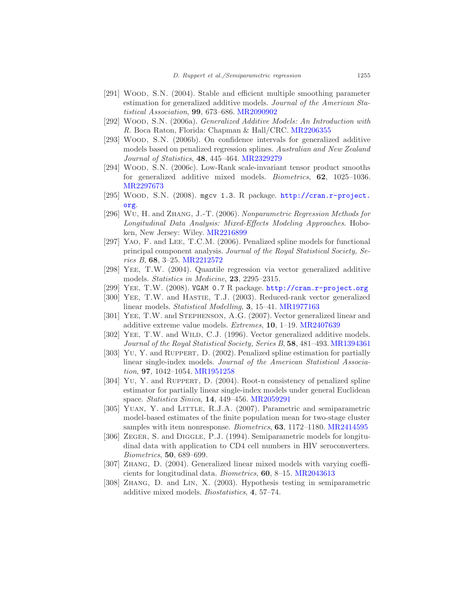- <span id="page-62-16"></span>[291] WOOD, S.N. (2004). Stable and efficient multiple smoothing parameter estimation for generalized additive models. Journal of the American Statistical Association, 99, 673–686. [MR2090902](http://www.ams.org/mathscinet-getitem?mr=2090902)
- <span id="page-62-0"></span>[292] Wood, S.N. (2006a). Generalized Additive Models: An Introduction with R. Boca Raton, Florida: Chapman & Hall/CRC. [MR2206355](http://www.ams.org/mathscinet-getitem?mr=2206355)
- <span id="page-62-9"></span>[293] WOOD, S.N. (2006b). On confidence intervals for generalized additive models based on penalized regression splines. Australian and New Zealand Journal of Statistics, 48, 445–464. [MR2329279](http://www.ams.org/mathscinet-getitem?mr=2329279)
- <span id="page-62-2"></span>[294] Wood, S.N. (2006c). Low-Rank scale-invariant tensor product smooths for generalized additive mixed models. *Biometrics*, **62**, 1025-1036. [MR2297673](http://www.ams.org/mathscinet-getitem?mr=2297673)
- <span id="page-62-1"></span>[295] WOOD, S.N. (2008). mgcv 1.3. R package. [http://cran.r-project.](http://cran.r-project.org) [org](http://cran.r-project.org).
- <span id="page-62-17"></span>[296] Wu, H. and Zhang, J.-T. (2006). Nonparametric Regression Methods for Longitudinal Data Analysis: Mixed-Effects Modeling Approaches. Hoboken, New Jersey: Wiley. [MR2216899](http://www.ams.org/mathscinet-getitem?mr=2216899)
- <span id="page-62-6"></span>[297] YAO, F. and LEE, T.C.M. (2006). Penalized spline models for functional principal component analysis. Journal of the Royal Statistical Society, Series B, 68, 3–25. [MR2212572](http://www.ams.org/mathscinet-getitem?mr=2212572)
- <span id="page-62-5"></span>[298] Yee, T.W. (2004). Quantile regression via vector generalized additive models. Statistics in Medicine, 23, 2295–2315.
- <span id="page-62-3"></span>[299] Yee, T.W. (2008). VGAM 0.7 R package. <http://cran.r-project.org>
- <span id="page-62-13"></span>[300] YEE, T.W. and HASTIE, T.J. (2003). Reduced-rank vector generalized linear models. Statistical Modelling, 3, 15–41. [MR1977163](http://www.ams.org/mathscinet-getitem?mr=1977163)
- <span id="page-62-12"></span>[301] YEE, T.W. and STEPHENSON, A.G. (2007). Vector generalized linear and additive extreme value models. Extremes, 10, 1–19. [MR2407639](http://www.ams.org/mathscinet-getitem?mr=2407639)
- <span id="page-62-4"></span>[302] YEE, T.W. and WILD, C.J. (1996). Vector generalized additive models. Journal of the Royal Statistical Society, Series B, 58, 481–493. [MR1394361](http://www.ams.org/mathscinet-getitem?mr=1394361)
- <span id="page-62-15"></span>[303] YU, Y. and RUPPERT, D. (2002). Penalized spline estimation for partially linear single-index models. Journal of the American Statistical Association, 97, 1042–1054. [MR1951258](http://www.ams.org/mathscinet-getitem?mr=1951258)
- <span id="page-62-14"></span>[304] Yu, Y. and Ruppert, D. (2004). Root-n consistency of penalized spline estimator for partially linear single-index models under general Euclidean space. Statistica Sinica, 14, 449–456. [MR2059291](http://www.ams.org/mathscinet-getitem?mr=2059291)
- <span id="page-62-11"></span>[305] YUAN, Y. and LITTLE, R.J.A. (2007). Parametric and semiparametric model-based estimates of the finite population mean for two-stage cluster samples with item nonresponse. *Biometrics*, **63**, 1172–1180. [MR2414595](http://www.ams.org/mathscinet-getitem?mr=2414595)
- <span id="page-62-10"></span>[306] ZEGER, S. and DIGGLE, P.J. (1994). Semiparametric models for longitudinal data with application to CD4 cell numbers in HIV seroconverters. Biometrics, 50, 689–699.
- <span id="page-62-8"></span>[307] Zhang, D. (2004). Generalized linear mixed models with varying coefficients for longitudinal data. Biometrics, 60, 8–15. [MR2043613](http://www.ams.org/mathscinet-getitem?mr=2043613)
- <span id="page-62-7"></span>[308] Zhang, D. and Lin, X. (2003). Hypothesis testing in semiparametric additive mixed models. Biostatistics, 4, 57–74.